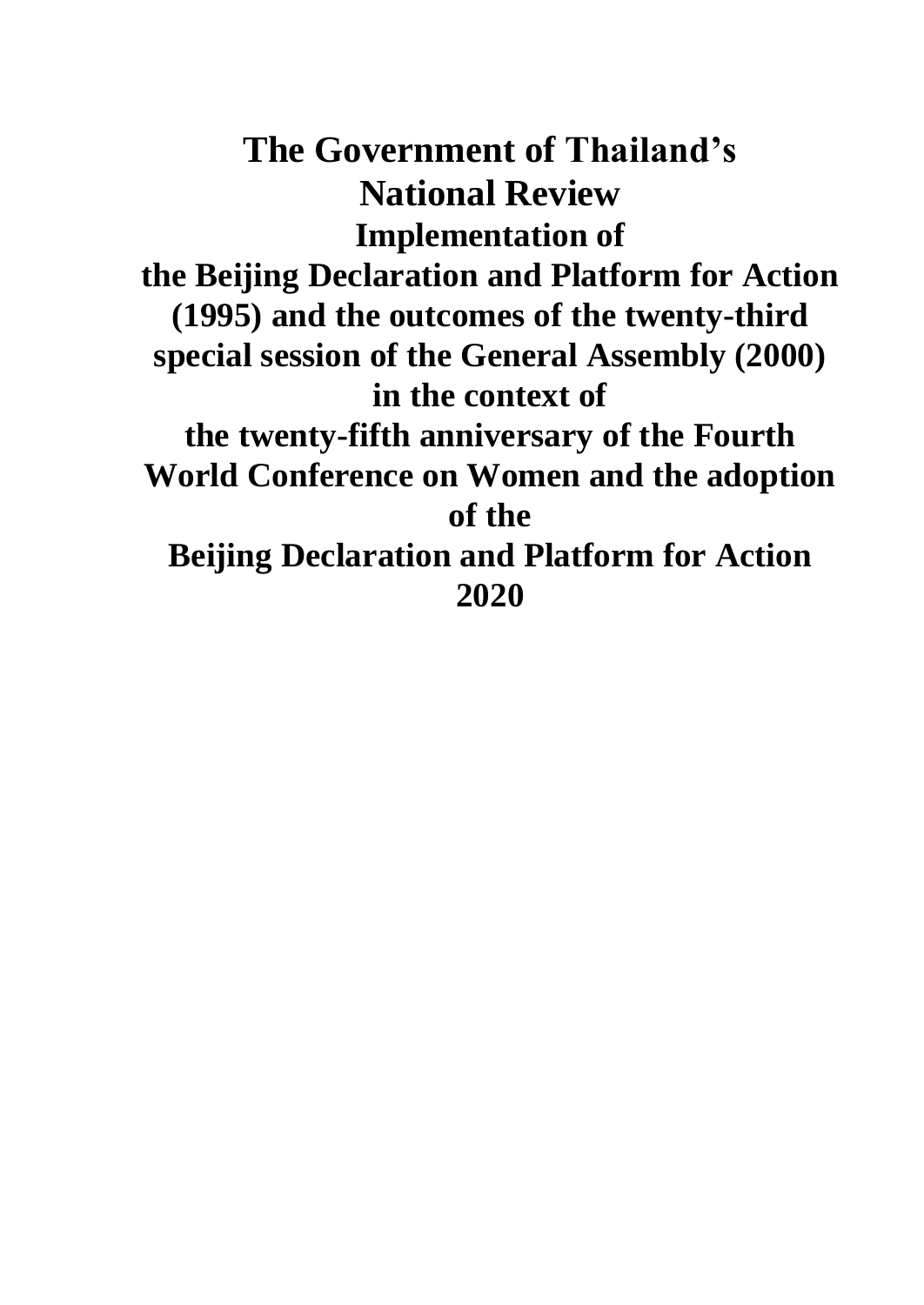**The Government of Thailand's National Review Implementation of the Beijing Declaration and Platform for Action (1995) and the outcomes of the twenty-third special session of the General Assembly (2000) in the context of the twenty-fifth anniversary of the Fourth World Conference on Women and the adoption of the Beijing Declaration and Platform for Action 2020**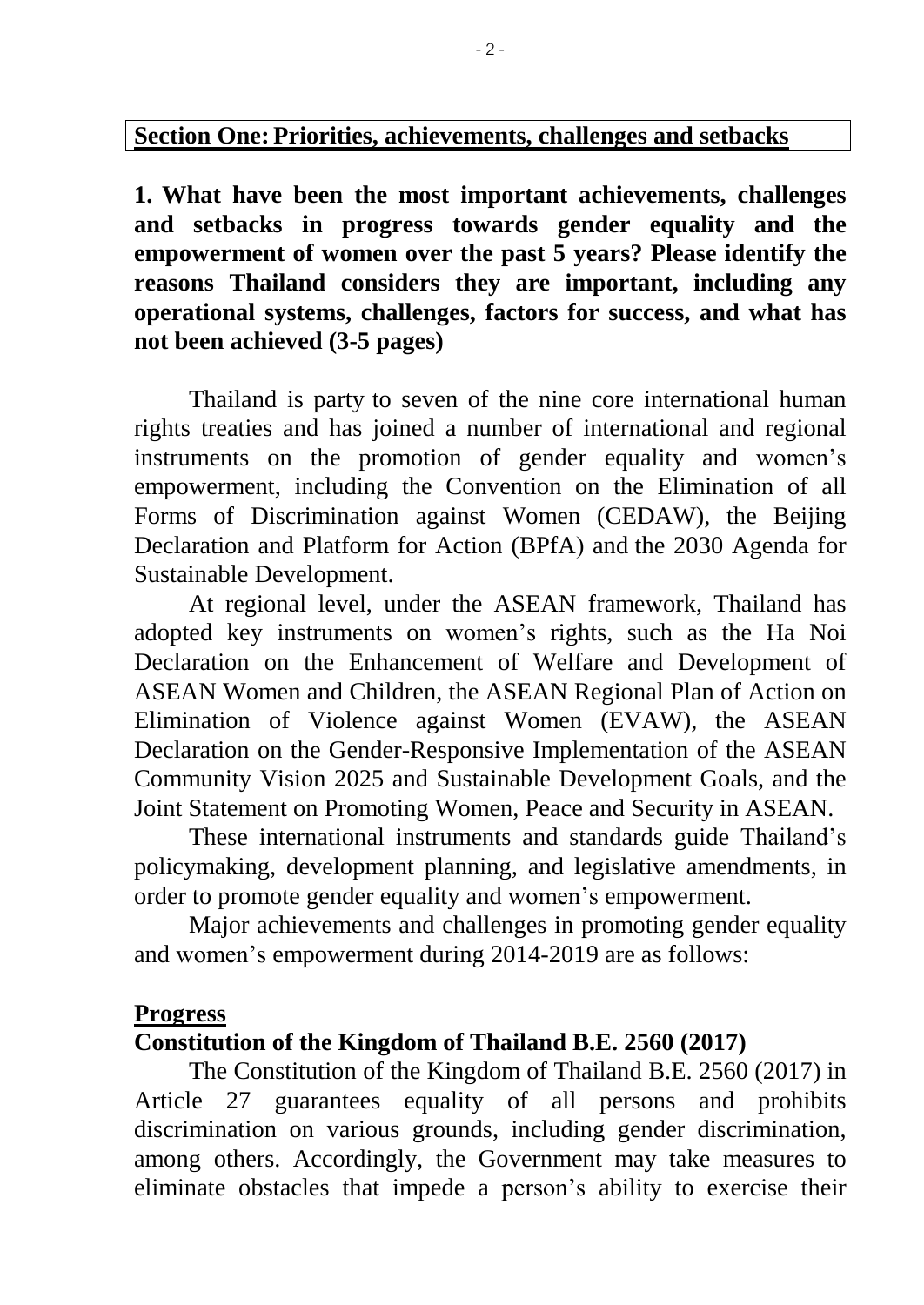#### **Section One: Priorities, achievements, challenges and setbacks**

**1. What have been the most important achievements, challenges and setbacks in progress towards gender equality and the empowerment of women over the past 5 years? Please identify the reasons Thailand considers they are important, including any operational systems, challenges, factors for success, and what has not been achieved (3-5 pages)**

Thailand is party to seven of the nine core international human rights treaties and has joined a number of international and regional instruments on the promotion of gender equality and women's empowerment, including the Convention on the Elimination of all Forms of Discrimination against Women (CEDAW), the Beijing Declaration and Platform for Action (BPfA) and the 2030 Agenda for Sustainable Development.

At regional level, under the ASEAN framework, Thailand has adopted key instruments on women's rights, such as the Ha Noi Declaration on the Enhancement of Welfare and Development of ASEAN Women and Children, the ASEAN Regional Plan of Action on Elimination of Violence against Women (EVAW), the ASEAN Declaration on the Gender-Responsive Implementation of the ASEAN Community Vision 2025 and Sustainable Development Goals, and the Joint Statement on Promoting Women, Peace and Security in ASEAN.

These international instruments and standards guide Thailand's policymaking, development planning, and legislative amendments, in order to promote gender equality and women's empowerment.

Major achievements and challenges in promoting gender equality and women's empowerment during 2014-2019 are as follows:

#### **Progress**

#### **Constitution of the Kingdom of Thailand B.E. 2560 (2017)**

The Constitution of the Kingdom of Thailand B.E. 2560 (2017) in Article 27 guarantees equality of all persons and prohibits discrimination on various grounds, including gender discrimination, among others. Accordingly, the Government may take measures to eliminate obstacles that impede a person's ability to exercise their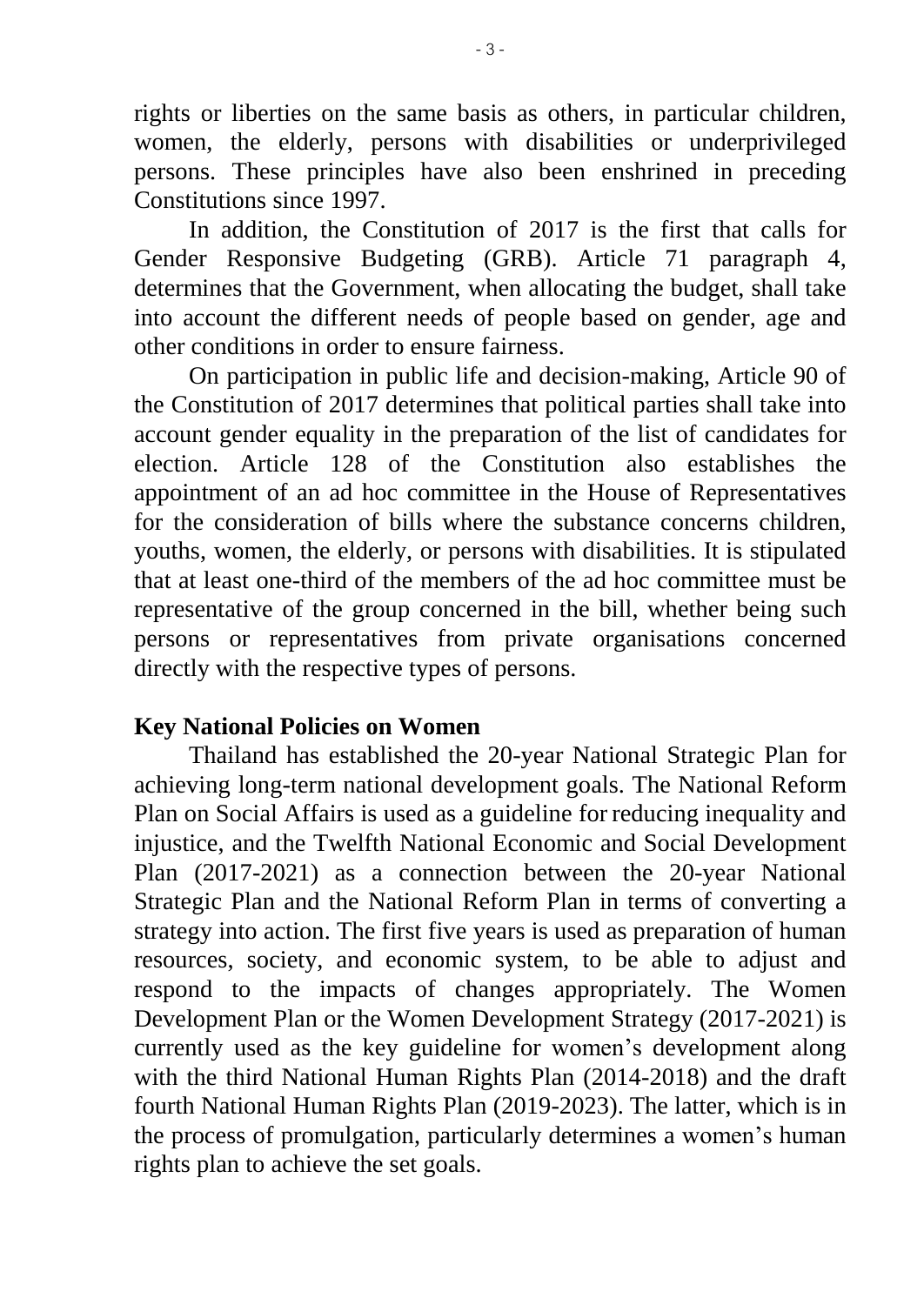rights or liberties on the same basis as others, in particular children, women, the elderly, persons with disabilities or underprivileged persons. These principles have also been enshrined in preceding Constitutions since 1997.

In addition, the Constitution of 2017 is the first that calls for Gender Responsive Budgeting (GRB). Article 71 paragraph 4, determines that the Government, when allocating the budget, shall take into account the different needs of people based on gender, age and other conditions in order to ensure fairness.

On participation in public life and decision-making, Article 90 of the Constitution of 2017 determines that political parties shall take into account gender equality in the preparation of the list of candidates for election. Article 128 of the Constitution also establishes the appointment of an ad hoc committee in the House of Representatives for the consideration of bills where the substance concerns children, youths, women, the elderly, or persons with disabilities. It is stipulated that at least one-third of the members of the ad hoc committee must be representative of the group concerned in the bill, whether being such persons or representatives from private organisations concerned directly with the respective types of persons.

#### **Key National Policies on Women**

Thailand has established the 20-year National Strategic Plan for achieving long-term national development goals. The National Reform Plan on Social Affairs is used as a guideline for reducing inequality and injustice, and the Twelfth National Economic and Social Development Plan (2017-2021) as a connection between the 20-year National Strategic Plan and the National Reform Plan in terms of converting a strategy into action. The first five years is used as preparation of human resources, society, and economic system, to be able to adjust and respond to the impacts of changes appropriately. The Women Development Plan or the Women Development Strategy (2017-2021) is currently used as the key guideline for women's development along with the third National Human Rights Plan (2014-2018) and the draft fourth National Human Rights Plan (2019-2023). The latter, which is in the process of promulgation, particularly determines a women's human rights plan to achieve the set goals.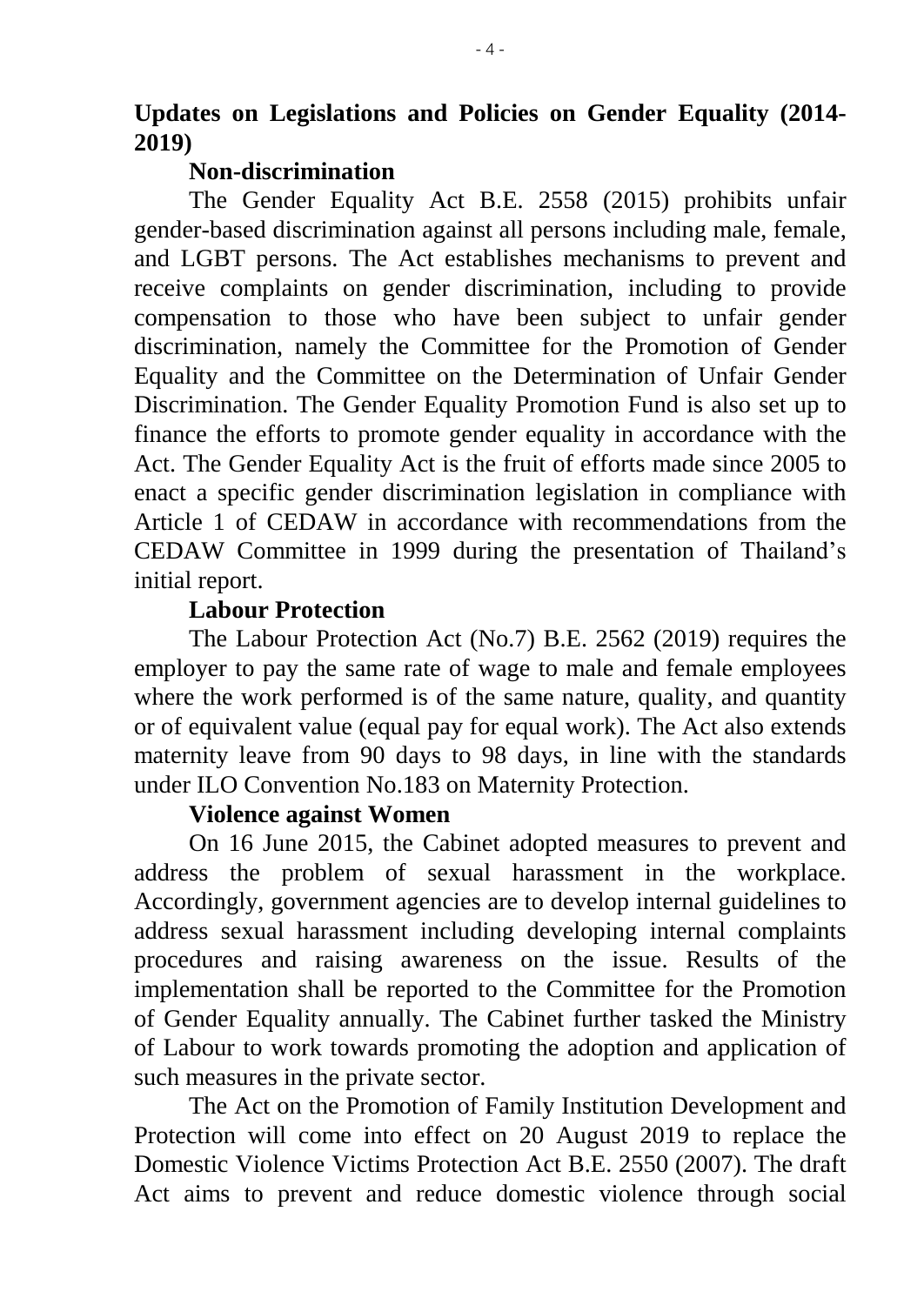#### **Non-discrimination**

The Gender Equality Act B.E. 2558 (2015) prohibits unfair gender-based discrimination against all persons including male, female, and LGBT persons. The Act establishes mechanisms to prevent and receive complaints on gender discrimination, including to provide compensation to those who have been subject to unfair gender discrimination, namely the Committee for the Promotion of Gender Equality and the Committee on the Determination of Unfair Gender Discrimination. The Gender Equality Promotion Fund is also set up to finance the efforts to promote gender equality in accordance with the Act. The Gender Equality Act is the fruit of efforts made since 2005 to enact a specific gender discrimination legislation in compliance with Article 1 of CEDAW in accordance with recommendations from the CEDAW Committee in 1999 during the presentation of Thailand's initial report.

### **Labour Protection**

The Labour Protection Act (No.7) B.E. 2562 (2019) requires the employer to pay the same rate of wage to male and female employees where the work performed is of the same nature, quality, and quantity or of equivalent value (equal pay for equal work). The Act also extends maternity leave from 90 days to 98 days, in line with the standards under ILO Convention No.183 on Maternity Protection.

### **Violence against Women**

On 16 June 2015, the Cabinet adopted measures to prevent and address the problem of sexual harassment in the workplace. Accordingly, government agencies are to develop internal guidelines to address sexual harassment including developing internal complaints procedures and raising awareness on the issue. Results of the implementation shall be reported to the Committee for the Promotion of Gender Equality annually. The Cabinet further tasked the Ministry of Labour to work towards promoting the adoption and application of such measures in the private sector.

The Act on the Promotion of Family Institution Development and Protection will come into effect on 20 August 2019 to replace the Domestic Violence Victims Protection Act B.E. 2550 (2007). The draft Act aims to prevent and reduce domestic violence through social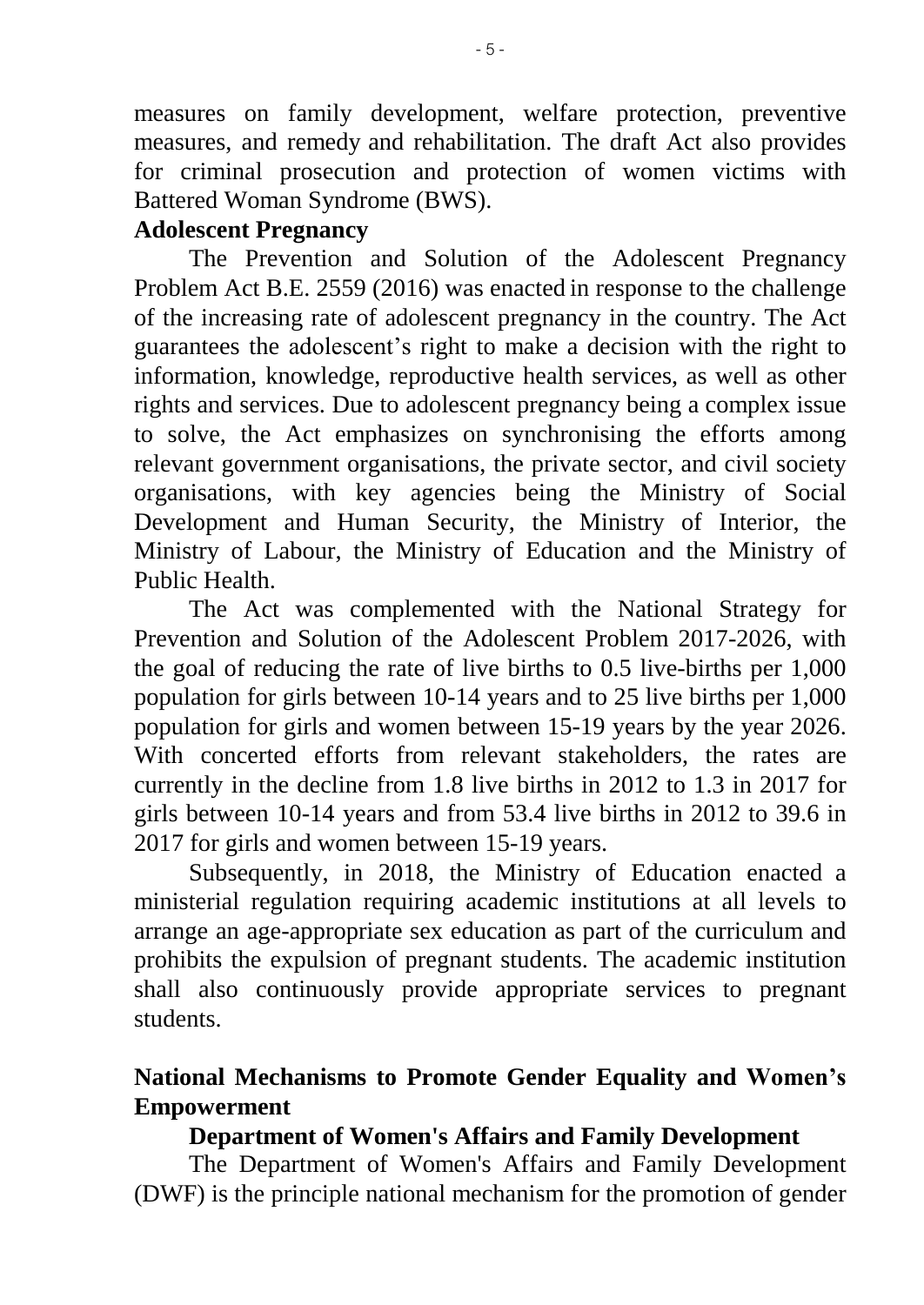measures on family development, welfare protection, preventive measures, and remedy and rehabilitation. The draft Act also provides for criminal prosecution and protection of women victims with Battered Woman Syndrome (BWS).

#### **Adolescent Pregnancy**

 The Prevention and Solution of the Adolescent Pregnancy Problem Act B.E. 2559 (2016) was enacted in response to the challenge of the increasing rate of adolescent pregnancy in the country. The Act guarantees the adolescent's right to make a decision with the right to information, knowledge, reproductive health services, as well as other rights and services. Due to adolescent pregnancy being a complex issue to solve, the Act emphasizes on synchronising the efforts among relevant government organisations, the private sector, and civil society organisations, with key agencies being the Ministry of Social Development and Human Security, the Ministry of Interior, the Ministry of Labour, the Ministry of Education and the Ministry of Public Health.

The Act was complemented with the National Strategy for Prevention and Solution of the Adolescent Problem 2017-2026, with the goal of reducing the rate of live births to 0.5 live-births per 1,000 population for girls between 10-14 years and to 25 live births per 1,000 population for girls and women between 15-19 years by the year 2026. With concerted efforts from relevant stakeholders, the rates are currently in the decline from 1.8 live births in 2012 to 1.3 in 2017 for girls between 10-14 years and from 53.4 live births in 2012 to 39.6 in 2017 for girls and women between 15-19 years.

Subsequently, in 2018, the Ministry of Education enacted a ministerial regulation requiring academic institutions at all levels to arrange an age-appropriate sex education as part of the curriculum and prohibits the expulsion of pregnant students. The academic institution shall also continuously provide appropriate services to pregnant students.

# **National Mechanisms to Promote Gender Equality and Women's Empowerment**

### **Department of Women's Affairs and Family Development**

The Department of Women's Affairs and Family Development (DWF) is the principle national mechanism for the promotion of gender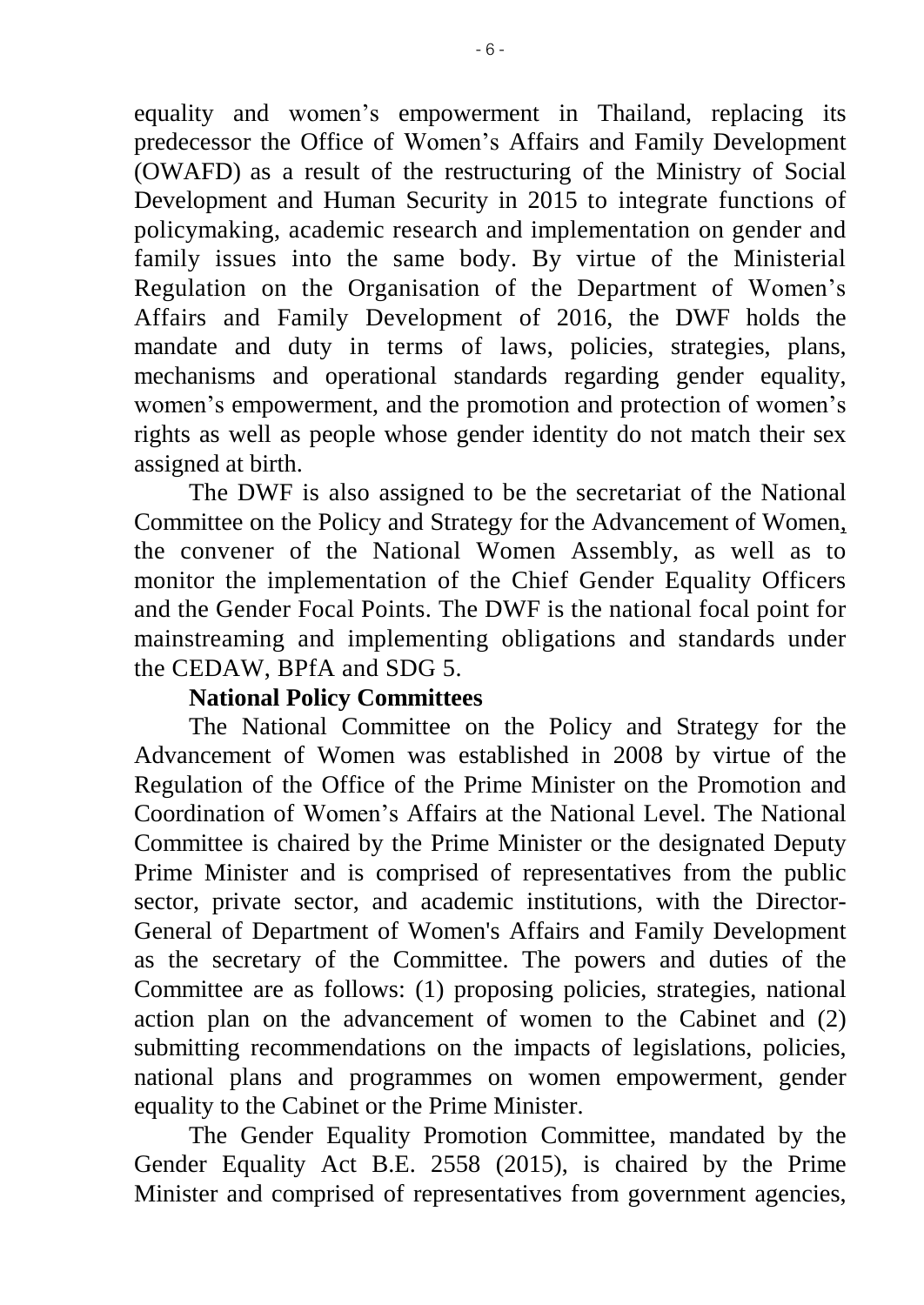equality and women's empowerment in Thailand, replacing its predecessor the Office of Women's Affairs and Family Development (OWAFD) as a result of the restructuring of the Ministry of Social Development and Human Security in 2015 to integrate functions of policymaking, academic research and implementation on gender and family issues into the same body. By virtue of the Ministerial Regulation on the Organisation of the Department of Women's Affairs and Family Development of 2016, the DWF holds the mandate and duty in terms of laws, policies, strategies, plans, mechanisms and operational standards regarding gender equality, women's empowerment, and the promotion and protection of women's rights as well as people whose gender identity do not match their sex assigned at birth.

The DWF is also assigned to be the secretariat of the National Committee on the Policy and Strategy for the Advancement of Women, the convener of the National Women Assembly, as well as to monitor the implementation of the Chief Gender Equality Officers and the Gender Focal Points. The DWF is the national focal point for mainstreaming and implementing obligations and standards under the CEDAW, BPfA and SDG 5.

#### **National Policy Committees**

The National Committee on the Policy and Strategy for the Advancement of Women was established in 2008 by virtue of the Regulation of the Office of the Prime Minister on the Promotion and Coordination of Women's Affairs at the National Level. The National Committee is chaired by the Prime Minister or the designated Deputy Prime Minister and is comprised of representatives from the public sector, private sector, and academic institutions, with the Director-General of Department of Women's Affairs and Family Development as the secretary of the Committee. The powers and duties of the Committee are as follows: (1) proposing policies, strategies, national action plan on the advancement of women to the Cabinet and (2) submitting recommendations on the impacts of legislations, policies, national plans and programmes on women empowerment, gender equality to the Cabinet or the Prime Minister.

The Gender Equality Promotion Committee, mandated by the Gender Equality Act B.E. 2558 (2015), is chaired by the Prime Minister and comprised of representatives from government agencies,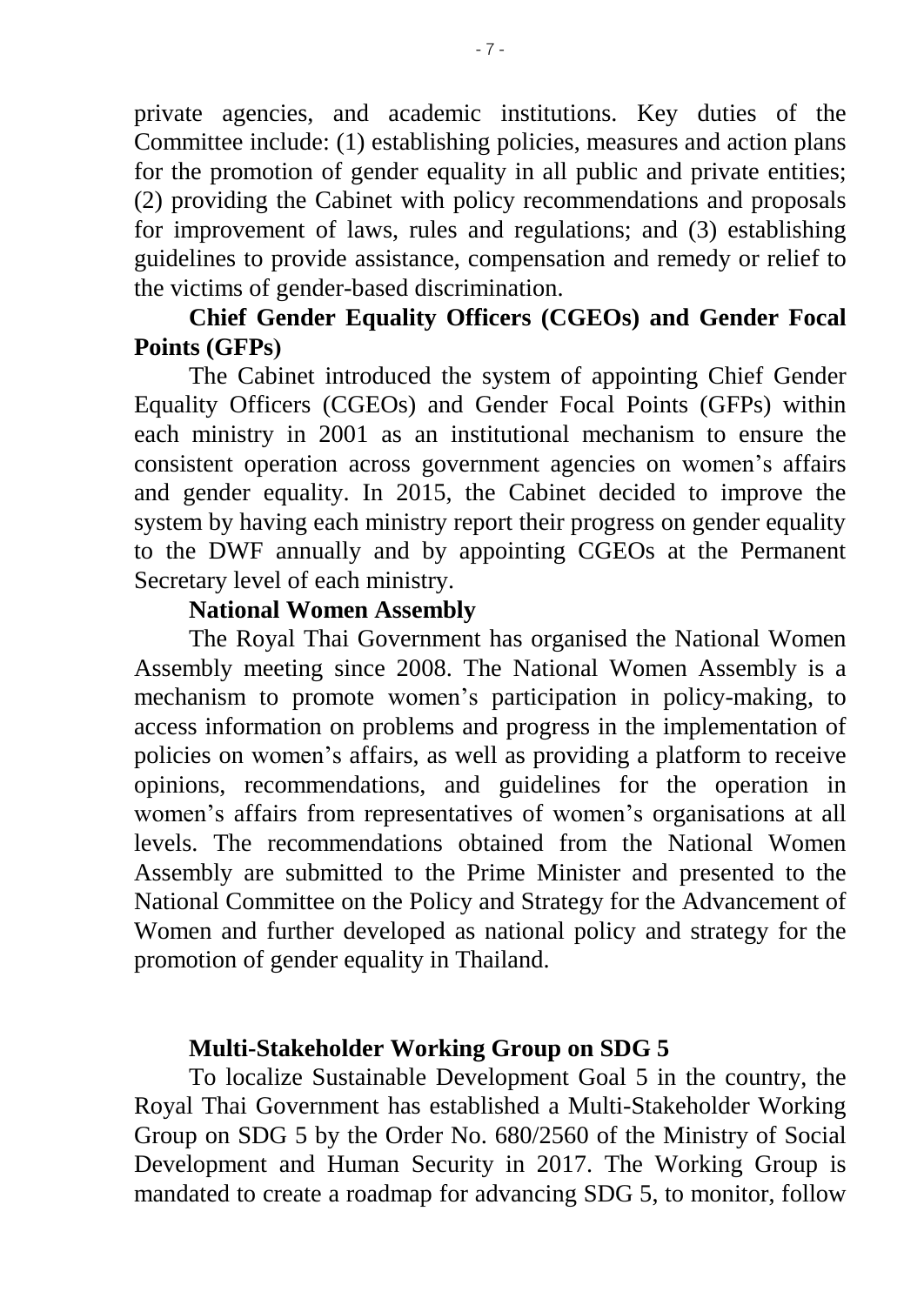private agencies, and academic institutions. Key duties of the Committee include: (1) establishing policies, measures and action plans for the promotion of gender equality in all public and private entities; (2) providing the Cabinet with policy recommendations and proposals for improvement of laws, rules and regulations; and (3) establishing guidelines to provide assistance, compensation and remedy or relief to the victims of gender-based discrimination.

# **Chief Gender Equality Officers (CGEOs) and Gender Focal Points (GFPs)**

The Cabinet introduced the system of appointing Chief Gender Equality Officers (CGEOs) and Gender Focal Points (GFPs) within each ministry in 2001 as an institutional mechanism to ensure the consistent operation across government agencies on women's affairs and gender equality. In 2015, the Cabinet decided to improve the system by having each ministry report their progress on gender equality to the DWF annually and by appointing CGEOs at the Permanent Secretary level of each ministry.

#### **National Women Assembly**

The Royal Thai Government has organised the National Women Assembly meeting since 2008. The National Women Assembly is a mechanism to promote women's participation in policy-making, to access information on problems and progress in the implementation of policies on women's affairs, as well as providing a platform to receive opinions, recommendations, and guidelines for the operation in women's affairs from representatives of women's organisations at all levels. The recommendations obtained from the National Women Assembly are submitted to the Prime Minister and presented to the National Committee on the Policy and Strategy for the Advancement of Women and further developed as national policy and strategy for the promotion of gender equality in Thailand.

#### **Multi-Stakeholder Working Group on SDG 5**

To localize Sustainable Development Goal 5 in the country, the Royal Thai Government has established a Multi-Stakeholder Working Group on SDG 5 by the Order No. 680/2560 of the Ministry of Social Development and Human Security in 2017. The Working Group is mandated to create a roadmap for advancing SDG 5, to monitor, follow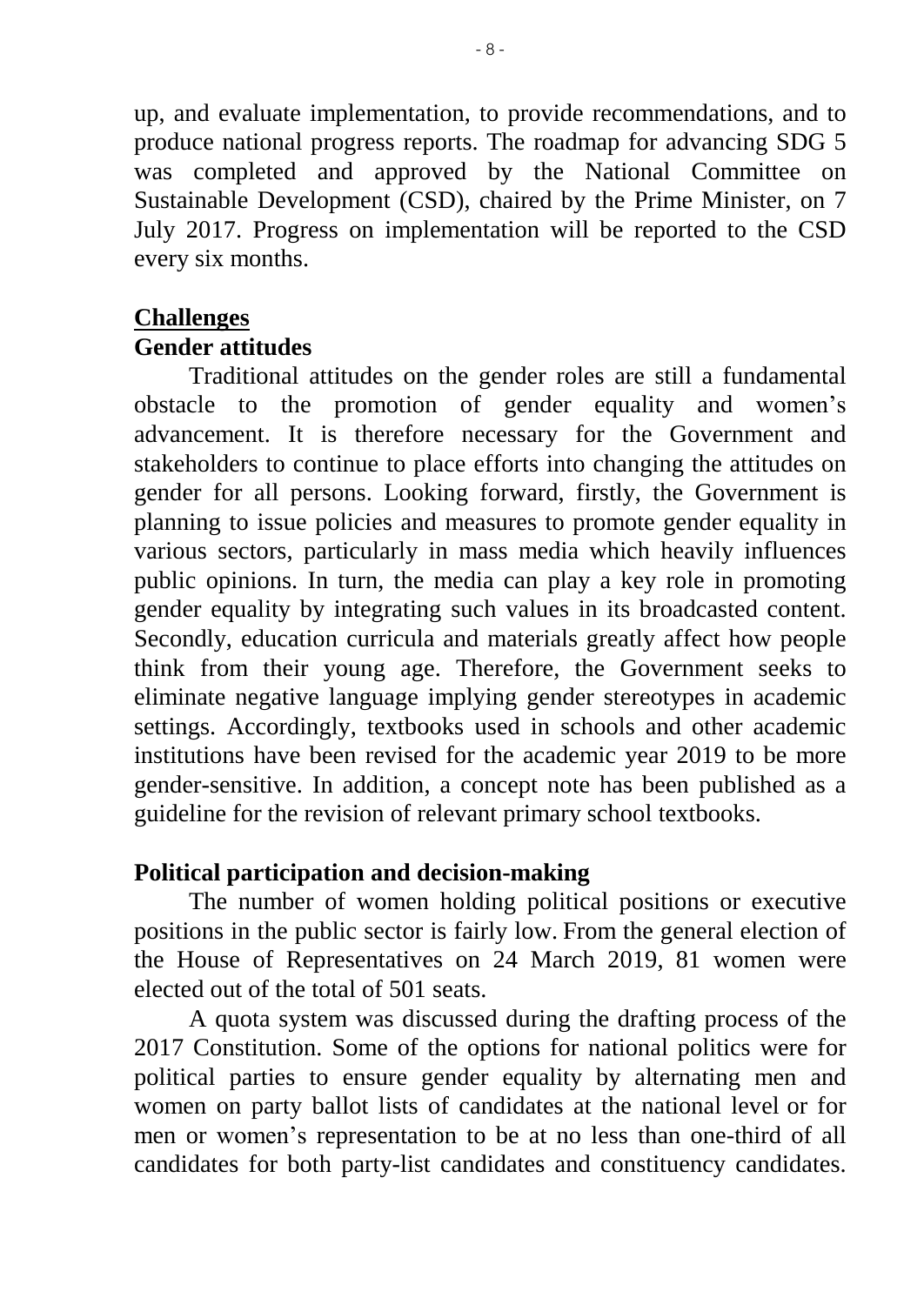up, and evaluate implementation, to provide recommendations, and to produce national progress reports. The roadmap for advancing SDG 5 was completed and approved by the National Committee on Sustainable Development (CSD), chaired by the Prime Minister, on 7 July 2017. Progress on implementation will be reported to the CSD every six months.

# **Challenges**

#### **Gender attitudes**

Traditional attitudes on the gender roles are still a fundamental obstacle to the promotion of gender equality and women's advancement. It is therefore necessary for the Government and stakeholders to continue to place efforts into changing the attitudes on gender for all persons. Looking forward, firstly, the Government is planning to issue policies and measures to promote gender equality in various sectors, particularly in mass media which heavily influences public opinions. In turn, the media can play a key role in promoting gender equality by integrating such values in its broadcasted content. Secondly, education curricula and materials greatly affect how people think from their young age. Therefore, the Government seeks to eliminate negative language implying gender stereotypes in academic settings. Accordingly, textbooks used in schools and other academic institutions have been revised for the academic year 2019 to be more gender-sensitive. In addition, a concept note has been published as a guideline for the revision of relevant primary school textbooks.

#### **Political participation and decision-making**

The number of women holding political positions or executive positions in the public sector is fairly low. From the general election of the House of Representatives on 24 March 2019, 81 women were elected out of the total of 501 seats.

A quota system was discussed during the drafting process of the 2017 Constitution. Some of the options for national politics were for political parties to ensure gender equality by alternating men and women on party ballot lists of candidates at the national level or for men or women's representation to be at no less than one-third of all candidates for both party-list candidates and constituency candidates.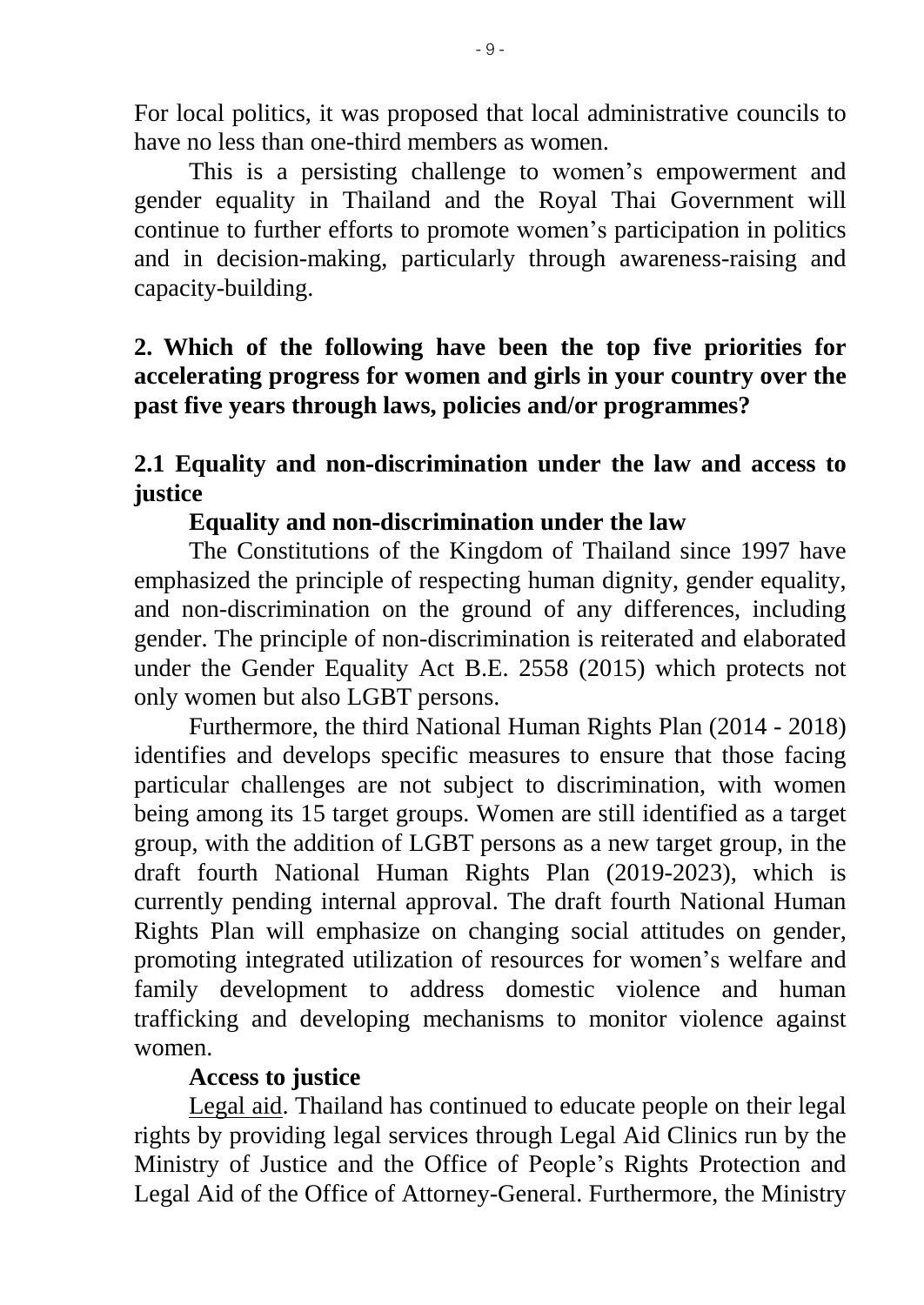For local politics, it was proposed that local administrative councils to have no less than one-third members as women.

This is a persisting challenge to women's empowerment and gender equality in Thailand and the Royal Thai Government will continue to further efforts to promote women's participation in politics and in decision-making, particularly through awareness-raising and capacity-building.

# **2. Which of the following have been the top five priorities for accelerating progress for women and girls in your country over the past five years through laws, policies and/or programmes?**

# **2.1 Equality and non-discrimination under the law and access to justice**

### **Equality and non-discrimination under the law**

The Constitutions of the Kingdom of Thailand since 1997 have emphasized the principle of respecting human dignity, gender equality, and non-discrimination on the ground of any differences, including gender. The principle of non-discrimination is reiterated and elaborated under the Gender Equality Act B.E. 2558 (2015) which protects not only women but also LGBT persons.

Furthermore, the third National Human Rights Plan (2014 - 2018) identifies and develops specific measures to ensure that those facing particular challenges are not subject to discrimination, with women being among its 15 target groups. Women are still identified as a target group, with the addition of LGBT persons as a new target group, in the draft fourth National Human Rights Plan (2019-2023), which is currently pending internal approval. The draft fourth National Human Rights Plan will emphasize on changing social attitudes on gender, promoting integrated utilization of resources for women's welfare and family development to address domestic violence and human trafficking and developing mechanisms to monitor violence against women.

# **Access to justice**

Legal aid. Thailand has continued to educate people on their legal rights by providing legal services through Legal Aid Clinics run by the Ministry of Justice and the Office of People's Rights Protection and Legal Aid of the Office of Attorney-General. Furthermore, the Ministry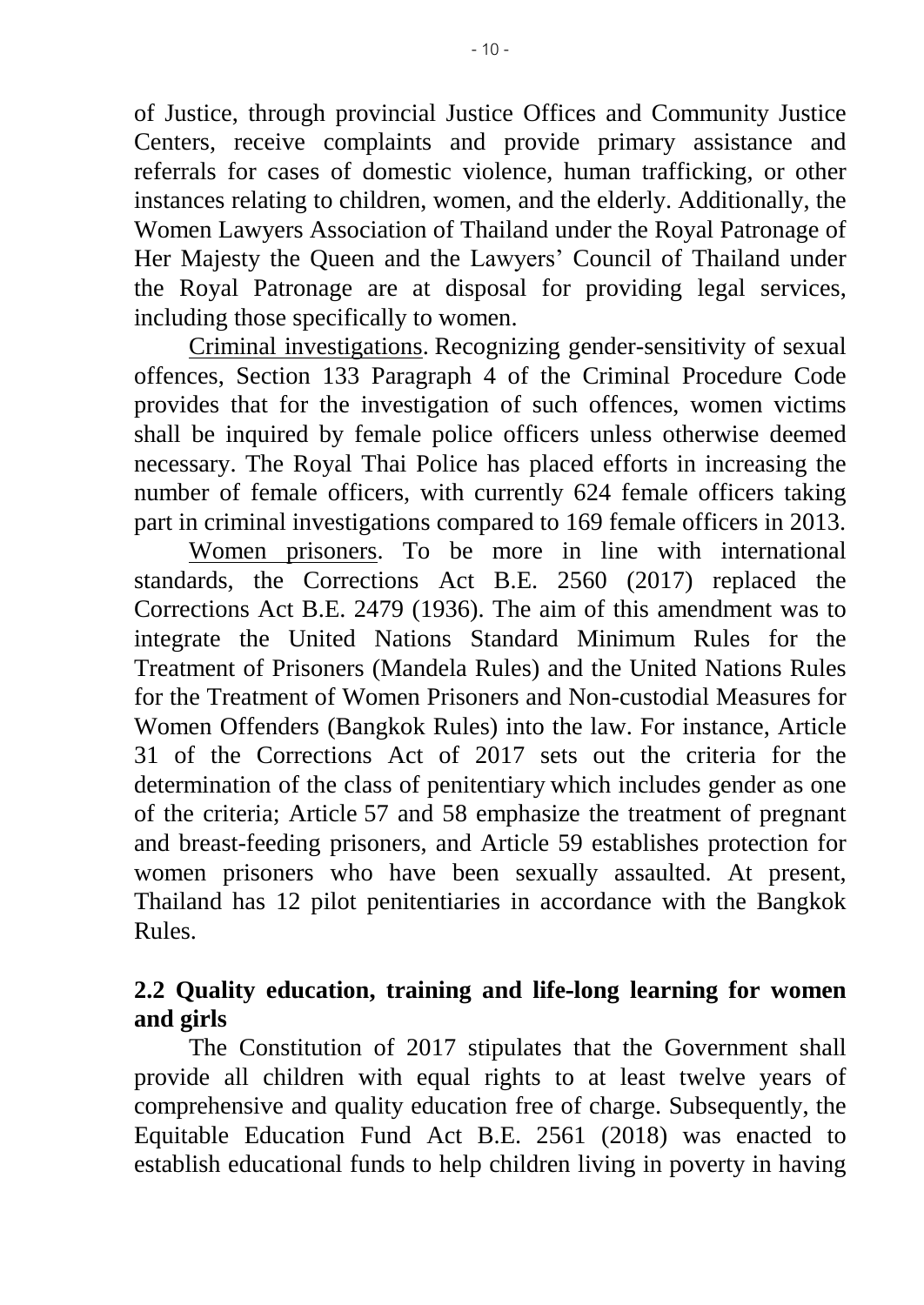of Justice, through provincial Justice Offices and Community Justice Centers, receive complaints and provide primary assistance and referrals for cases of domestic violence, human trafficking, or other instances relating to children, women, and the elderly. Additionally, the Women Lawyers Association of Thailand under the Royal Patronage of Her Majesty the Queen and the Lawyers' Council of Thailand under the Royal Patronage are at disposal for providing legal services, including those specifically to women.

Criminal investigations. Recognizing gender-sensitivity of sexual offences, Section 133 Paragraph 4 of the Criminal Procedure Code provides that for the investigation of such offences, women victims shall be inquired by female police officers unless otherwise deemed necessary. The Royal Thai Police has placed efforts in increasing the number of female officers, with currently 624 female officers taking part in criminal investigations compared to 169 female officers in 2013.

Women prisoners. To be more in line with international standards, the Corrections Act B.E. 2560 (2017) replaced the Corrections Act B.E. 2479 (1936). The aim of this amendment was to integrate the United Nations Standard Minimum Rules for the Treatment of Prisoners (Mandela Rules) and the United Nations Rules for the Treatment of Women Prisoners and Non-custodial Measures for Women Offenders (Bangkok Rules) into the law. For instance, Article 31 of the Corrections Act of 2017 sets out the criteria for the determination of the class of penitentiary which includes gender as one of the criteria; Article 57 and 58 emphasize the treatment of pregnant and breast-feeding prisoners, and Article 59 establishes protection for women prisoners who have been sexually assaulted. At present, Thailand has 12 pilot penitentiaries in accordance with the Bangkok Rules.

# **2.2 Quality education, training and life-long learning for women and girls**

The Constitution of 2017 stipulates that the Government shall provide all children with equal rights to at least twelve years of comprehensive and quality education free of charge. Subsequently, the Equitable Education Fund Act B.E. 2561 (2018) was enacted to establish educational funds to help children living in poverty in having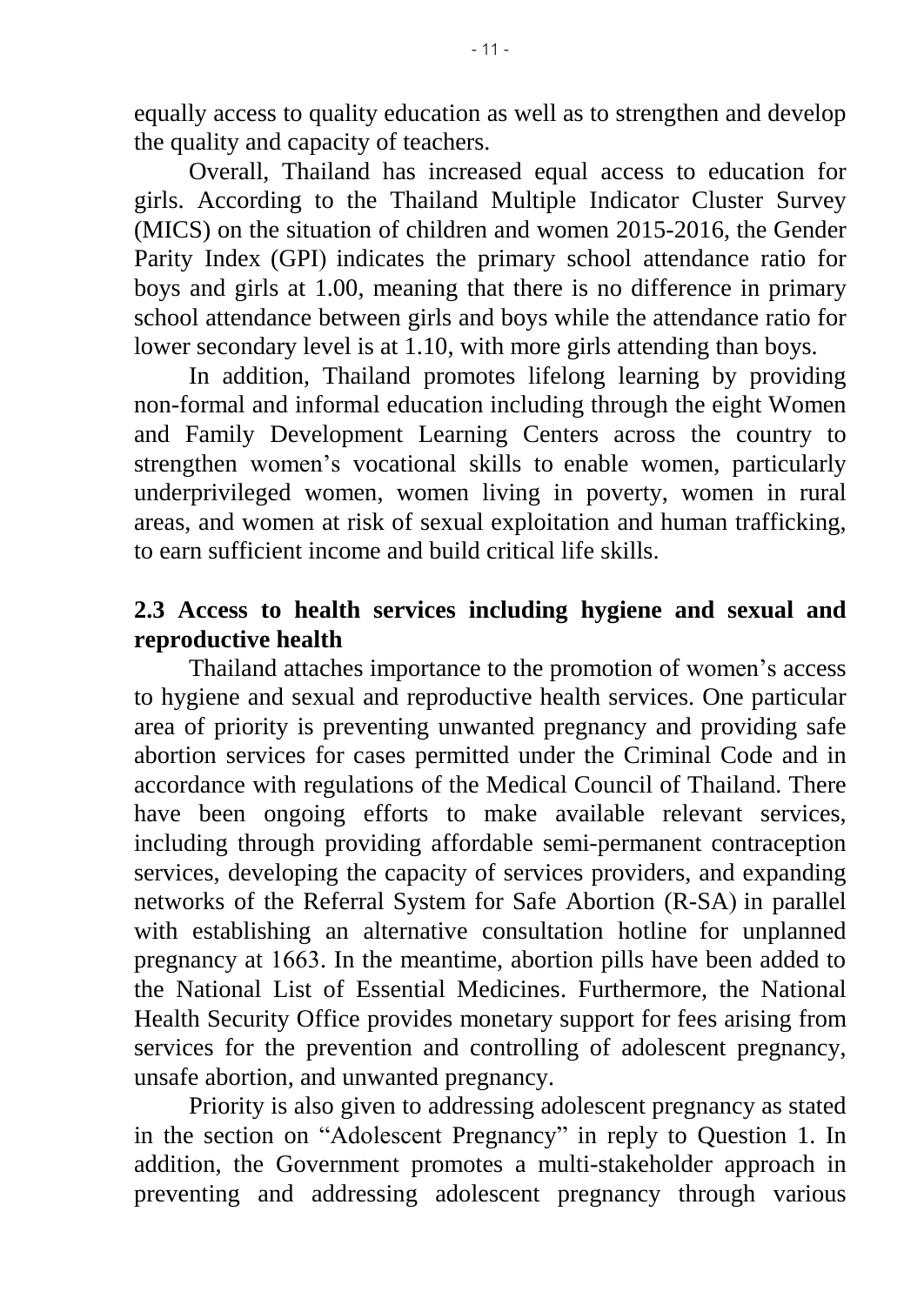equally access to quality education as well as to strengthen and develop the quality and capacity of teachers.

Overall, Thailand has increased equal access to education for girls. According to the Thailand Multiple Indicator Cluster Survey (MICS) on the situation of children and women 2015-2016, the Gender Parity Index (GPI) indicates the primary school attendance ratio for boys and girls at 1.00, meaning that there is no difference in primary school attendance between girls and boys while the attendance ratio for lower secondary level is at 1.10, with more girls attending than boys.

In addition, Thailand promotes lifelong learning by providing non-formal and informal education including through the eight Women and Family Development Learning Centers across the country to strengthen women's vocational skills to enable women, particularly underprivileged women, women living in poverty, women in rural areas, and women at risk of sexual exploitation and human trafficking, to earn sufficient income and build critical life skills.

#### **2.3 Access to health services including hygiene and sexual and reproductive health**

Thailand attaches importance to the promotion of women's access to hygiene and sexual and reproductive health services. One particular area of priority is preventing unwanted pregnancy and providing safe abortion services for cases permitted under the Criminal Code and in accordance with regulations of the Medical Council of Thailand. There have been ongoing efforts to make available relevant services, including through providing affordable semi-permanent contraception services, developing the capacity of services providers, and expanding networks of the Referral System for Safe Abortion (R-SA) in parallel with establishing an alternative consultation hotline for unplanned pregnancy at 1663. In the meantime, abortion pills have been added to the National List of Essential Medicines. Furthermore, the National Health Security Office provides monetary support for fees arising from services for the prevention and controlling of adolescent pregnancy, unsafe abortion, and unwanted pregnancy.

Priority is also given to addressing adolescent pregnancy as stated in the section on "Adolescent Pregnancy" in reply to Question 1. In addition, the Government promotes a multi-stakeholder approach in preventing and addressing adolescent pregnancy through various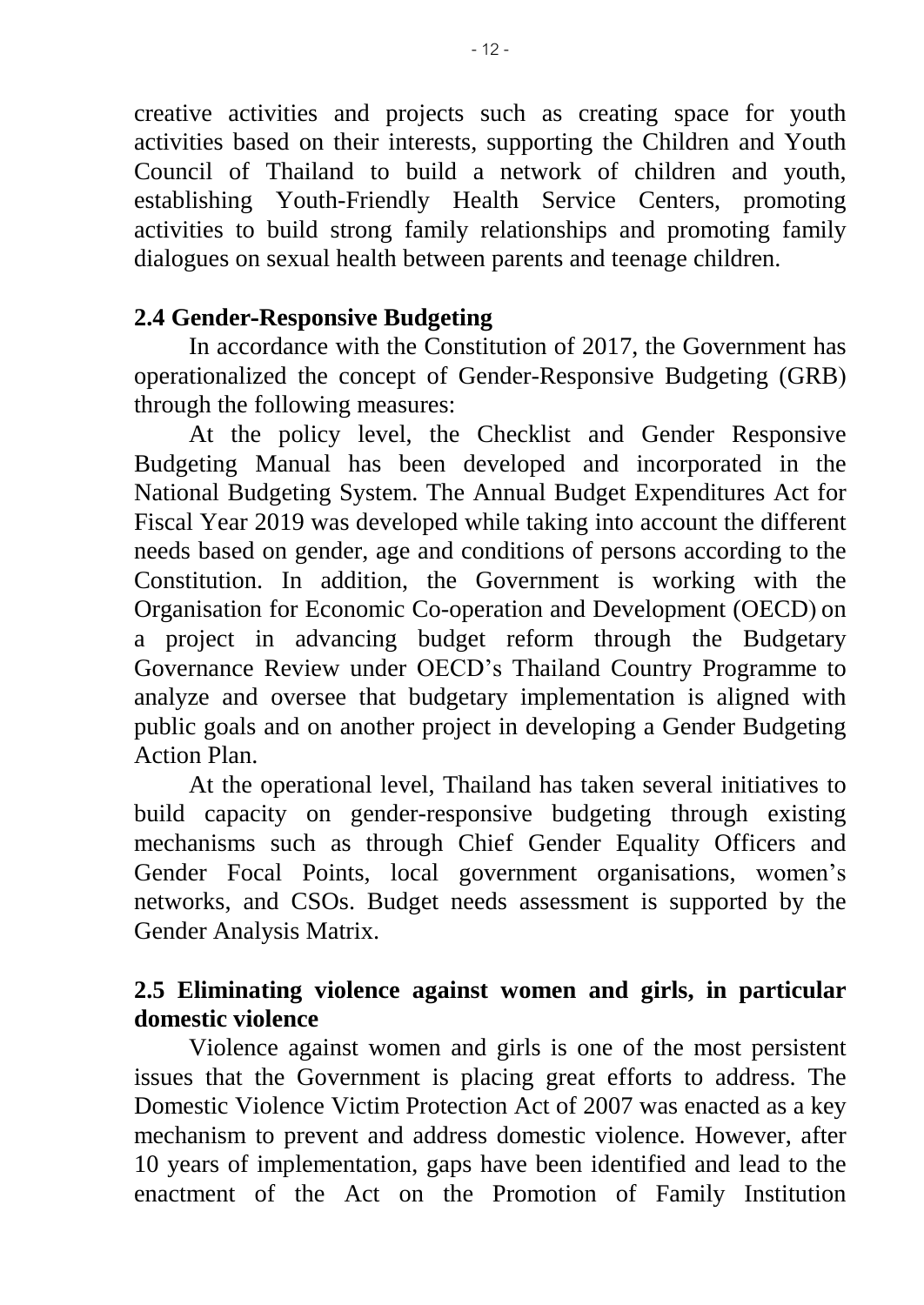creative activities and projects such as creating space for youth activities based on their interests, supporting the Children and Youth Council of Thailand to build a network of children and youth, establishing Youth-Friendly Health Service Centers, promoting activities to build strong family relationships and promoting family dialogues on sexual health between parents and teenage children.

#### **2.4 Gender-Responsive Budgeting**

In accordance with the Constitution of 2017, the Government has operationalized the concept of Gender-Responsive Budgeting (GRB) through the following measures:

At the policy level, the Checklist and Gender Responsive Budgeting Manual has been developed and incorporated in the National Budgeting System. The Annual Budget Expenditures Act for Fiscal Year 2019 was developed while taking into account the different needs based on gender, age and conditions of persons according to the Constitution. In addition, the Government is working with the Organisation for Economic Co-operation and Development (OECD) on a project in advancing budget reform through the Budgetary Governance Review under OECD's Thailand Country Programme to analyze and oversee that budgetary implementation is aligned with public goals and on another project in developing a Gender Budgeting Action Plan.

At the operational level, Thailand has taken several initiatives to build capacity on gender-responsive budgeting through existing mechanisms such as through Chief Gender Equality Officers and Gender Focal Points, local government organisations, women's networks, and CSOs. Budget needs assessment is supported by the Gender Analysis Matrix.

### **2.5 Eliminating violence against women and girls, in particular domestic violence**

Violence against women and girls is one of the most persistent issues that the Government is placing great efforts to address. The Domestic Violence Victim Protection Act of 2007 was enacted as a key mechanism to prevent and address domestic violence. However, after 10 years of implementation, gaps have been identified and lead to the enactment of the Act on the Promotion of Family Institution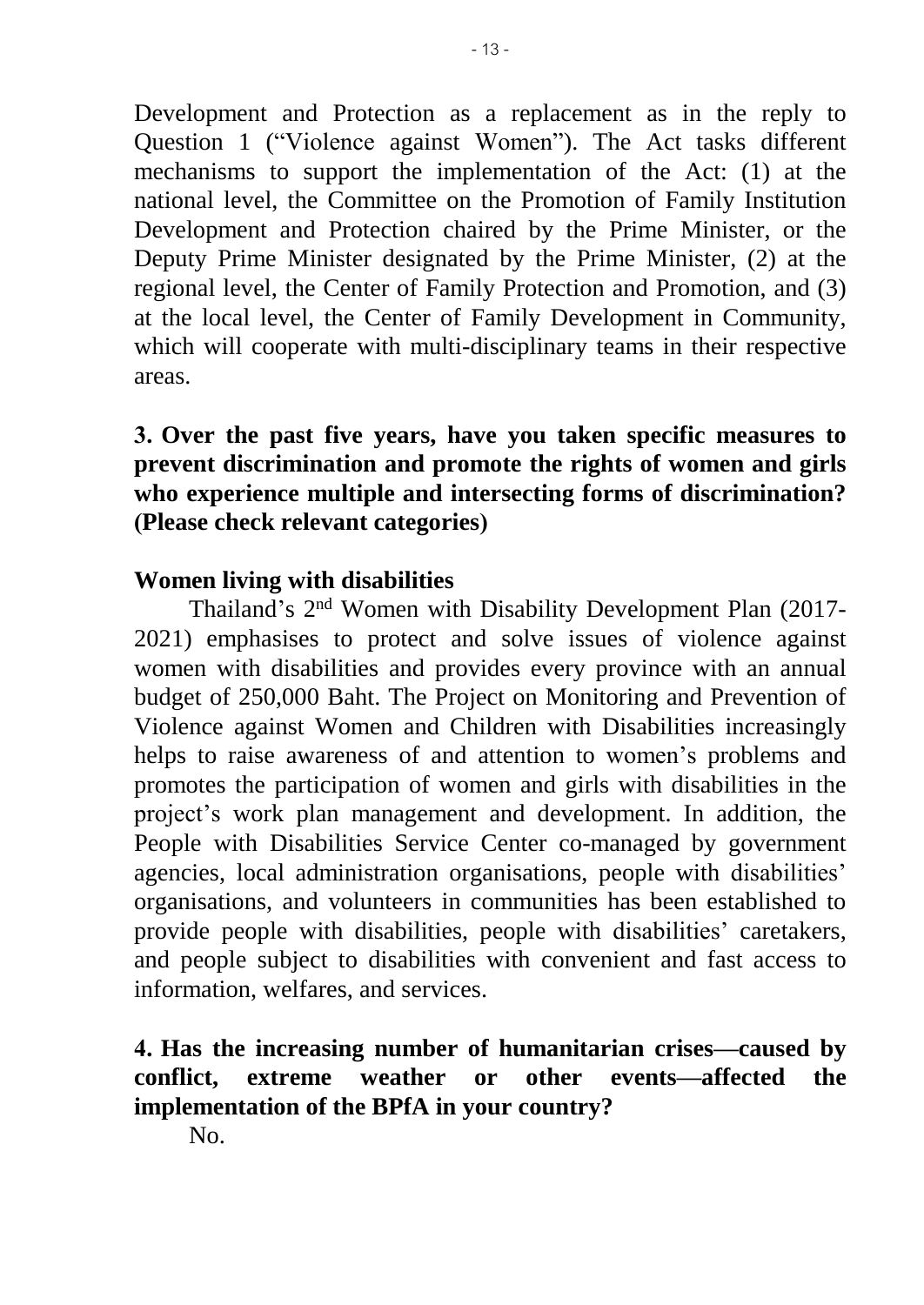Development and Protection as a replacement as in the reply to Question 1 ("Violence against Women"). The Act tasks different mechanisms to support the implementation of the Act: (1) at the national level, the Committee on the Promotion of Family Institution Development and Protection chaired by the Prime Minister, or the Deputy Prime Minister designated by the Prime Minister, (2) at the regional level, the Center of Family Protection and Promotion, and (3) at the local level, the Center of Family Development in Community, which will cooperate with multi-disciplinary teams in their respective areas.

# **3. Over the past five years, have you taken specific measures to prevent discrimination and promote the rights of women and girls who experience multiple and intersecting forms of discrimination? (Please check relevant categories)**

#### **Women living with disabilities**

Thailand's 2<sup>nd</sup> Women with Disability Development Plan (2017-2021) emphasises to protect and solve issues of violence against women with disabilities and provides every province with an annual budget of 250,000 Baht. The Project on Monitoring and Prevention of Violence against Women and Children with Disabilities increasingly helps to raise awareness of and attention to women's problems and promotes the participation of women and girls with disabilities in the project's work plan management and development. In addition, the People with Disabilities Service Center co-managed by government agencies, local administration organisations, people with disabilities' organisations, and volunteers in communities has been established to provide people with disabilities, people with disabilities' caretakers, and people subject to disabilities with convenient and fast access to information, welfares, and services.

#### **4. Has the increasing number of humanitarian crises—caused by conflict, extreme weather or other events—affected the implementation of the BPfA in your country?**

No.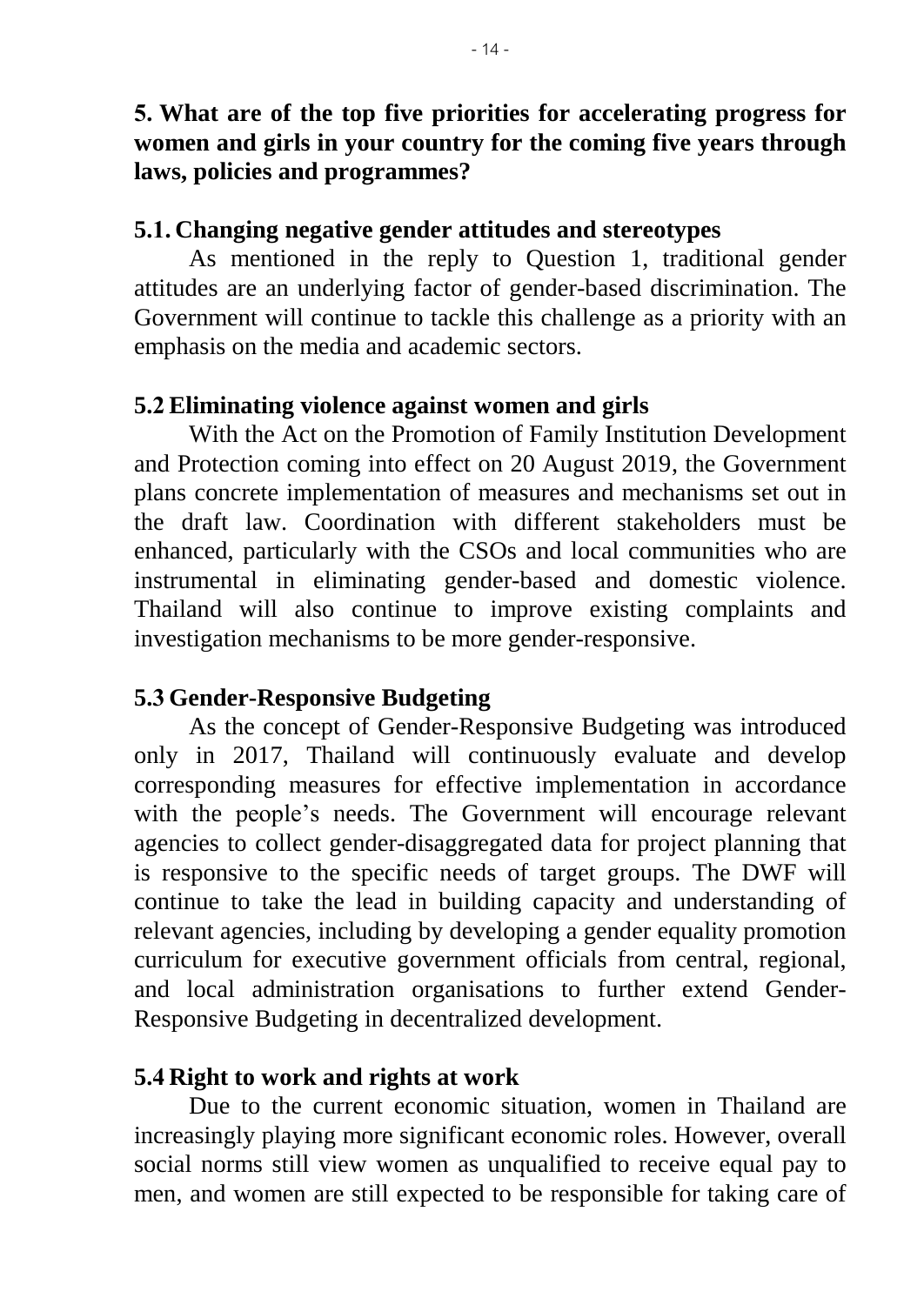## **5. What are of the top five priorities for accelerating progress for women and girls in your country for the coming five years through laws, policies and programmes?**

#### **5.1. Changing negative gender attitudes and stereotypes**

As mentioned in the reply to Question 1, traditional gender attitudes are an underlying factor of gender-based discrimination. The Government will continue to tackle this challenge as a priority with an emphasis on the media and academic sectors.

#### **5.2 Eliminating violence against women and girls**

With the Act on the Promotion of Family Institution Development and Protection coming into effect on 20 August 2019, the Government plans concrete implementation of measures and mechanisms set out in the draft law. Coordination with different stakeholders must be enhanced, particularly with the CSOs and local communities who are instrumental in eliminating gender-based and domestic violence. Thailand will also continue to improve existing complaints and investigation mechanisms to be more gender-responsive.

### **5.3 Gender-Responsive Budgeting**

As the concept of Gender-Responsive Budgeting was introduced only in 2017, Thailand will continuously evaluate and develop corresponding measures for effective implementation in accordance with the people's needs. The Government will encourage relevant agencies to collect gender-disaggregated data for project planning that is responsive to the specific needs of target groups. The DWF will continue to take the lead in building capacity and understanding of relevant agencies, including by developing a gender equality promotion curriculum for executive government officials from central, regional, and local administration organisations to further extend Gender-Responsive Budgeting in decentralized development.

### **5.4 Right to work and rights at work**

Due to the current economic situation, women in Thailand are increasingly playing more significant economic roles. However, overall social norms still view women as unqualified to receive equal pay to men, and women are still expected to be responsible for taking care of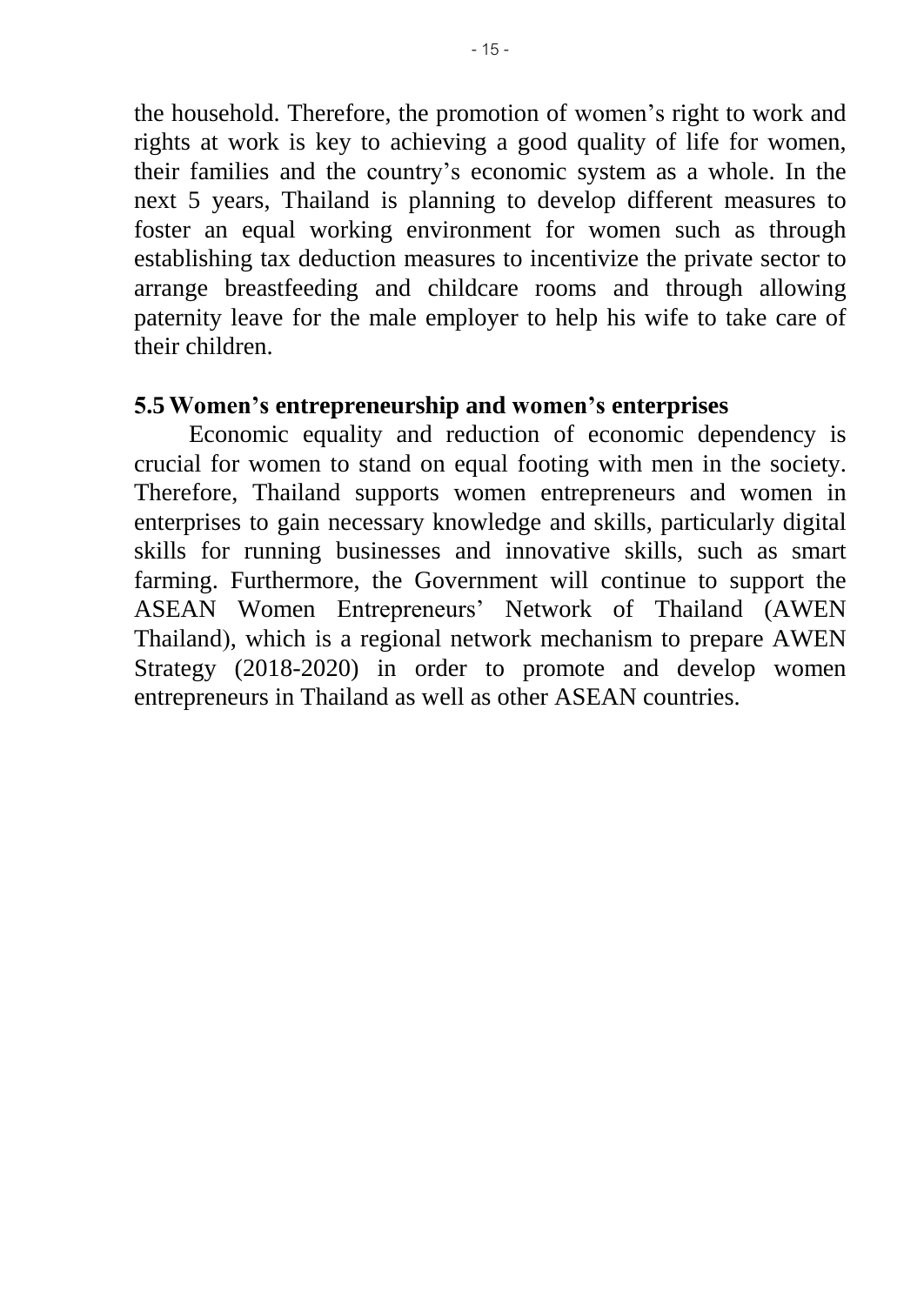the household. Therefore, the promotion of women's right to work and rights at work is key to achieving a good quality of life for women, their families and the country's economic system as a whole. In the next 5 years, Thailand is planning to develop different measures to foster an equal working environment for women such as through establishing tax deduction measures to incentivize the private sector to arrange breastfeeding and childcare rooms and through allowing paternity leave for the male employer to help his wife to take care of their children.

#### **5.5 Women's entrepreneurship and women's enterprises**

Economic equality and reduction of economic dependency is crucial for women to stand on equal footing with men in the society. Therefore, Thailand supports women entrepreneurs and women in enterprises to gain necessary knowledge and skills, particularly digital skills for running businesses and innovative skills, such as smart farming. Furthermore, the Government will continue to support the ASEAN Women Entrepreneurs' Network of Thailand (AWEN Thailand), which is a regional network mechanism to prepare AWEN Strategy (2018-2020) in order to promote and develop women entrepreneurs in Thailand as well as other ASEAN countries.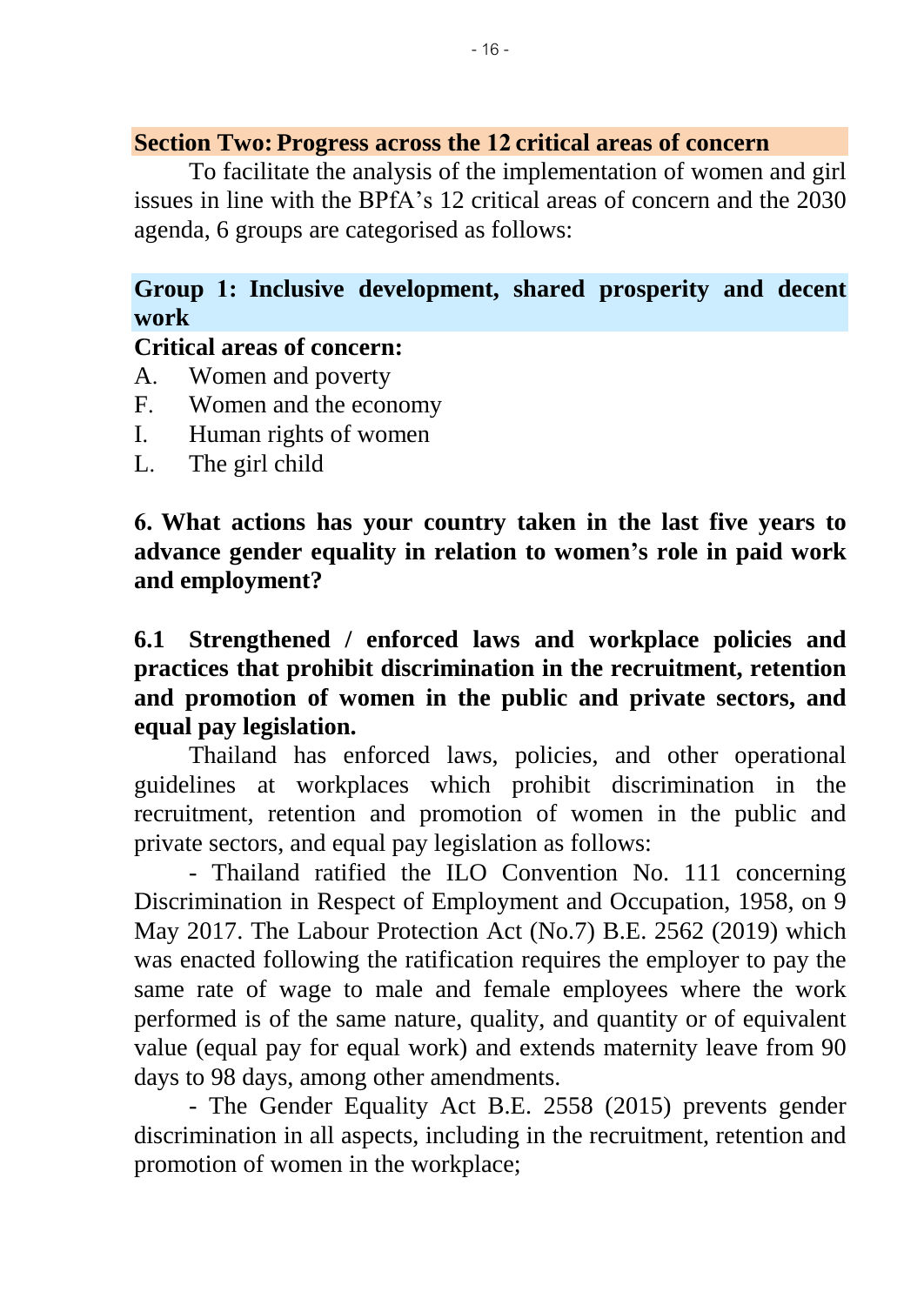#### **Section Two: Progress across the 12 critical areas of concern**

To facilitate the analysis of the implementation of women and girl issues in line with the BPfA's 12 critical areas of concern and the 2030 agenda, 6 groups are categorised as follows:

# **Group 1: Inclusive development, shared prosperity and decent work**

#### **Critical areas of concern:**

- A. Women and poverty
- F. Women and the economy
- I. Human rights of women
- L. The girl child

**6. What actions has your country taken in the last five years to advance gender equality in relation to women's role in paid work and employment?**

# **6.1 Strengthened / enforced laws and workplace policies and practices that prohibit discrimination in the recruitment, retention and promotion of women in the public and private sectors, and equal pay legislation.**

Thailand has enforced laws, policies, and other operational guidelines at workplaces which prohibit discrimination in the recruitment, retention and promotion of women in the public and private sectors, and equal pay legislation as follows:

- Thailand ratified the ILO Convention No. 111 concerning Discrimination in Respect of Employment and Occupation, 1958, on 9 May 2017. The Labour Protection Act (No.7) B.E. 2562 (2019) which was enacted following the ratification requires the employer to pay the same rate of wage to male and female employees where the work performed is of the same nature, quality, and quantity or of equivalent value (equal pay for equal work) and extends maternity leave from 90 days to 98 days, among other amendments.

- The Gender Equality Act B.E. 2558 (2015) prevents gender discrimination in all aspects, including in the recruitment, retention and promotion of women in the workplace;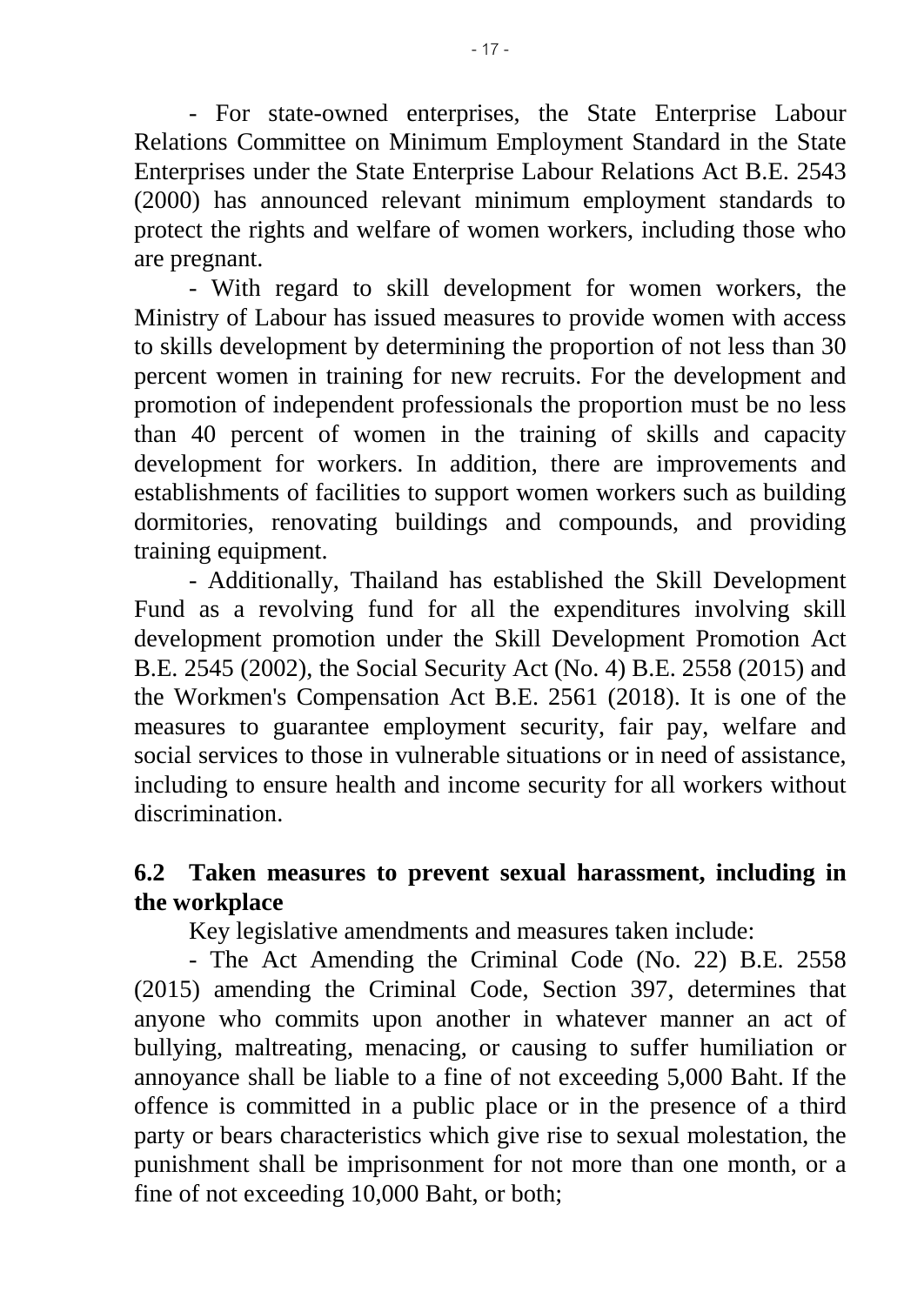- For state-owned enterprises, the State Enterprise Labour Relations Committee on Minimum Employment Standard in the State Enterprises under the State Enterprise Labour Relations Act B.E. 2543 (2000) has announced relevant minimum employment standards to protect the rights and welfare of women workers, including those who are pregnant.

- With regard to skill development for women workers, the Ministry of Labour has issued measures to provide women with access to skills development by determining the proportion of not less than 30 percent women in training for new recruits. For the development and promotion of independent professionals the proportion must be no less than 40 percent of women in the training of skills and capacity development for workers. In addition, there are improvements and establishments of facilities to support women workers such as building dormitories, renovating buildings and compounds, and providing training equipment.

- Additionally, Thailand has established the Skill Development Fund as a revolving fund for all the expenditures involving skill development promotion under the Skill Development Promotion Act B.E. 2545 (2002), the Social Security Act (No. 4) B.E. 2558 (2015) and the Workmen's Compensation Act B.E. 2561 (2018). It is one of the measures to guarantee employment security, fair pay, welfare and social services to those in vulnerable situations or in need of assistance, including to ensure health and income security for all workers without discrimination.

# **6.2 Taken measures to prevent sexual harassment, including in the workplace**

Key legislative amendments and measures taken include:

- The Act Amending the Criminal Code (No. 22) B.E. 2558 (2015) amending the Criminal Code, Section 397, determines that anyone who commits upon another in whatever manner an act of bullying, maltreating, menacing, or causing to suffer humiliation or annoyance shall be liable to a fine of not exceeding 5,000 Baht. If the offence is committed in a public place or in the presence of a third party or bears characteristics which give rise to sexual molestation, the punishment shall be imprisonment for not more than one month, or a fine of not exceeding 10,000 Baht, or both;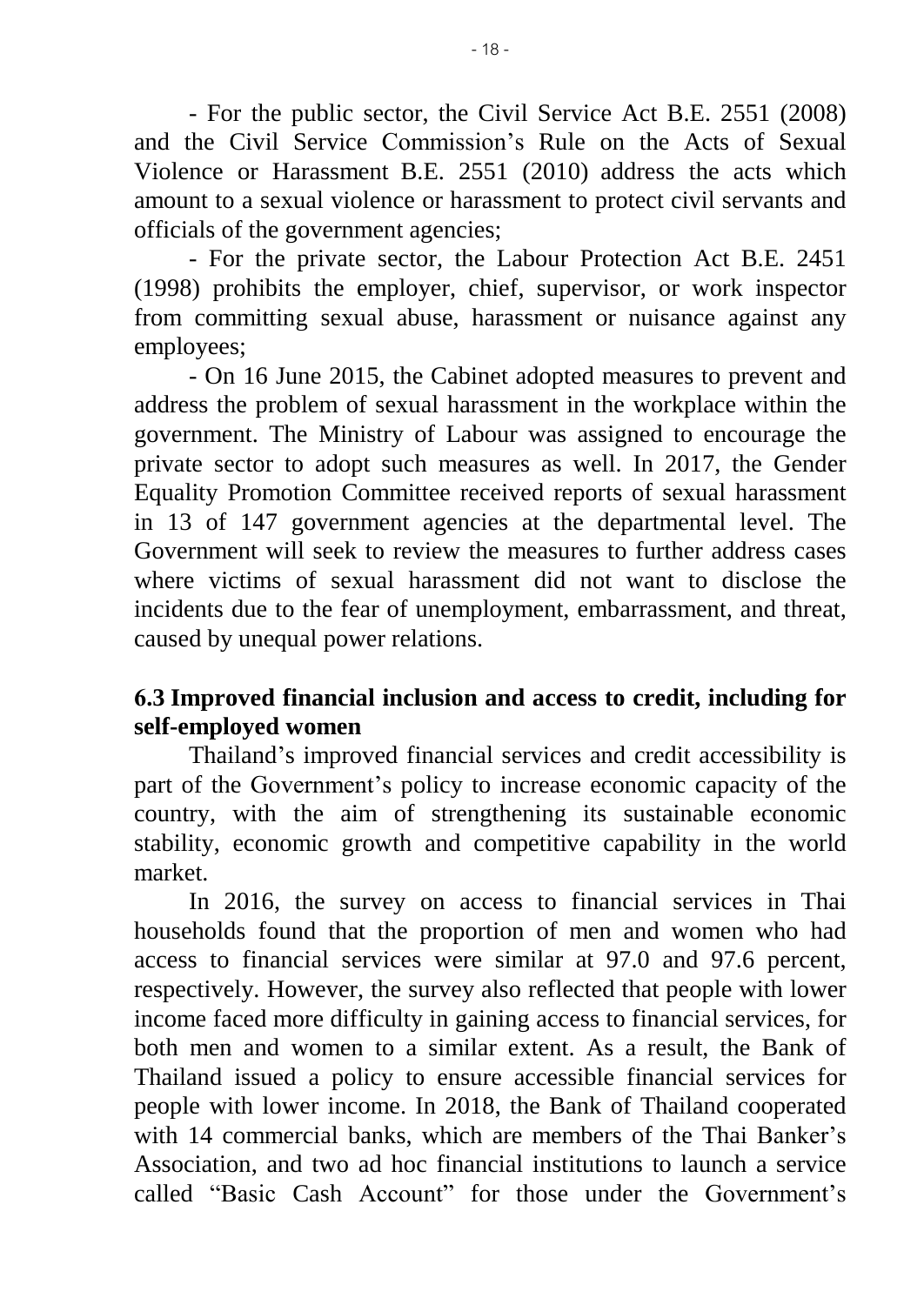- For the public sector, the Civil Service Act B.E. 2551 (2008) and the Civil Service Commission's Rule on the Acts of Sexual Violence or Harassment B.E. 2551 (2010) address the acts which amount to a sexual violence or harassment to protect civil servants and officials of the government agencies;

- For the private sector, the Labour Protection Act B.E. 2451 (1998) prohibits the employer, chief, supervisor, or work inspector from committing sexual abuse, harassment or nuisance against any employees;

- On 16 June 2015, the Cabinet adopted measures to prevent and address the problem of sexual harassment in the workplace within the government. The Ministry of Labour was assigned to encourage the private sector to adopt such measures as well. In 2017, the Gender Equality Promotion Committee received reports of sexual harassment in 13 of 147 government agencies at the departmental level. The Government will seek to review the measures to further address cases where victims of sexual harassment did not want to disclose the incidents due to the fear of unemployment, embarrassment, and threat, caused by unequal power relations.

# **6.3 Improved financial inclusion and access to credit, including for self-employed women**

Thailand's improved financial services and credit accessibility is part of the Government's policy to increase economic capacity of the country, with the aim of strengthening its sustainable economic stability, economic growth and competitive capability in the world market.

In 2016, the survey on access to financial services in Thai households found that the proportion of men and women who had access to financial services were similar at 97.0 and 97.6 percent, respectively. However, the survey also reflected that people with lower income faced more difficulty in gaining access to financial services, for both men and women to a similar extent. As a result, the Bank of Thailand issued a policy to ensure accessible financial services for people with lower income. In 2018, the Bank of Thailand cooperated with 14 commercial banks, which are members of the Thai Banker's Association, and two ad hoc financial institutions to launch a service called "Basic Cash Account" for those under the Government's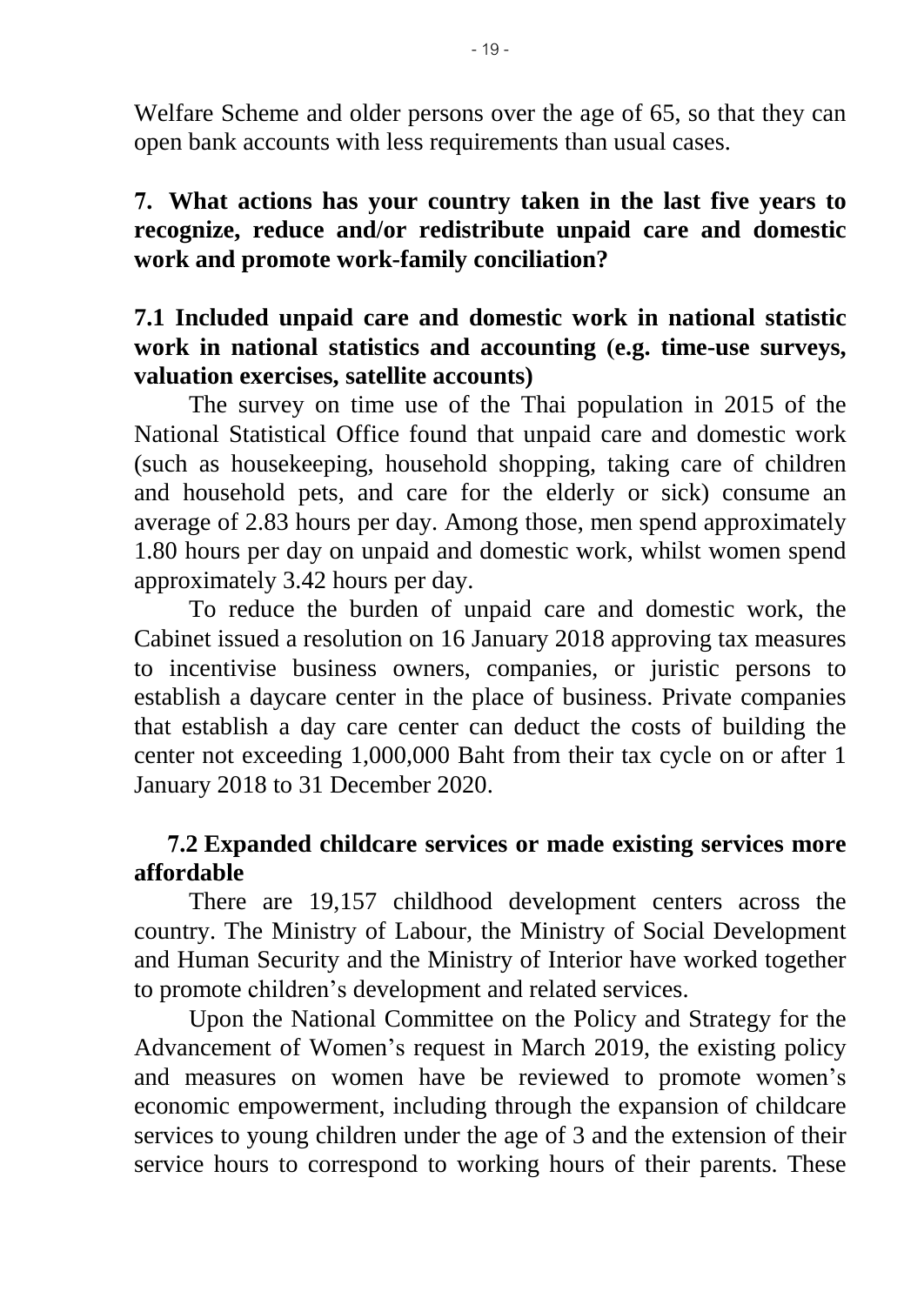Welfare Scheme and older persons over the age of 65, so that they can open bank accounts with less requirements than usual cases.

### **7. What actions has your country taken in the last five years to recognize, reduce and/or redistribute unpaid care and domestic work and promote work-family conciliation?**

## **7.1 Included unpaid care and domestic work in national statistic work in national statistics and accounting (e.g. time-use surveys, valuation exercises, satellite accounts)**

The survey on time use of the Thai population in 2015 of the National Statistical Office found that unpaid care and domestic work (such as housekeeping, household shopping, taking care of children and household pets, and care for the elderly or sick) consume an average of 2.83 hours per day. Among those, men spend approximately 1.80 hours per day on unpaid and domestic work, whilst women spend approximately 3.42 hours per day.

To reduce the burden of unpaid care and domestic work, the Cabinet issued a resolution on 16 January 2018 approving tax measures to incentivise business owners, companies, or juristic persons to establish a daycare center in the place of business. Private companies that establish a day care center can deduct the costs of building the center not exceeding 1,000,000 Baht from their tax cycle on or after 1 January 2018 to 31 December 2020.

# **7.2 Expanded childcare services or made existing services more affordable**

There are 19,157 childhood development centers across the country. The Ministry of Labour, the Ministry of Social Development and Human Security and the Ministry of Interior have worked together to promote children's development and related services.

Upon the National Committee on the Policy and Strategy for the Advancement of Women's request in March 2019, the existing policy and measures on women have be reviewed to promote women's economic empowerment, including through the expansion of childcare services to young children under the age of 3 and the extension of their service hours to correspond to working hours of their parents. These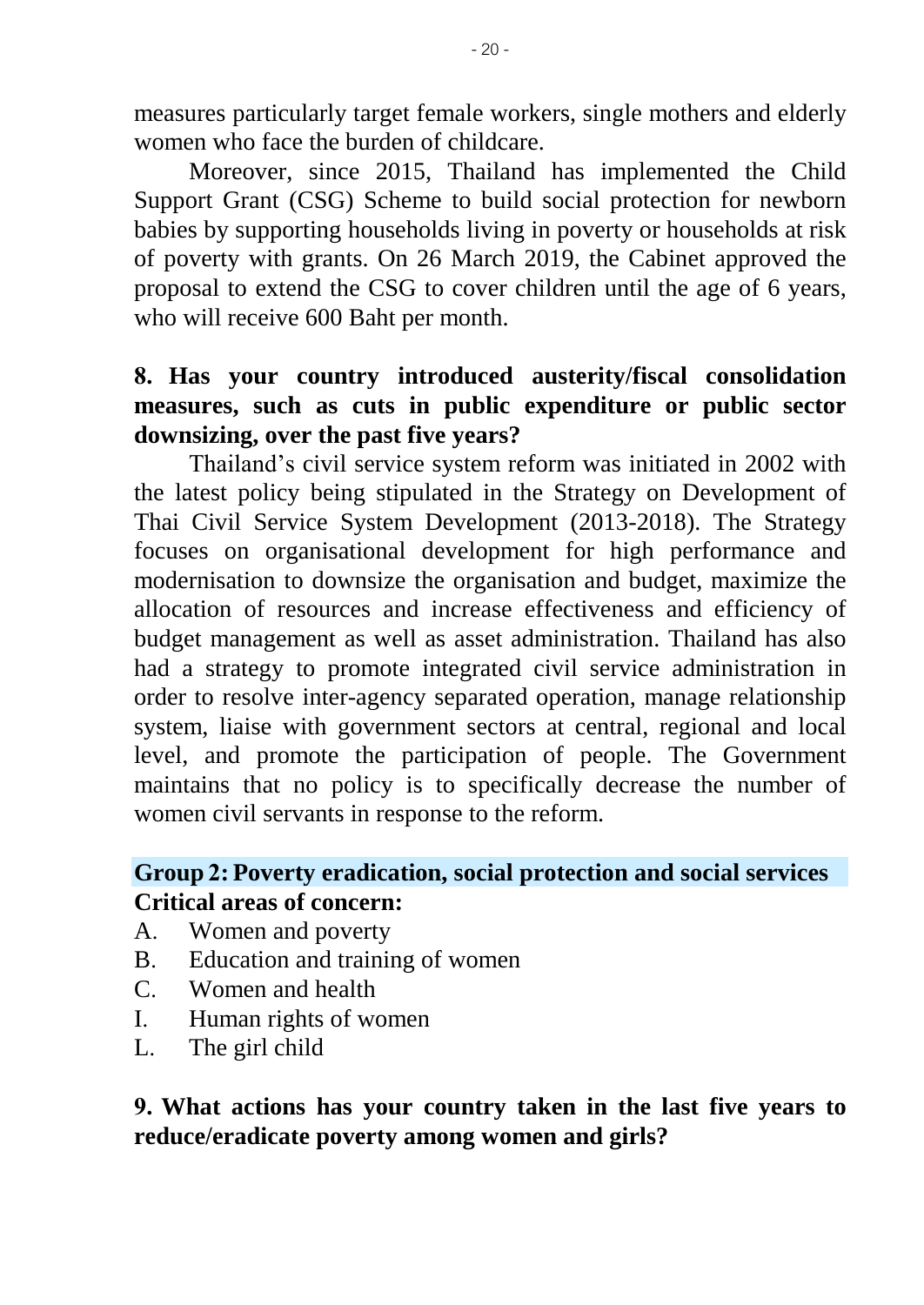measures particularly target female workers, single mothers and elderly women who face the burden of childcare.

Moreover, since 2015, Thailand has implemented the Child Support Grant (CSG) Scheme to build social protection for newborn babies by supporting households living in poverty or households at risk of poverty with grants. On 26 March 2019, the Cabinet approved the proposal to extend the CSG to cover children until the age of 6 years, who will receive 600 Baht per month.

## **8. Has your country introduced austerity/fiscal consolidation measures, such as cuts in public expenditure or public sector downsizing, over the past five years?**

Thailand's civil service system reform was initiated in 2002 with the latest policy being stipulated in the Strategy on Development of Thai Civil Service System Development (2013-2018). The Strategy focuses on organisational development for high performance and modernisation to downsize the organisation and budget, maximize the allocation of resources and increase effectiveness and efficiency of budget management as well as asset administration. Thailand has also had a strategy to promote integrated civil service administration in order to resolve inter-agency separated operation, manage relationship system, liaise with government sectors at central, regional and local level, and promote the participation of people. The Government maintains that no policy is to specifically decrease the number of women civil servants in response to the reform.

### **Group 2: Poverty eradication, social protection and social services Critical areas of concern:**

- A. Women and poverty
- B. Education and training of women
- C. Women and health
- I. Human rights of women
- L. The girl child

**9. What actions has your country taken in the last five years to reduce/eradicate poverty among women and girls?**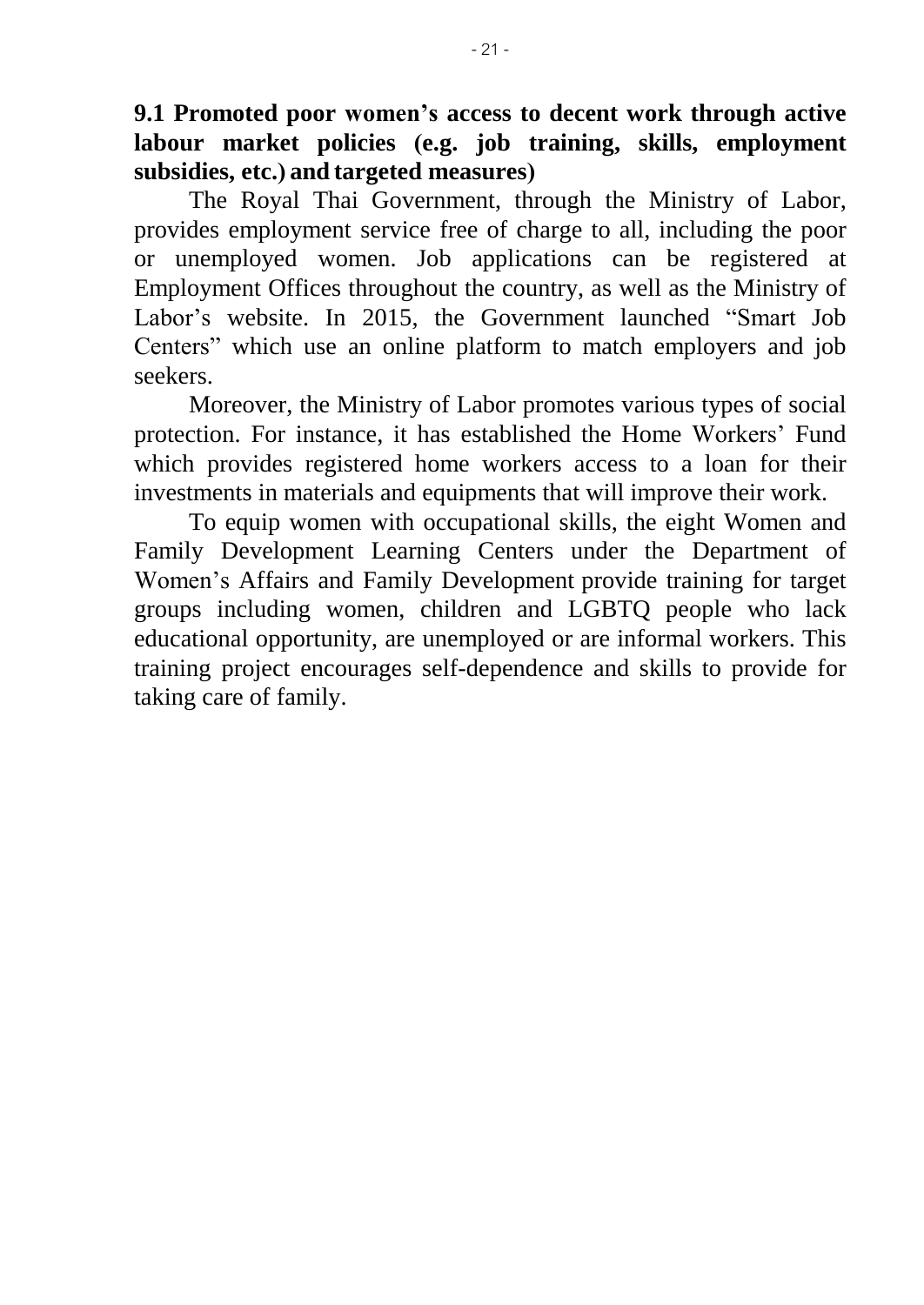**9.1 Promoted poor women's access to decent work through active labour market policies (e.g. job training, skills, employment subsidies, etc.) and targeted measures)**

The Royal Thai Government, through the Ministry of Labor, provides employment service free of charge to all, including the poor or unemployed women. Job applications can be registered at Employment Offices throughout the country, as well as the Ministry of Labor's website. In 2015, the Government launched "Smart Job Centers" which use an online platform to match employers and job seekers.

Moreover, the Ministry of Labor promotes various types of social protection. For instance, it has established the Home Workers' Fund which provides registered home workers access to a loan for their investments in materials and equipments that will improve their work.

To equip women with occupational skills, the eight Women and Family Development Learning Centers under the Department of Women's Affairs and Family Development provide training for target groups including women, children and LGBTQ people who lack educational opportunity, are unemployed or are informal workers. This training project encourages self-dependence and skills to provide for taking care of family.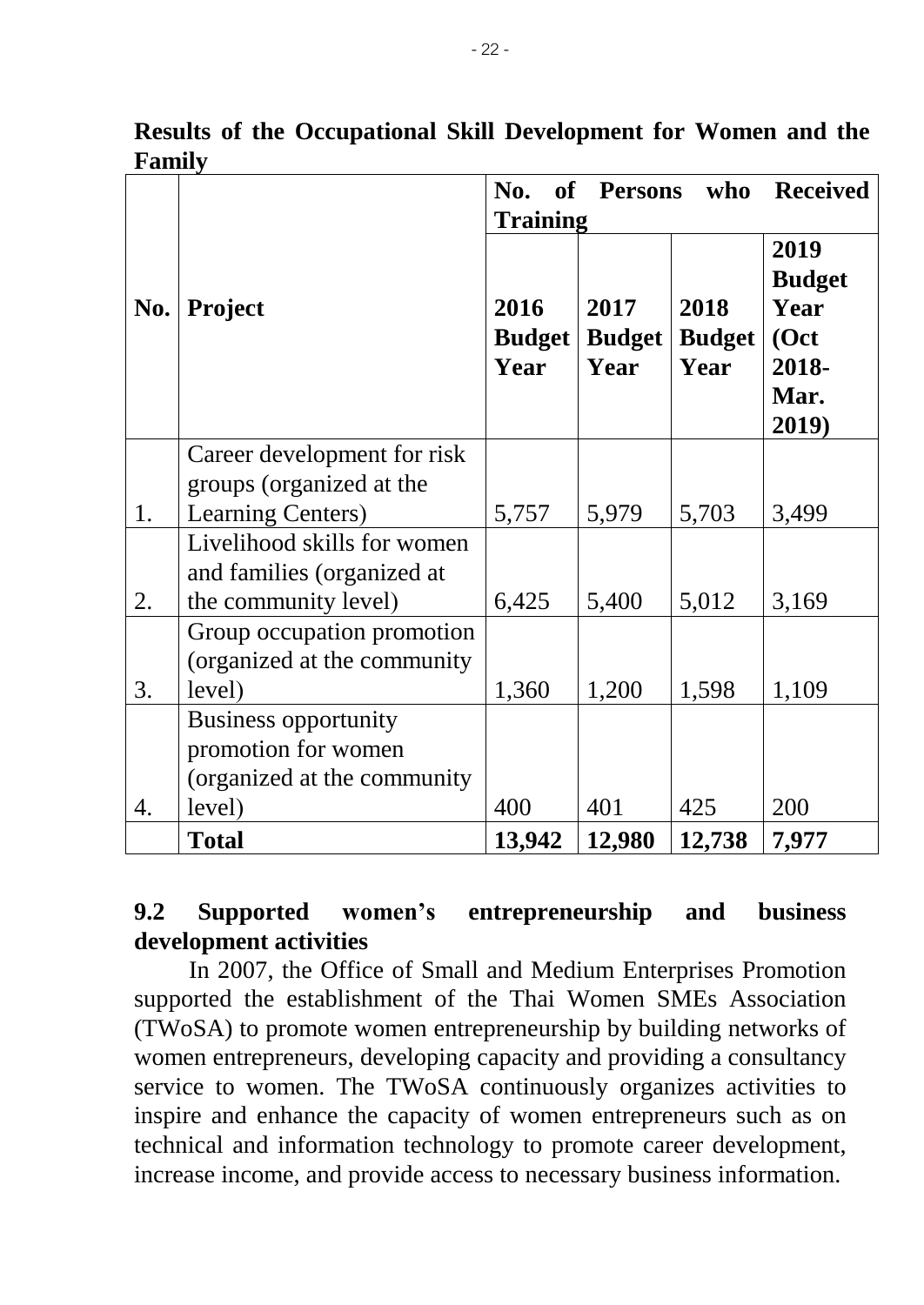|     |                              | No.<br>of       | <b>Persons</b> | who           | <b>Received</b> |
|-----|------------------------------|-----------------|----------------|---------------|-----------------|
|     |                              | <b>Training</b> |                |               |                 |
|     |                              |                 |                |               | 2019            |
|     |                              |                 |                |               | <b>Budget</b>   |
| No. | <b>Project</b>               | 2016            | 2017           | 2018          | Year            |
|     |                              | <b>Budget</b>   | <b>Budget</b>  | <b>Budget</b> | (Oct            |
|     |                              | Year            | Year           | Year          | 2018-           |
|     |                              |                 |                |               | Mar.            |
|     |                              |                 |                |               | 2019)           |
|     | Career development for risk  |                 |                |               |                 |
|     | groups (organized at the     |                 |                |               |                 |
| 1.  | <b>Learning Centers)</b>     | 5,757           | 5,979          | 5,703         | 3,499           |
|     | Livelihood skills for women  |                 |                |               |                 |
|     | and families (organized at   |                 |                |               |                 |
| 2.  | the community level)         | 6,425           | 5,400          | 5,012         | 3,169           |
|     | Group occupation promotion   |                 |                |               |                 |
|     | (organized at the community) |                 |                |               |                 |
| 3.  | level)                       | 1,360           | 1,200          | 1,598         | 1,109           |
|     | <b>Business opportunity</b>  |                 |                |               |                 |
|     | promotion for women          |                 |                |               |                 |
|     | (organized at the community  |                 |                |               |                 |
| 4.  | level)                       | 400             | 401            | 425           | 200             |
|     | <b>Total</b>                 | 13,942          | 12,980         | 12,738        | 7,977           |

**Results of the Occupational Skill Development for Women and the Family**

# **9.2 Supported women's entrepreneurship and business development activities**

In 2007, the Office of Small and Medium Enterprises Promotion supported the establishment of the Thai Women SMEs Association (TWoSA) to promote women entrepreneurship by building networks of women entrepreneurs, developing capacity and providing a consultancy service to women. The TWoSA continuously organizes activities to inspire and enhance the capacity of women entrepreneurs such as on technical and information technology to promote career development, increase income, and provide access to necessary business information.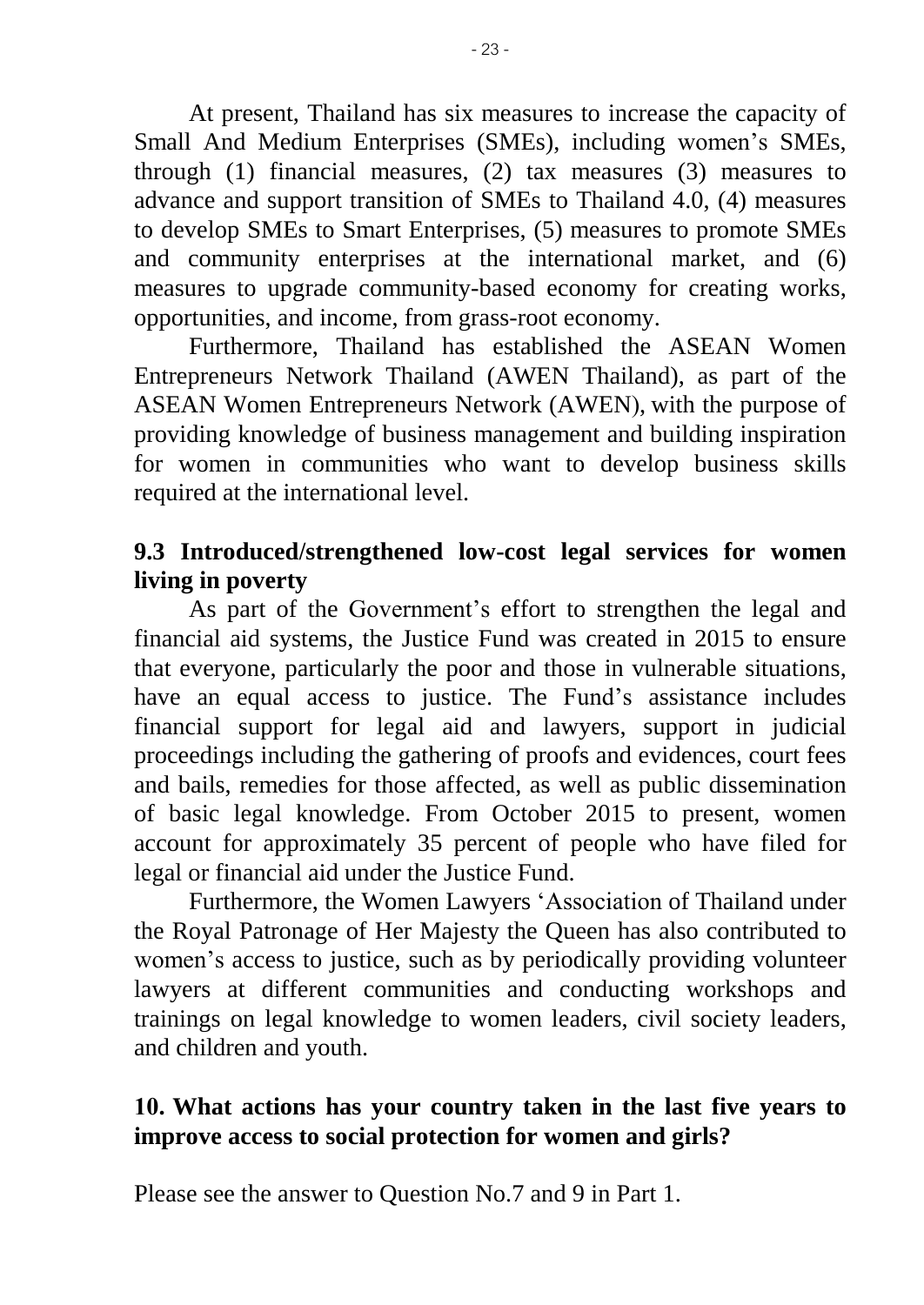At present, Thailand has six measures to increase the capacity of Small And Medium Enterprises (SMEs), including women's SMEs, through (1) financial measures, (2) tax measures (3) measures to advance and support transition of SMEs to Thailand 4.0, (4) measures to develop SMEs to Smart Enterprises, (5) measures to promote SMEs and community enterprises at the international market, and (6) measures to upgrade community-based economy for creating works, opportunities, and income, from grass-root economy.

Furthermore, Thailand has established the ASEAN Women Entrepreneurs Network Thailand (AWEN Thailand), as part of the ASEAN Women Entrepreneurs Network (AWEN), with the purpose of providing knowledge of business management and building inspiration for women in communities who want to develop business skills required at the international level.

### **9.3 Introduced/strengthened low-cost legal services for women living in poverty**

As part of the Government's effort to strengthen the legal and financial aid systems, the Justice Fund was created in 2015 to ensure that everyone, particularly the poor and those in vulnerable situations, have an equal access to justice. The Fund's assistance includes financial support for legal aid and lawyers, support in judicial proceedings including the gathering of proofs and evidences, court fees and bails, remedies for those affected, as well as public dissemination of basic legal knowledge. From October 2015 to present, women account for approximately 35 percent of people who have filed for legal or financial aid under the Justice Fund.

Furthermore, the Women Lawyers 'Association of Thailand under the Royal Patronage of Her Majesty the Queen has also contributed to women's access to justice, such as by periodically providing volunteer lawyers at different communities and conducting workshops and trainings on legal knowledge to women leaders, civil society leaders, and children and youth.

# **10. What actions has your country taken in the last five years to improve access to social protection for women and girls?**

Please see the answer to Question No.7 and 9 in Part 1.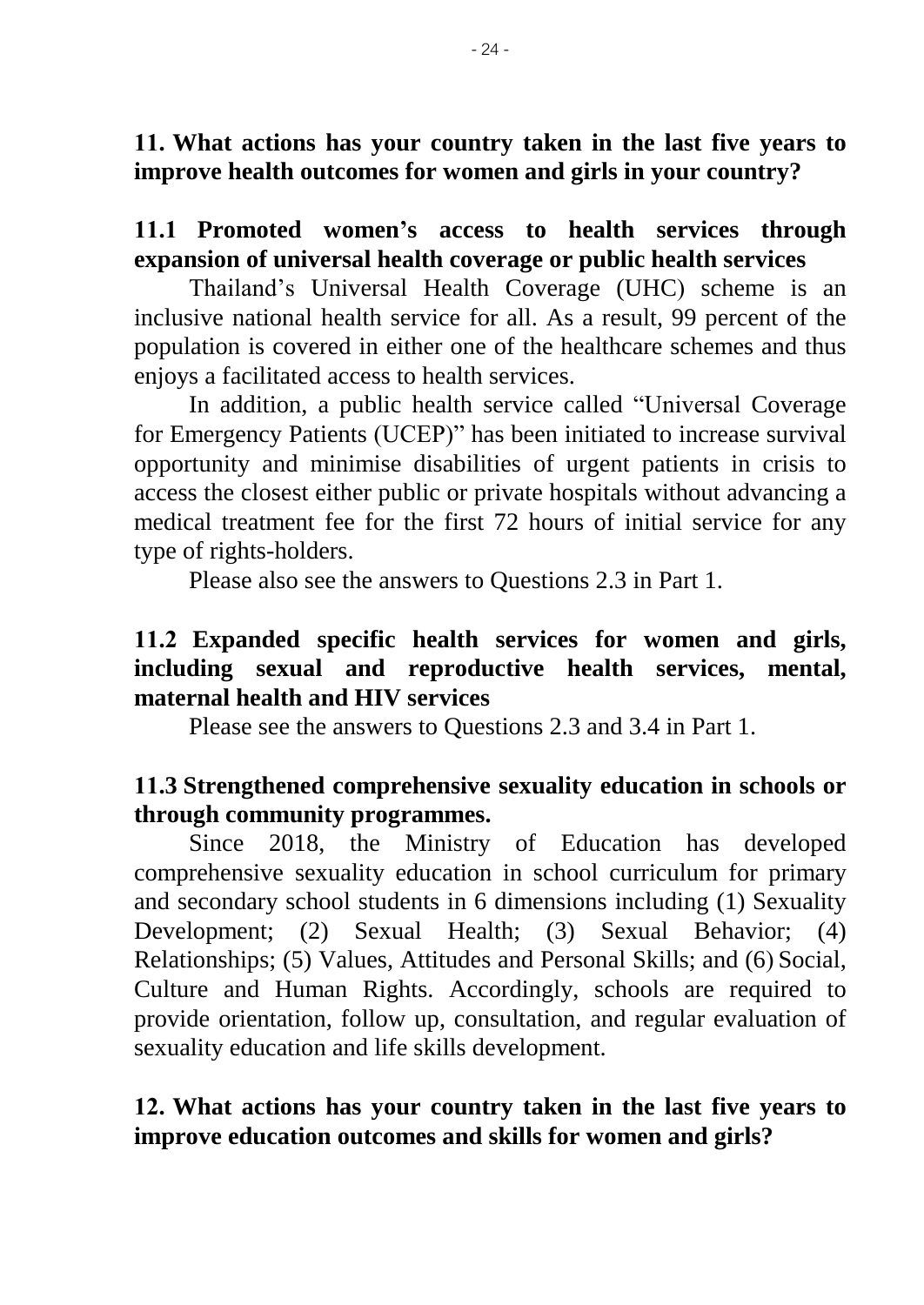**11. What actions has your country taken in the last five years to improve health outcomes for women and girls in your country?**

**11.1 Promoted women's access to health services through expansion of universal health coverage or public health services** 

Thailand's Universal Health Coverage (UHC) scheme is an inclusive national health service for all. As a result, 99 percent of the population is covered in either one of the healthcare schemes and thus enjoys a facilitated access to health services.

 In addition, a public health service called "Universal Coverage for Emergency Patients (UCEP)" has been initiated to increase survival opportunity and minimise disabilities of urgent patients in crisis to access the closest either public or private hospitals without advancing a medical treatment fee for the first 72 hours of initial service for any type of rights-holders.

Please also see the answers to Questions 2.3 in Part 1.

### **11.2 Expanded specific health services for women and girls, including sexual and reproductive health services, mental, maternal health and HIV services**

Please see the answers to Questions 2.3 and 3.4 in Part 1.

# **11.3 Strengthened comprehensive sexuality education in schools or through community programmes.**

Since 2018, the Ministry of Education has developed comprehensive sexuality education in school curriculum for primary and secondary school students in 6 dimensions including (1) Sexuality Development; (2) Sexual Health; (3) Sexual Behavior; (4) Relationships; (5) Values, Attitudes and Personal Skills; and (6) Social, Culture and Human Rights. Accordingly, schools are required to provide orientation, follow up, consultation, and regular evaluation of sexuality education and life skills development.

# **12. What actions has your country taken in the last five years to improve education outcomes and skills for women and girls?**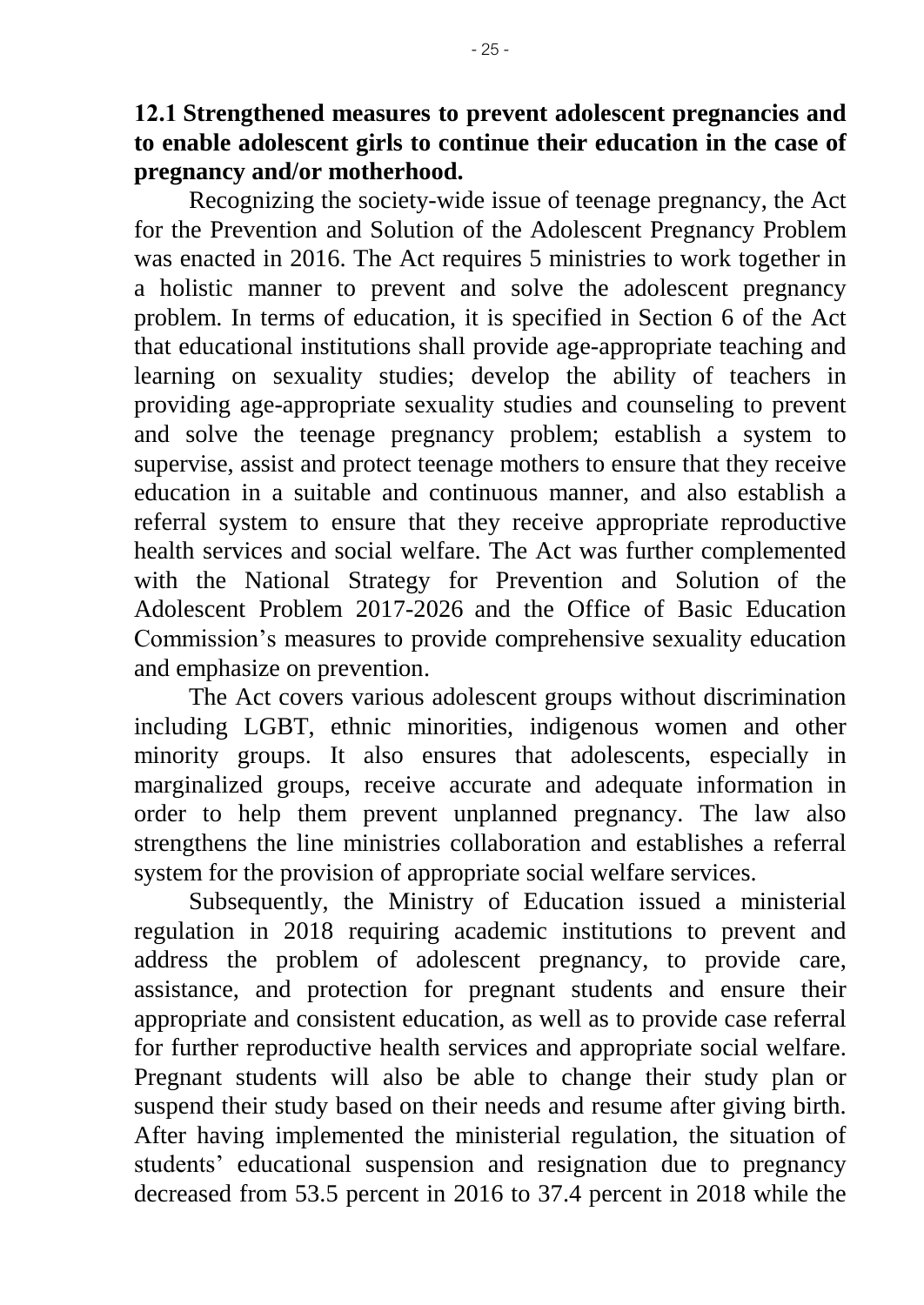Recognizing the society-wide issue of teenage pregnancy, the Act for the Prevention and Solution of the Adolescent Pregnancy Problem was enacted in 2016. The Act requires 5 ministries to work together in a holistic manner to prevent and solve the adolescent pregnancy problem. In terms of education, it is specified in Section 6 of the Act that educational institutions shall provide age-appropriate teaching and learning on sexuality studies; develop the ability of teachers in providing age-appropriate sexuality studies and counseling to prevent and solve the teenage pregnancy problem; establish a system to supervise, assist and protect teenage mothers to ensure that they receive education in a suitable and continuous manner, and also establish a referral system to ensure that they receive appropriate reproductive health services and social welfare. The Act was further complemented with the National Strategy for Prevention and Solution of the Adolescent Problem 2017-2026 and the Office of Basic Education Commission's measures to provide comprehensive sexuality education and emphasize on prevention.

The Act covers various adolescent groups without discrimination including LGBT, ethnic minorities, indigenous women and other minority groups. It also ensures that adolescents, especially in marginalized groups, receive accurate and adequate information in order to help them prevent unplanned pregnancy. The law also strengthens the line ministries collaboration and establishes a referral system for the provision of appropriate social welfare services.

Subsequently, the Ministry of Education issued a ministerial regulation in 2018 requiring academic institutions to prevent and address the problem of adolescent pregnancy, to provide care, assistance, and protection for pregnant students and ensure their appropriate and consistent education, as well as to provide case referral for further reproductive health services and appropriate social welfare. Pregnant students will also be able to change their study plan or suspend their study based on their needs and resume after giving birth. After having implemented the ministerial regulation, the situation of students' educational suspension and resignation due to pregnancy decreased from 53.5 percent in 2016 to 37.4 percent in 2018 while the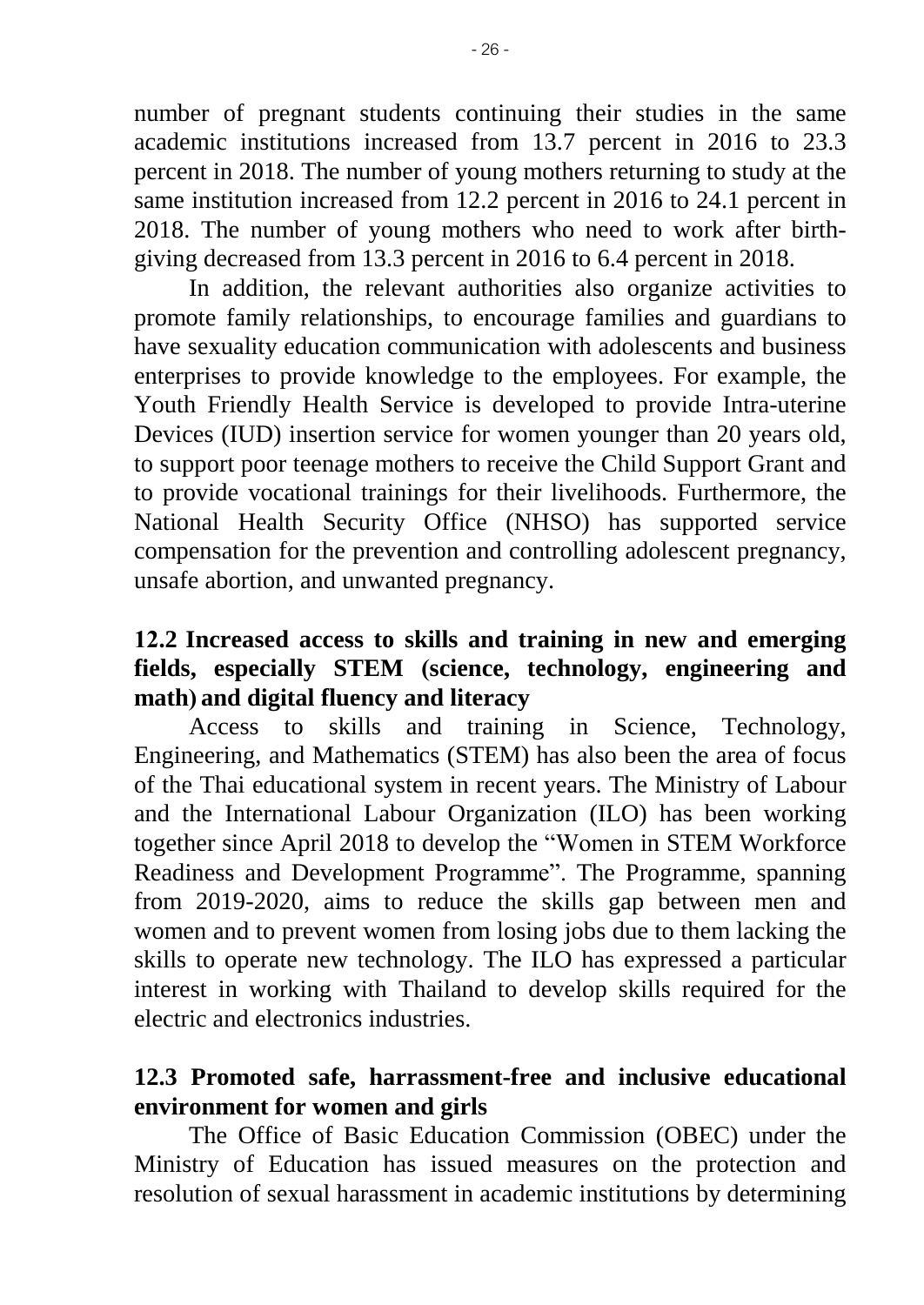number of pregnant students continuing their studies in the same academic institutions increased from 13.7 percent in 2016 to 23.3 percent in 2018. The number of young mothers returning to study at the same institution increased from 12.2 percent in 2016 to 24.1 percent in 2018. The number of young mothers who need to work after birthgiving decreased from 13.3 percent in 2016 to 6.4 percent in 2018.

In addition, the relevant authorities also organize activities to promote family relationships, to encourage families and guardians to have sexuality education communication with adolescents and business enterprises to provide knowledge to the employees. For example, the Youth Friendly Health Service is developed to provide Intra-uterine Devices (IUD) insertion service for women younger than 20 years old, to support poor teenage mothers to receive the Child Support Grant and to provide vocational trainings for their livelihoods. Furthermore, the National Health Security Office (NHSO) has supported service compensation for the prevention and controlling adolescent pregnancy, unsafe abortion, and unwanted pregnancy.

# **12.2 Increased access to skills and training in new and emerging fields, especially STEM (science, technology, engineering and math) and digital fluency and literacy**

Access to skills and training in Science, Technology, Engineering, and Mathematics (STEM) has also been the area of focus of the Thai educational system in recent years. The Ministry of Labour and the International Labour Organization (ILO) has been working together since April 2018 to develop the "Women in STEM Workforce Readiness and Development Programme". The Programme, spanning from 2019-2020, aims to reduce the skills gap between men and women and to prevent women from losing jobs due to them lacking the skills to operate new technology. The ILO has expressed a particular interest in working with Thailand to develop skills required for the electric and electronics industries.

# **12.3 Promoted safe, harrassment-free and inclusive educational environment for women and girls**

 The Office of Basic Education Commission (OBEC) under the Ministry of Education has issued measures on the protection and resolution of sexual harassment in academic institutions by determining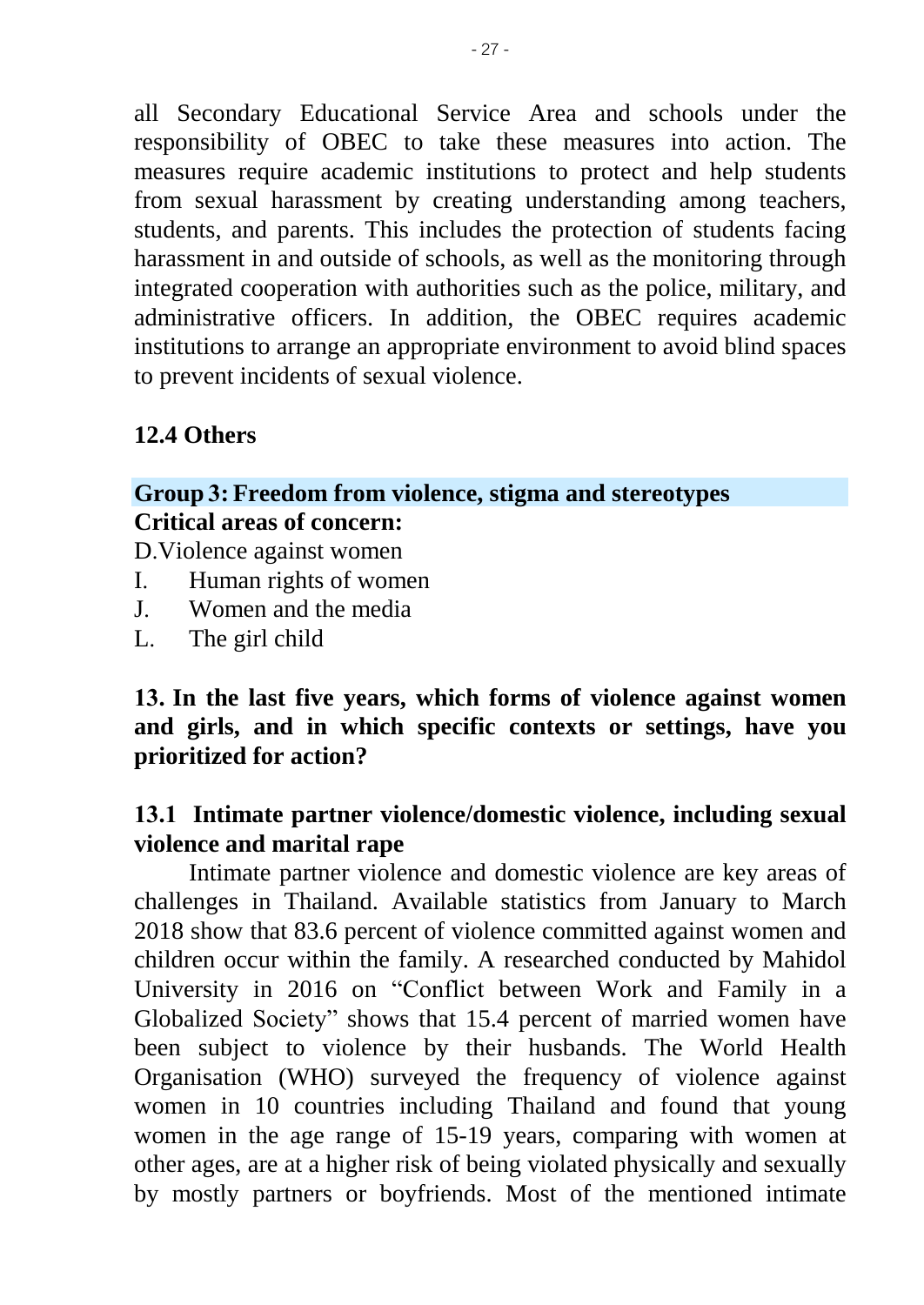all Secondary Educational Service Area and schools under the responsibility of OBEC to take these measures into action. The measures require academic institutions to protect and help students from sexual harassment by creating understanding among teachers, students, and parents. This includes the protection of students facing harassment in and outside of schools, as well as the monitoring through integrated cooperation with authorities such as the police, military, and administrative officers. In addition, the OBEC requires academic institutions to arrange an appropriate environment to avoid blind spaces to prevent incidents of sexual violence.

# **12.4 Others**

# **Group 3: Freedom from violence, stigma and stereotypes Critical areas of concern:**

D.Violence against women

- I. Human rights of women
- J. Women and the media<br>L. The girl child
- The girl child

### **13. In the last five years, which forms of violence against women and girls, and in which specific contexts or settings, have you prioritized for action?**

### **13.1 Intimate partner violence/domestic violence, including sexual violence and marital rape**

Intimate partner violence and domestic violence are key areas of challenges in Thailand. Available statistics from January to March 2018 show that 83.6 percent of violence committed against women and children occur within the family. A researched conducted by Mahidol University in 2016 on "Conflict between Work and Family in a Globalized Society" shows that 15.4 percent of married women have been subject to violence by their husbands. The World Health Organisation (WHO) surveyed the frequency of violence against women in 10 countries including Thailand and found that young women in the age range of 15-19 years, comparing with women at other ages, are at a higher risk of being violated physically and sexually by mostly partners or boyfriends. Most of the mentioned intimate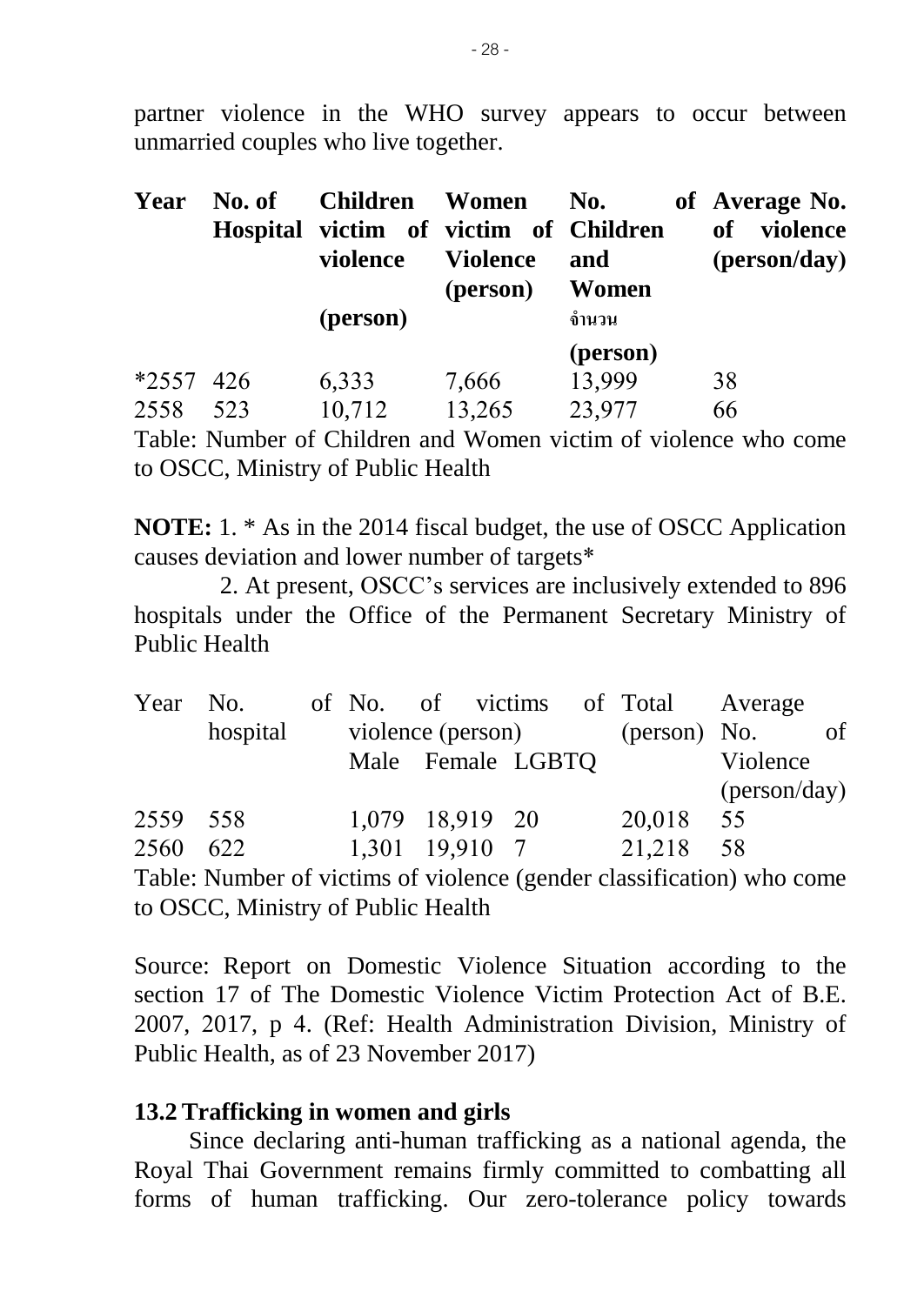partner violence in the WHO survey appears to occur between unmarried couples who live together.

| Year                | No. of | <b>Children</b> Women<br>Hospital victim of victim of Children<br>violence | <b>Violence</b><br>(person) | No.<br>and<br>Women          | of Average No.<br>violence<br><b>of</b><br>(person/day) |
|---------------------|--------|----------------------------------------------------------------------------|-----------------------------|------------------------------|---------------------------------------------------------|
|                     |        | (person)                                                                   |                             | ้จำนวน                       |                                                         |
| $*2557$ 426<br>2558 | 523    | 6,333<br>10,712                                                            | 7,666<br>13,265             | (person)<br>13,999<br>23,977 | 38<br>66                                                |

Table: Number of Children and Women victim of violence who come to OSCC, Ministry of Public Health

**NOTE:** 1. \* As in the 2014 fiscal budget, the use of OSCC Application causes deviation and lower number of targets\*

 2. At present, OSCC's services are inclusively extended to 896 hospitals under the Office of the Permanent Secretary Ministry of Public Health

| Year No. |          |                   |  |  | of No. of victims of Total Average |                       |  |
|----------|----------|-------------------|--|--|------------------------------------|-----------------------|--|
|          | hospital | violence (person) |  |  | (person) No.                       |                       |  |
|          |          | Male Female LGBTQ |  |  |                                    | Violence              |  |
|          |          |                   |  |  |                                    | $(\text{person/day})$ |  |
| 2559 558 |          | 1,079 18,919 20   |  |  | 20,018                             | 55                    |  |
| 2560 622 |          | 1,301 19,910 7    |  |  | 21,218                             | - 58                  |  |

Table: Number of victims of violence (gender classification) who come to OSCC, Ministry of Public Health

Source: Report on Domestic Violence Situation according to the section 17 of The Domestic Violence Victim Protection Act of B.E. 2007, 2017, p 4. (Ref: Health Administration Division, Ministry of Public Health, as of 23 November 2017)

#### **13.2 Trafficking in women and girls**

Since declaring anti-human trafficking as a national agenda, the Royal Thai Government remains firmly committed to combatting all forms of human trafficking. Our zero-tolerance policy towards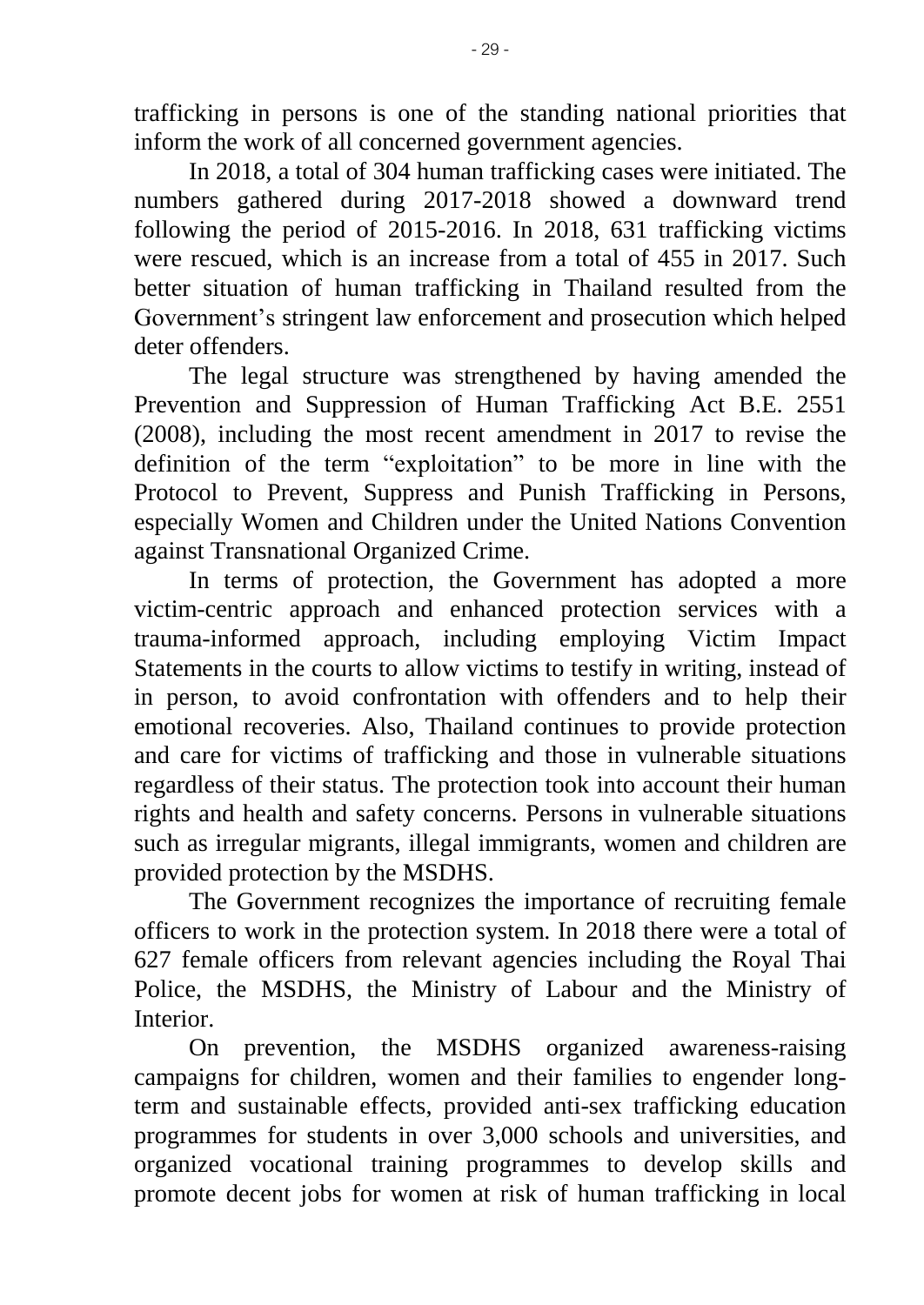trafficking in persons is one of the standing national priorities that inform the work of all concerned government agencies.

In 2018, a total of 304 human trafficking cases were initiated. The numbers gathered during 2017-2018 showed a downward trend following the period of 2015-2016. In 2018, 631 trafficking victims were rescued, which is an increase from a total of 455 in 2017. Such better situation of human trafficking in Thailand resulted from the Government's stringent law enforcement and prosecution which helped deter offenders.

The legal structure was strengthened by having amended the Prevention and Suppression of Human Trafficking Act B.E. 2551 (2008), including the most recent amendment in 2017 to revise the definition of the term "exploitation" to be more in line with the Protocol to Prevent, Suppress and Punish Trafficking in Persons, especially Women and Children under the United Nations Convention against Transnational Organized Crime.

In terms of protection, the Government has adopted a more victim-centric approach and enhanced protection services with a trauma-informed approach, including employing Victim Impact Statements in the courts to allow victims to testify in writing, instead of in person, to avoid confrontation with offenders and to help their emotional recoveries. Also, Thailand continues to provide protection and care for victims of trafficking and those in vulnerable situations regardless of their status. The protection took into account their human rights and health and safety concerns. Persons in vulnerable situations such as irregular migrants, illegal immigrants, women and children are provided protection by the MSDHS.

The Government recognizes the importance of recruiting female officers to work in the protection system. In 2018 there were a total of 627 female officers from relevant agencies including the Royal Thai Police, the MSDHS, the Ministry of Labour and the Ministry of Interior.

On prevention, the MSDHS organized awareness-raising campaigns for children, women and their families to engender longterm and sustainable effects, provided anti-sex trafficking education programmes for students in over 3,000 schools and universities, and organized vocational training programmes to develop skills and promote decent jobs for women at risk of human trafficking in local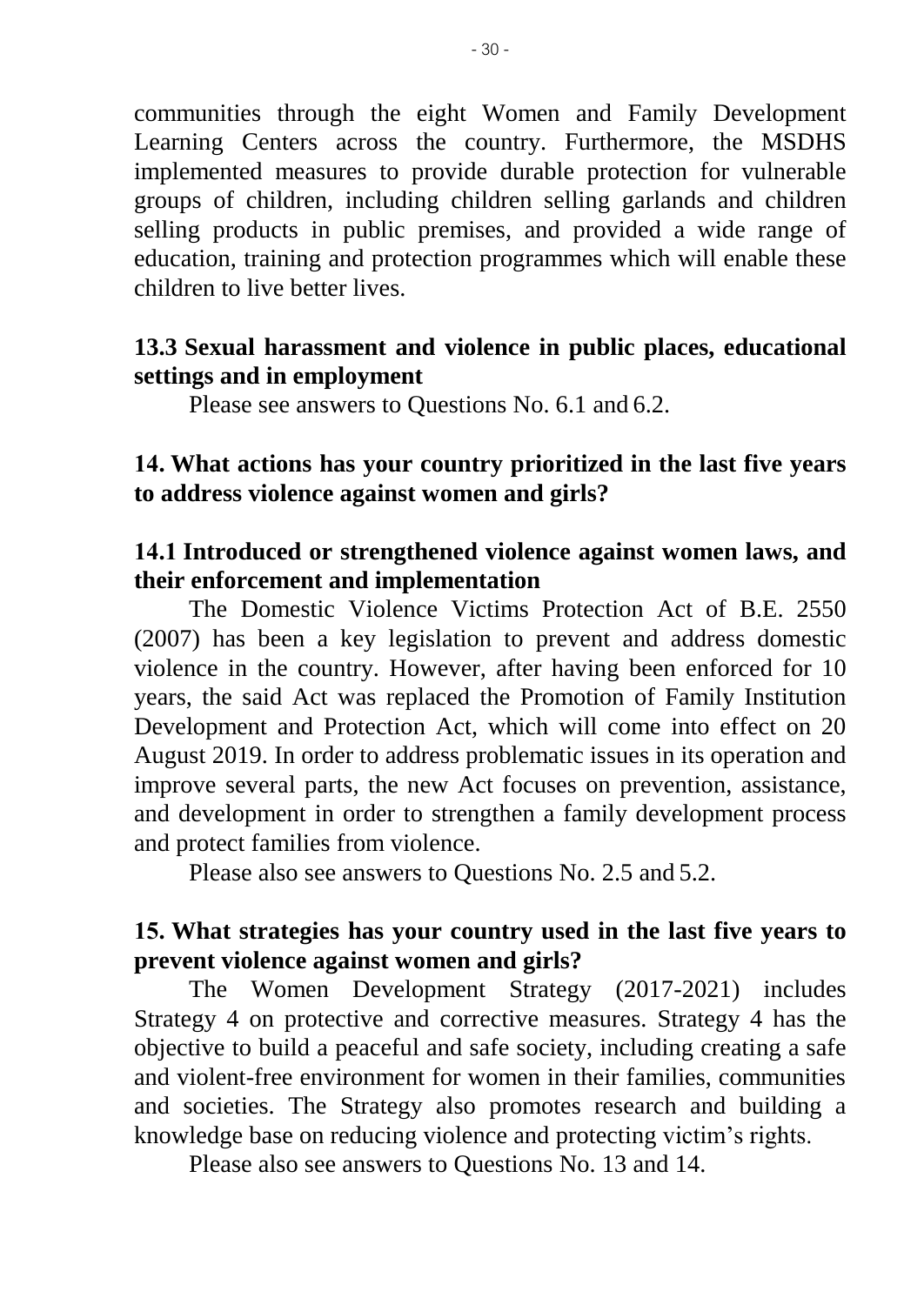communities through the eight Women and Family Development Learning Centers across the country. Furthermore, the MSDHS implemented measures to provide durable protection for vulnerable groups of children, including children selling garlands and children selling products in public premises, and provided a wide range of education, training and protection programmes which will enable these children to live better lives.

#### **13.3 Sexual harassment and violence in public places, educational settings and in employment**

Please see answers to Questions No. 6.1 and 6.2.

### **14. What actions has your country prioritized in the last five years to address violence against women and girls?**

### **14.1 Introduced or strengthened violence against women laws, and their enforcement and implementation**

The Domestic Violence Victims Protection Act of B.E. 2550 (2007) has been a key legislation to prevent and address domestic violence in the country. However, after having been enforced for 10 years, the said Act was replaced the Promotion of Family Institution Development and Protection Act, which will come into effect on 20 August 2019. In order to address problematic issues in its operation and improve several parts, the new Act focuses on prevention, assistance, and development in order to strengthen a family development process and protect families from violence.

Please also see answers to Questions No. 2.5 and 5.2.

### **15. What strategies has your country used in the last five years to prevent violence against women and girls?**

 The Women Development Strategy (2017-2021) includes Strategy 4 on protective and corrective measures. Strategy 4 has the objective to build a peaceful and safe society, including creating a safe and violent-free environment for women in their families, communities and societies. The Strategy also promotes research and building a knowledge base on reducing violence and protecting victim's rights.

Please also see answers to Questions No. 13 and 14.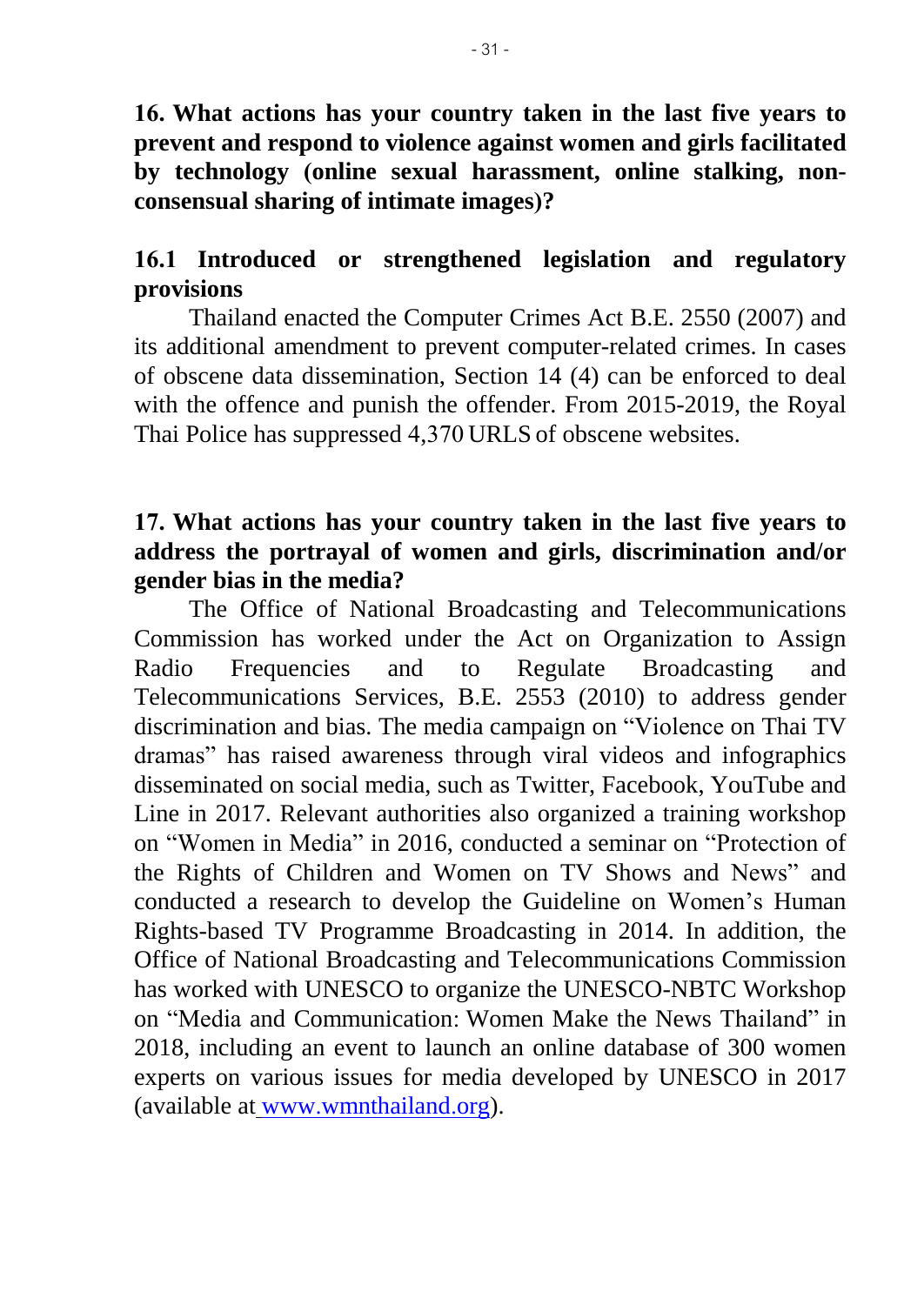**16. What actions has your country taken in the last five years to prevent and respond to violence against women and girls facilitated by technology (online sexual harassment, online stalking, nonconsensual sharing of intimate images)?**

#### **16.1 Introduced or strengthened legislation and regulatory provisions**

Thailand enacted the Computer Crimes Act B.E. 2550 (2007) and its additional amendment to prevent computer-related crimes. In cases of obscene data dissemination, Section 14 (4) can be enforced to deal with the offence and punish the offender. From 2015-2019, the Royal Thai Police has suppressed 4,370 URLS of obscene websites.

#### **17. What actions has your country taken in the last five years to address the portrayal of women and girls, discrimination and/or gender bias in the media?**

The Office of National Broadcasting and Telecommunications Commission has worked under the Act on Organization to Assign Radio Frequencies and to Regulate Broadcasting and Telecommunications Services, B.E. 2553 (2010) to address gender discrimination and bias. The media campaign on "Violence on Thai TV dramas" has raised awareness through viral videos and infographics disseminated on social media, such as Twitter, Facebook, YouTube and Line in 2017. Relevant authorities also organized a training workshop on "Women in Media" in 2016, conducted a seminar on "Protection of the Rights of Children and Women on TV Shows and News" and conducted a research to develop the Guideline on Women's Human Rights-based TV Programme Broadcasting in 2014. In addition, the Office of National Broadcasting and Telecommunications Commission has worked with UNESCO to organize the UNESCO-NBTC Workshop on "Media and Communication: Women Make the News Thailand" in 2018, including an event to launch an online database of 300 women experts on various issues for media developed by UNESCO in 2017 (available at [www.wmnthailand.org\)](http://www.wmnthailand.org/).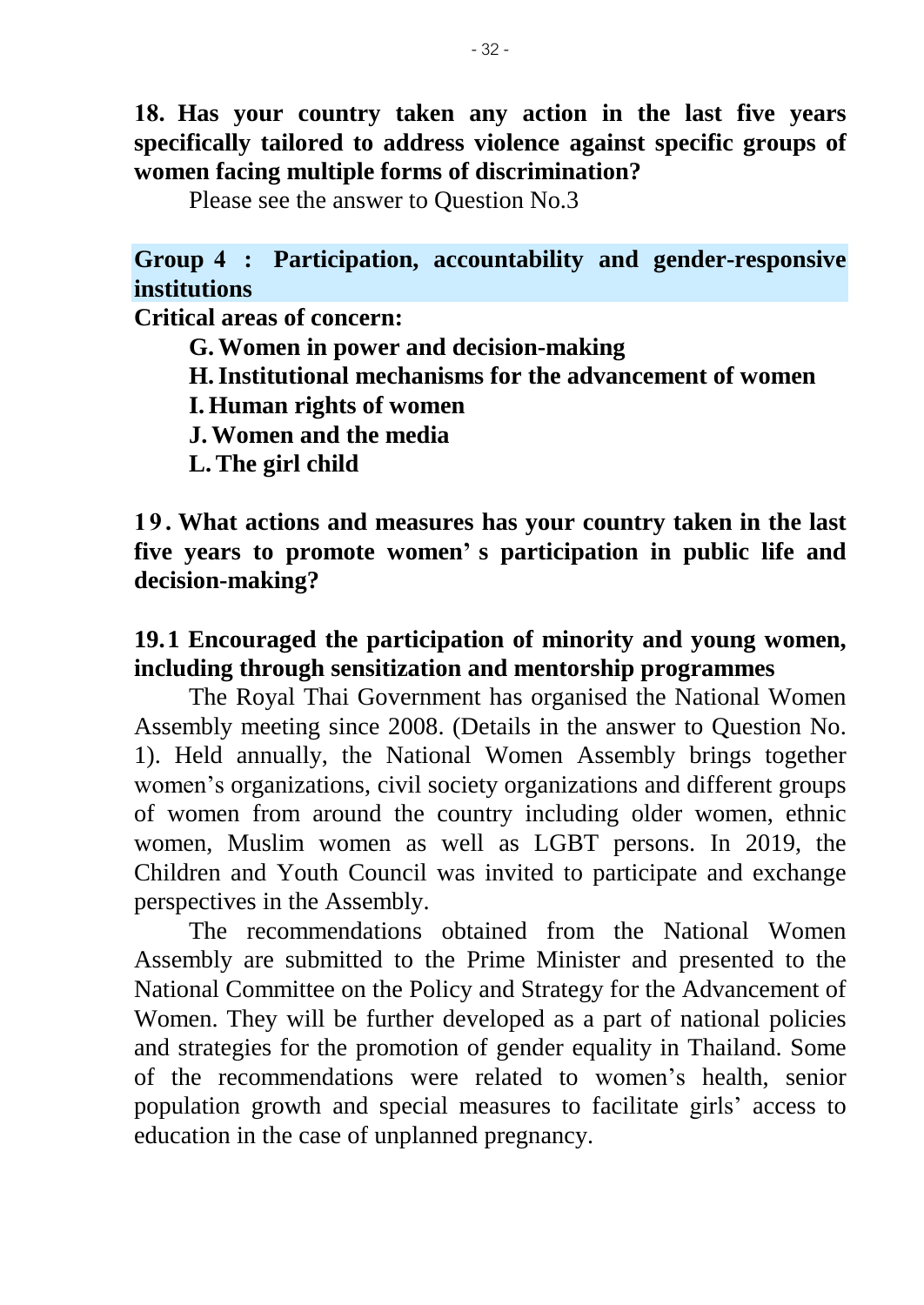**18. Has your country taken any action in the last five years specifically tailored to address violence against specific groups of women facing multiple forms of discrimination?**

Please see the answer to Question No.3

**Group 4 : Participation, accountability and gender-responsive institutions**

**Critical areas of concern:**

**G.Women in power and decision-making**

**H.Institutional mechanisms for the advancement of women**

**I. Human rights of women**

**J.Women and the media**

**L.The girl child**

**1 9 . What actions and measures has your country taken in the last five years to promote women' s participation in public life and decision-making?**

# **19.1 Encouraged the participation of minority and young women, including through sensitization and mentorship programmes**

The Royal Thai Government has organised the National Women Assembly meeting since 2008. (Details in the answer to Question No. 1). Held annually, the National Women Assembly brings together women's organizations, civil society organizations and different groups of women from around the country including older women, ethnic women, Muslim women as well as LGBT persons. In 2019, the Children and Youth Council was invited to participate and exchange perspectives in the Assembly.

The recommendations obtained from the National Women Assembly are submitted to the Prime Minister and presented to the National Committee on the Policy and Strategy for the Advancement of Women. They will be further developed as a part of national policies and strategies for the promotion of gender equality in Thailand. Some of the recommendations were related to women's health, senior population growth and special measures to facilitate girls' access to education in the case of unplanned pregnancy.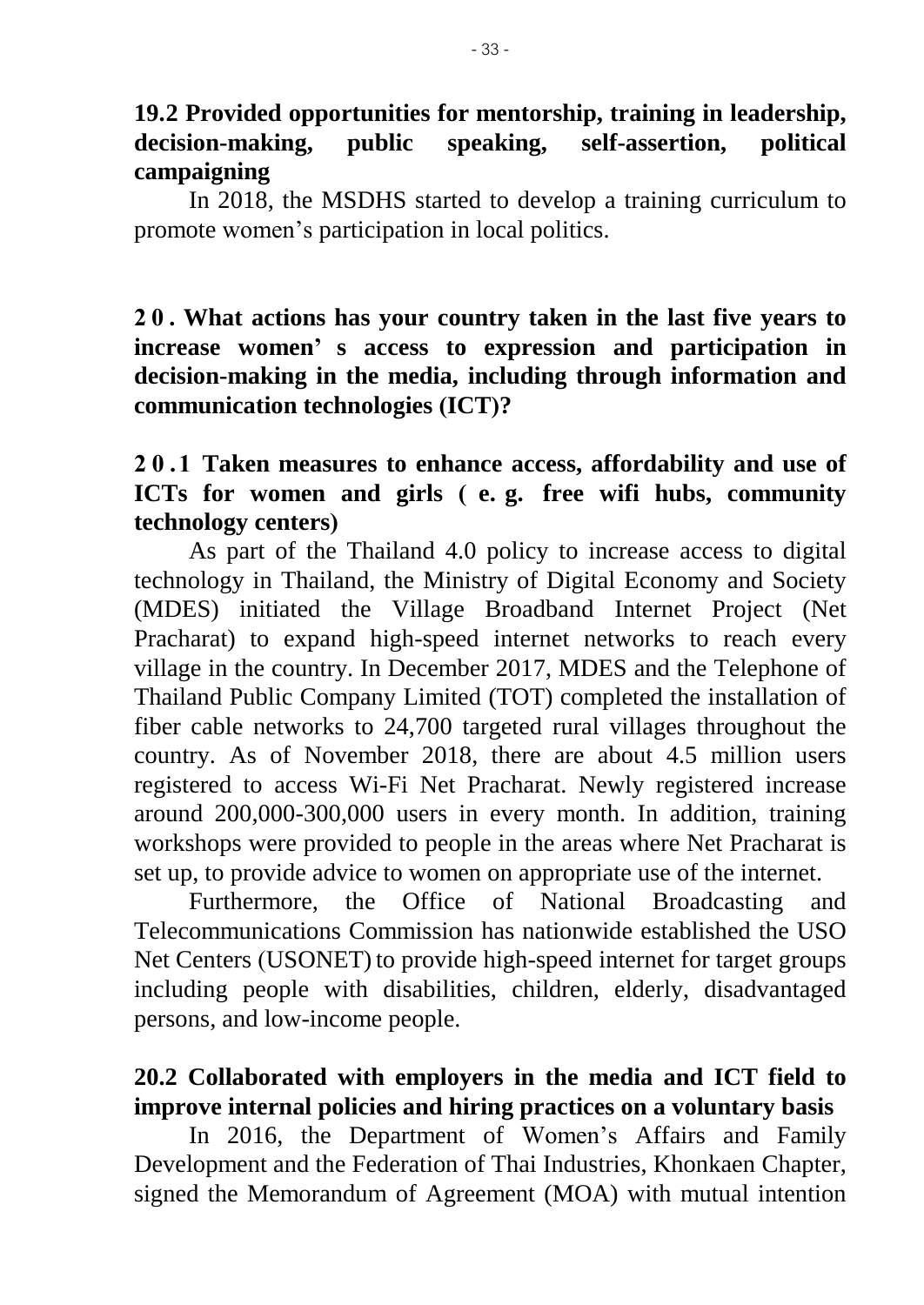### **19.2 Provided opportunities for mentorship, training in leadership, decision-making, public speaking, self-assertion, political campaigning**

In 2018, the MSDHS started to develop a training curriculum to promote women's participation in local politics.

**2 0 . What actions has your country taken in the last five years to increase women' s access to expression and participation in decision-making in the media, including through information and communication technologies (ICT)?**

# **2 0 . 1 Taken measures to enhance access, affordability and use of ICTs for women and girls ( e. g. free wifi hubs, community technology centers)**

As part of the Thailand 4.0 policy to increase access to digital technology in Thailand, the Ministry of Digital Economy and Society (MDES) initiated the Village Broadband Internet Project (Net Pracharat) to expand high-speed internet networks to reach every village in the country. In December 2017, MDES and the Telephone of Thailand Public Company Limited (TOT) completed the installation of fiber cable networks to 24,700 targeted rural villages throughout the country. As of November 2018, there are about 4.5 million users registered to access Wi-Fi Net Pracharat. Newly registered increase around 200,000-300,000 users in every month. In addition, training workshops were provided to people in the areas where Net Pracharat is set up, to provide advice to women on appropriate use of the internet.

 Furthermore, the Office of National Broadcasting and Telecommunications Commission has nationwide established the USO Net Centers (USONET) to provide high-speed internet for target groups including people with disabilities, children, elderly, disadvantaged persons, and low-income people.

# **20.2 Collaborated with employers in the media and ICT field to improve internal policies and hiring practices on a voluntary basis**

In 2016, the Department of Women's Affairs and Family Development and the Federation of Thai Industries, Khonkaen Chapter, signed the Memorandum of Agreement (MOA) with mutual intention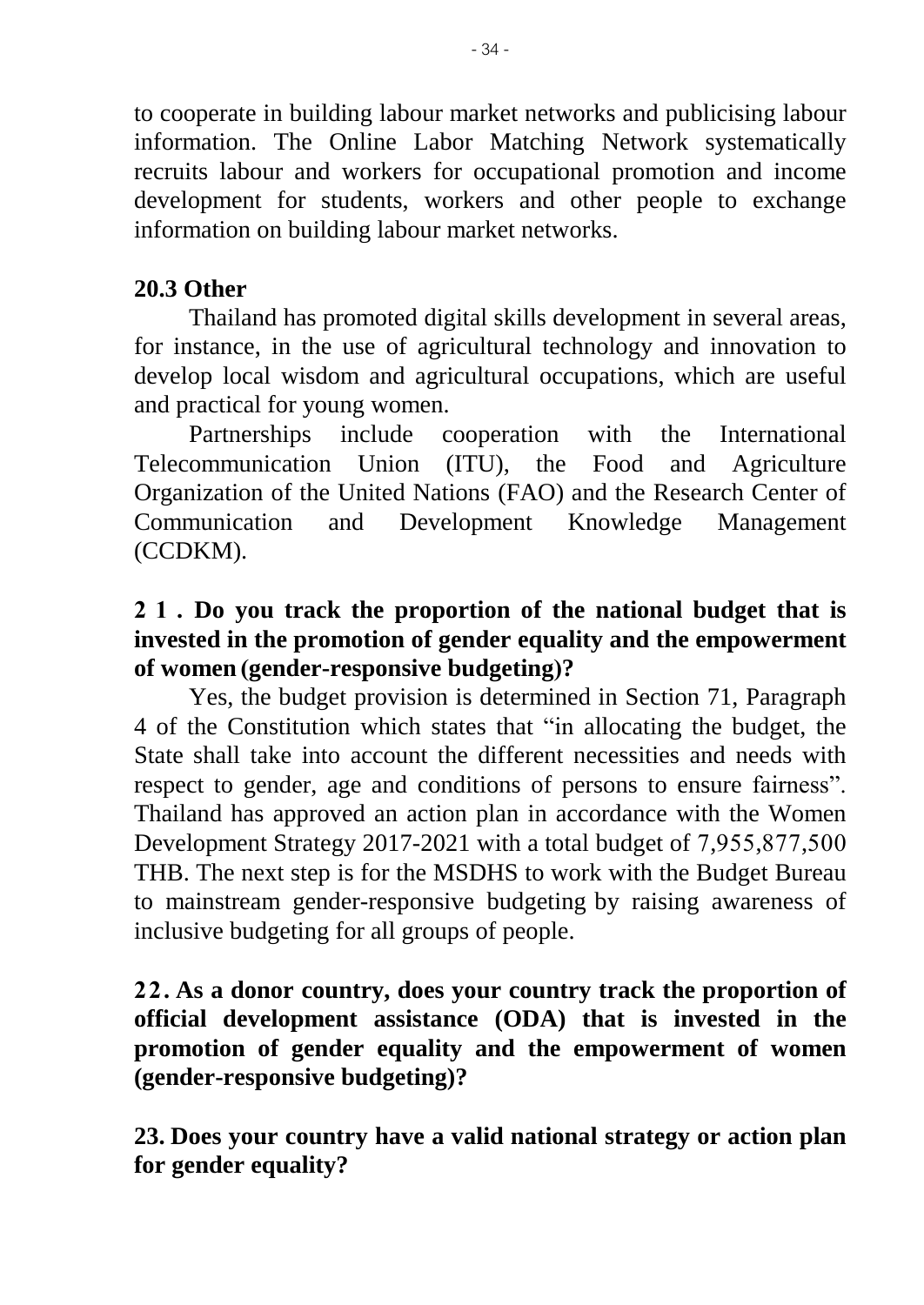to cooperate in building labour market networks and publicising labour information. The Online Labor Matching Network systematically recruits labour and workers for occupational promotion and income development for students, workers and other people to exchange information on building labour market networks.

# **20.3 Other**

Thailand has promoted digital skills development in several areas, for instance, in the use of agricultural technology and innovation to develop local wisdom and agricultural occupations, which are useful and practical for young women.

Partnerships include cooperation with the International Telecommunication Union (ITU), the Food and Agriculture Organization of the United Nations (FAO) and the Research Center of Communication and Development Knowledge Management (CCDKM).

# **21. Do you track the proportion of the national budget that is invested in the promotion of gender equality and the empowerment of women (gender-responsive budgeting)?**

Yes, the budget provision is determined in Section 71, Paragraph 4 of the Constitution which states that "in allocating the budget, the State shall take into account the different necessities and needs with respect to gender, age and conditions of persons to ensure fairness". Thailand has approved an action plan in accordance with the Women Development Strategy 2017-2021 with a total budget of 7,955,877,500 THB. The next step is for the MSDHS to work with the Budget Bureau to mainstream gender-responsive budgeting by raising awareness of inclusive budgeting for all groups of people.

# **22. As a donor country, does your country track the proportion of official development assistance (ODA) that is invested in the promotion of gender equality and the empowerment of women (gender-responsive budgeting)?**

**23. Does your country have a valid national strategy or action plan for gender equality?**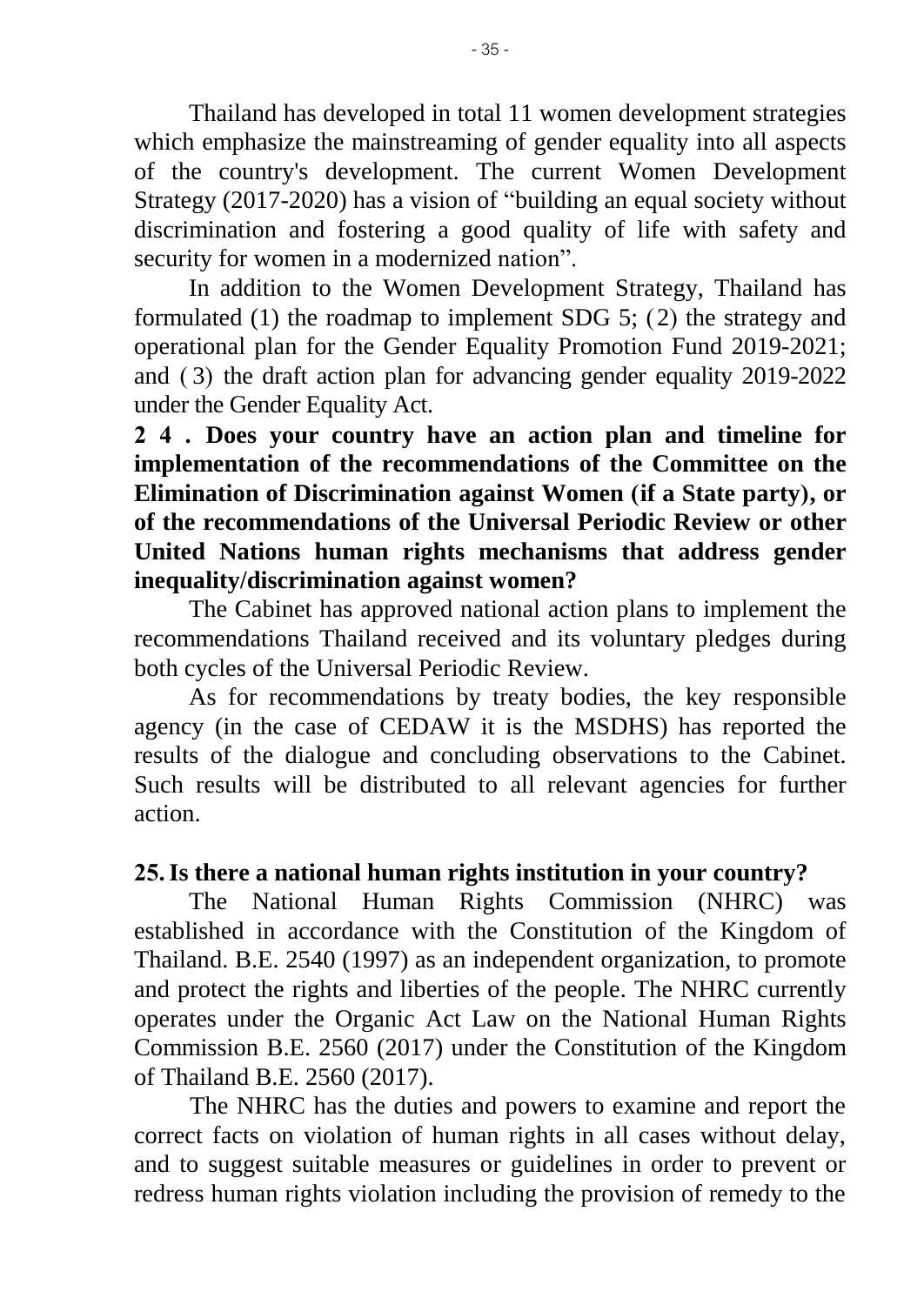Thailand has developed in total 11 women development strategies which emphasize the mainstreaming of gender equality into all aspects of the country's development. The current Women Development Strategy (2017-2020) has a vision of "building an equal society without discrimination and fostering a good quality of life with safety and security for women in a modernized nation".

In addition to the Women Development Strategy, Thailand has formulated (1) the roadmap to implement SDG 5; (2) the strategy and operational plan for the Gender Equality Promotion Fund 2019-2021; and ( 3) the draft action plan for advancing gender equality 2019-2022 under the Gender Equality Act.

**24. Does your country have an action plan and timeline for implementation of the recommendations of the Committee on the Elimination of Discrimination against Women (if a State party), or of the recommendations of the Universal Periodic Review or other United Nations human rights mechanisms that address gender inequality/discrimination against women?**

The Cabinet has approved national action plans to implement the recommendations Thailand received and its voluntary pledges during both cycles of the Universal Periodic Review.

As for recommendations by treaty bodies, the key responsible agency (in the case of CEDAW it is the MSDHS) has reported the results of the dialogue and concluding observations to the Cabinet. Such results will be distributed to all relevant agencies for further action.

#### **25.Is there a national human rights institution in your country?**

The National Human Rights Commission (NHRC) was established in accordance with the Constitution of the Kingdom of Thailand. B.E. 2540 (1997) as an independent organization, to promote and protect the rights and liberties of the people. The NHRC currently operates under the Organic Act Law on the National Human Rights Commission B.E. 2560 (2017) under the Constitution of the Kingdom of Thailand B.E. 2560 (2017).

The NHRC has the duties and powers to examine and report the correct facts on violation of human rights in all cases without delay, and to suggest suitable measures or guidelines in order to prevent or redress human rights violation including the provision of remedy to the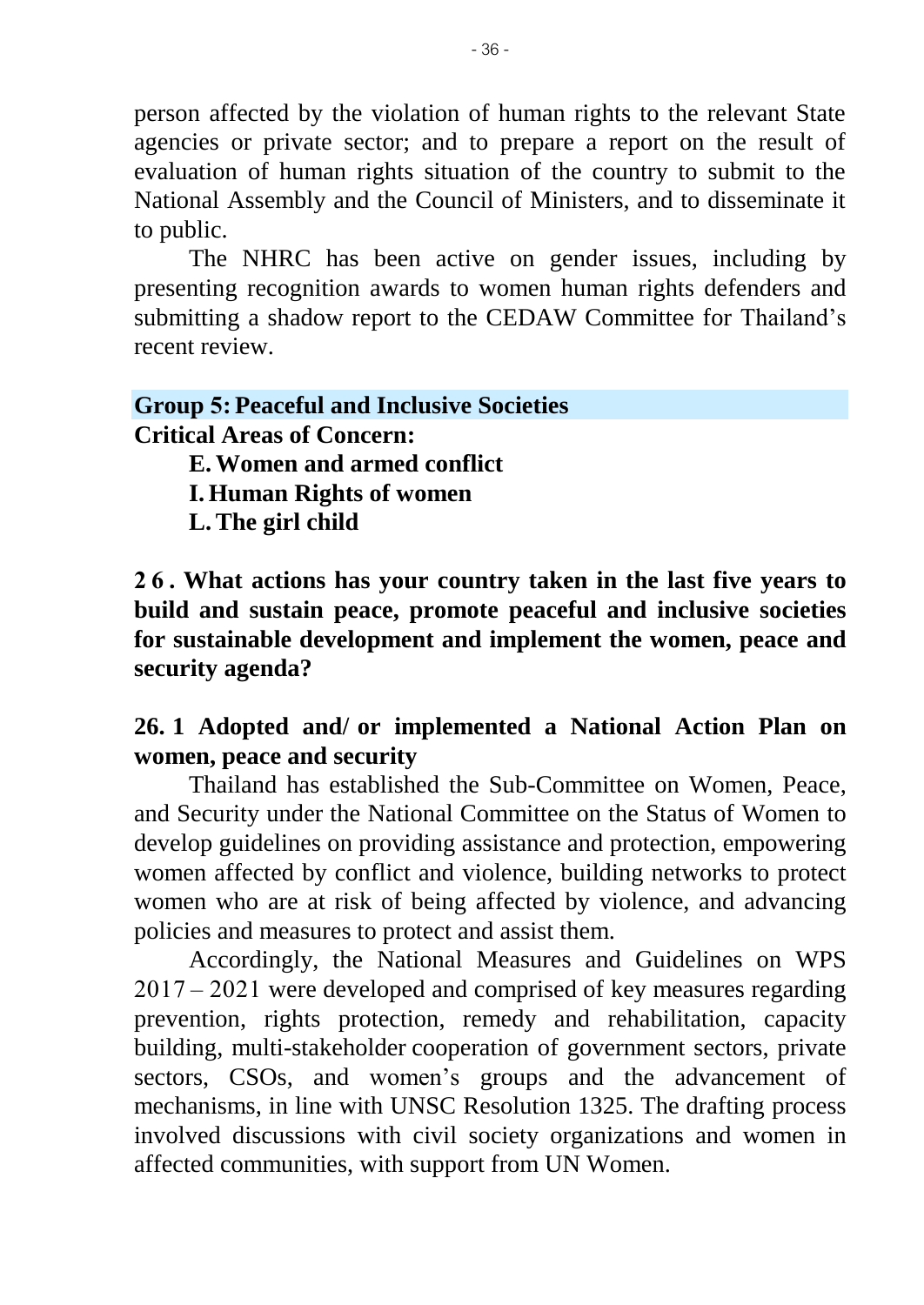person affected by the violation of human rights to the relevant State agencies or private sector; and to prepare a report on the result of evaluation of human rights situation of the country to submit to the National Assembly and the Council of Ministers, and to disseminate it to public.

The NHRC has been active on gender issues, including by presenting recognition awards to women human rights defenders and submitting a shadow report to the CEDAW Committee for Thailand's recent review.

#### **Group 5: Peaceful and Inclusive Societies Critical Areas of Concern:**

**E.Women and armed conflict**

**I. Human Rights of women**

**L.The girl child**

**2 6 . What actions has your country taken in the last five years to build and sustain peace, promote peaceful and inclusive societies for sustainable development and implement the women, peace and security agenda?**

# **26. 1 Adopted and/ or implemented a National Action Plan on women, peace and security**

Thailand has established the Sub-Committee on Women, Peace, and Security under the National Committee on the Status of Women to develop guidelines on providing assistance and protection, empowering women affected by conflict and violence, building networks to protect women who are at risk of being affected by violence, and advancing policies and measures to protect and assist them.

Accordingly, the National Measures and Guidelines on WPS 2017 – 2021 were developed and comprised of key measures regarding prevention, rights protection, remedy and rehabilitation, capacity building, multi-stakeholder cooperation of government sectors, private sectors, CSOs, and women's groups and the advancement of mechanisms, in line with UNSC Resolution 1325. The drafting process involved discussions with civil society organizations and women in affected communities, with support from UN Women.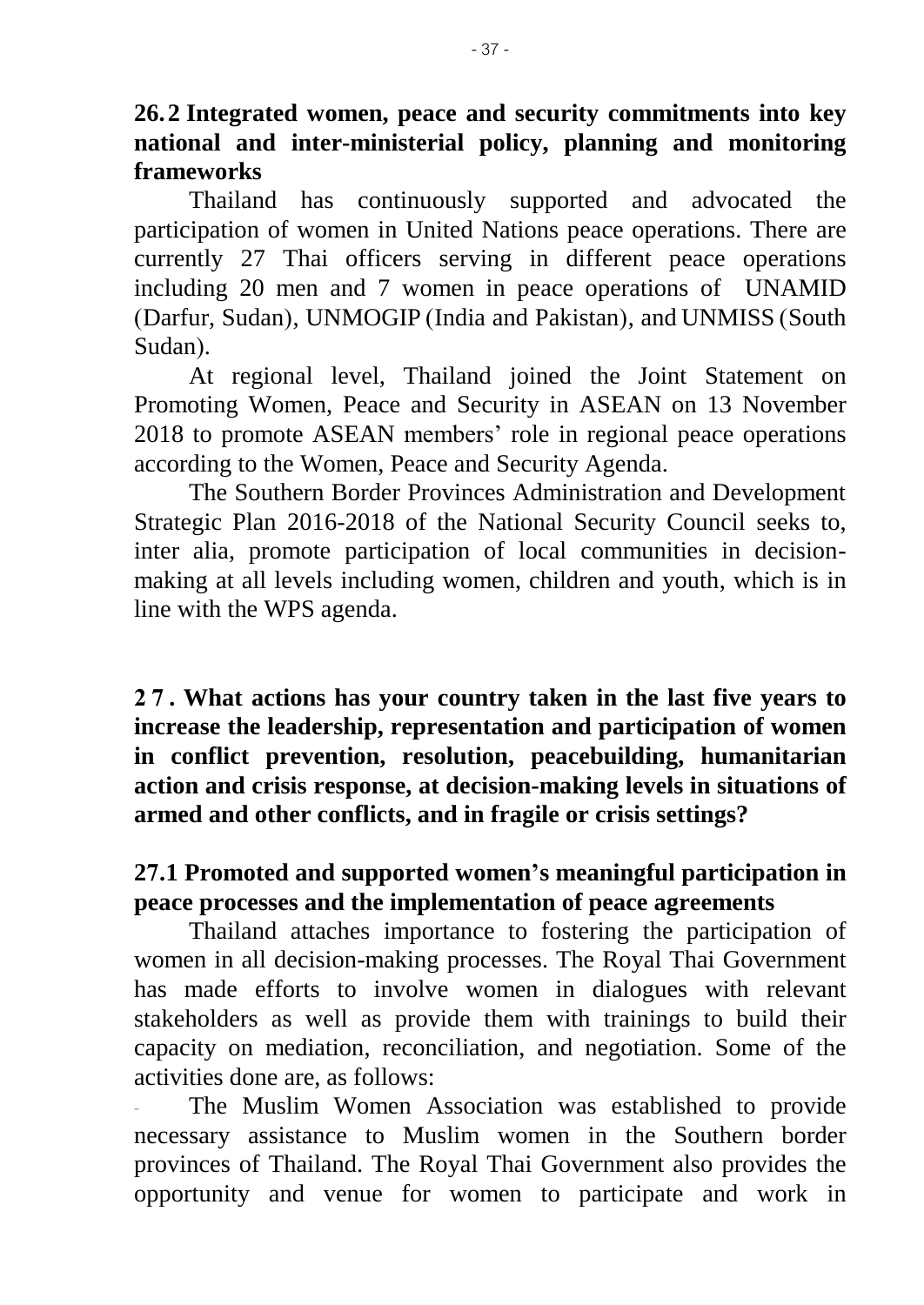**26.2 Integrated women, peace and security commitments into key national and inter-ministerial policy, planning and monitoring frameworks**

Thailand has continuously supported and advocated the participation of women in United Nations peace operations. There are currently 27 Thai officers serving in different peace operations including 20 men and 7 women in peace operations of UNAMID (Darfur, Sudan), UNMOGIP (India and Pakistan), and UNMISS (South Sudan).

At regional level, Thailand joined the Joint Statement on Promoting Women, Peace and Security in ASEAN on 13 November 2018 to promote ASEAN members' role in regional peace operations according to the Women, Peace and Security Agenda.

The Southern Border Provinces Administration and Development Strategic Plan 2016-2018 of the National Security Council seeks to, inter alia, promote participation of local communities in decisionmaking at all levels including women, children and youth, which is in line with the WPS agenda.

**2 7 . What actions has your country taken in the last five years to increase the leadership, representation and participation of women in conflict prevention, resolution, peacebuilding, humanitarian action and crisis response, at decision-making levels in situations of armed and other conflicts, and in fragile or crisis settings?**

### **27.1 Promoted and supported women's meaningful participation in peace processes and the implementation of peace agreements**

Thailand attaches importance to fostering the participation of women in all decision-making processes. The Royal Thai Government has made efforts to involve women in dialogues with relevant stakeholders as well as provide them with trainings to build their capacity on mediation, reconciliation, and negotiation. Some of the activities done are, as follows:

The Muslim Women Association was established to provide necessary assistance to Muslim women in the Southern border provinces of Thailand. The Royal Thai Government also provides the opportunity and venue for women to participate and work in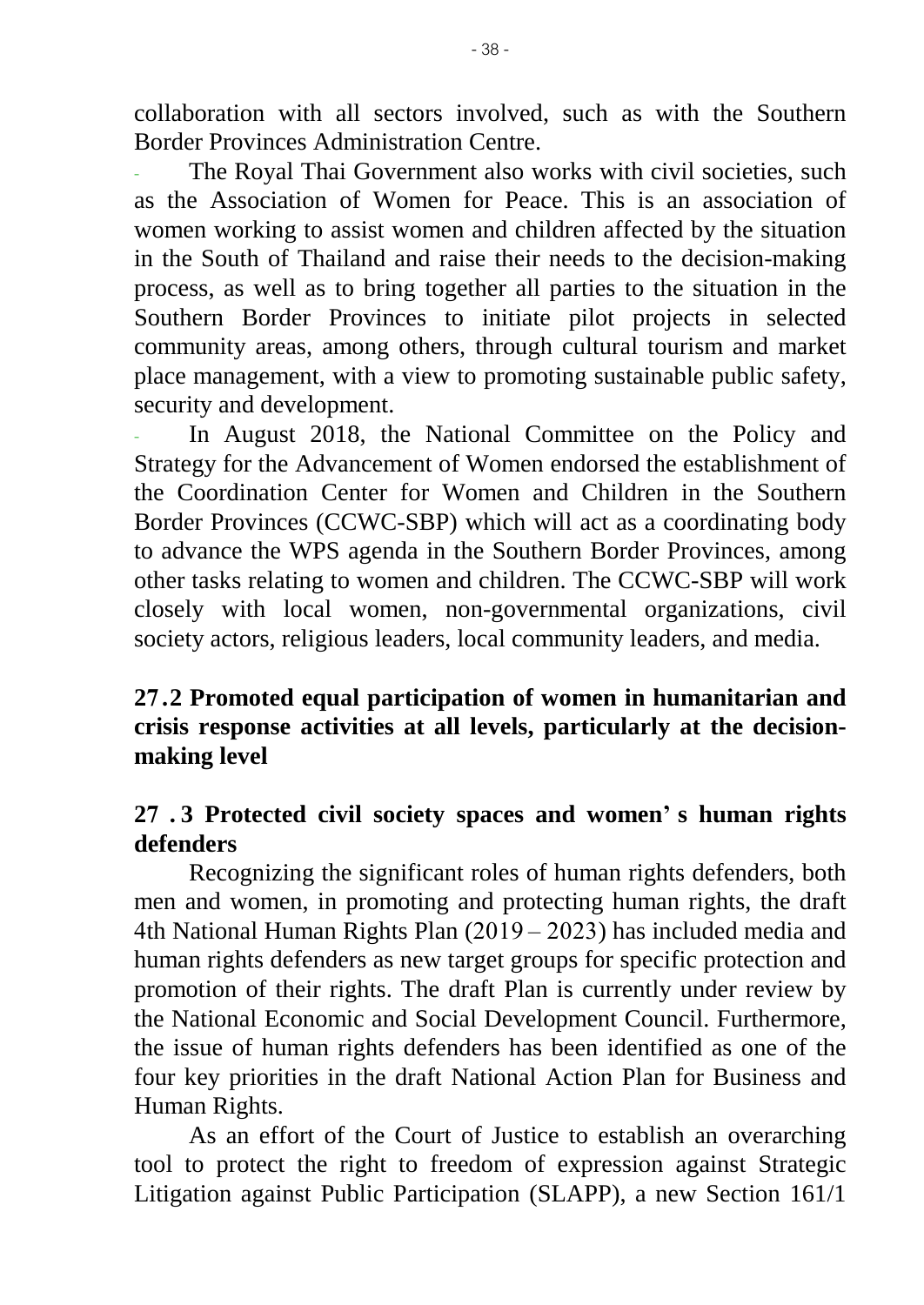collaboration with all sectors involved, such as with the Southern Border Provinces Administration Centre.

The Royal Thai Government also works with civil societies, such as the Association of Women for Peace. This is an association of women working to assist women and children affected by the situation in the South of Thailand and raise their needs to the decision-making process, as well as to bring together all parties to the situation in the Southern Border Provinces to initiate pilot projects in selected community areas, among others, through cultural tourism and market place management, with a view to promoting sustainable public safety, security and development.

In August 2018, the National Committee on the Policy and Strategy for the Advancement of Women endorsed the establishment of the Coordination Center for Women and Children in the Southern Border Provinces (CCWC-SBP) which will act as a coordinating body to advance the WPS agenda in the Southern Border Provinces, among other tasks relating to women and children. The CCWC-SBP will work closely with local women, non-governmental organizations, civil society actors, religious leaders, local community leaders, and media.

# **27.2 Promoted equal participation of women in humanitarian and crisis response activities at all levels, particularly at the decisionmaking level**

### **27 . 3 Protected civil society spaces and women' s human rights defenders**

Recognizing the significant roles of human rights defenders, both men and women, in promoting and protecting human rights, the draft 4th National Human Rights Plan (2019 – 2023) has included media and human rights defenders as new target groups for specific protection and promotion of their rights. The draft Plan is currently under review by the National Economic and Social Development Council. Furthermore, the issue of human rights defenders has been identified as one of the four key priorities in the draft National Action Plan for Business and Human Rights.

As an effort of the Court of Justice to establish an overarching tool to protect the right to freedom of expression against Strategic Litigation against Public Participation (SLAPP), a new Section 161/1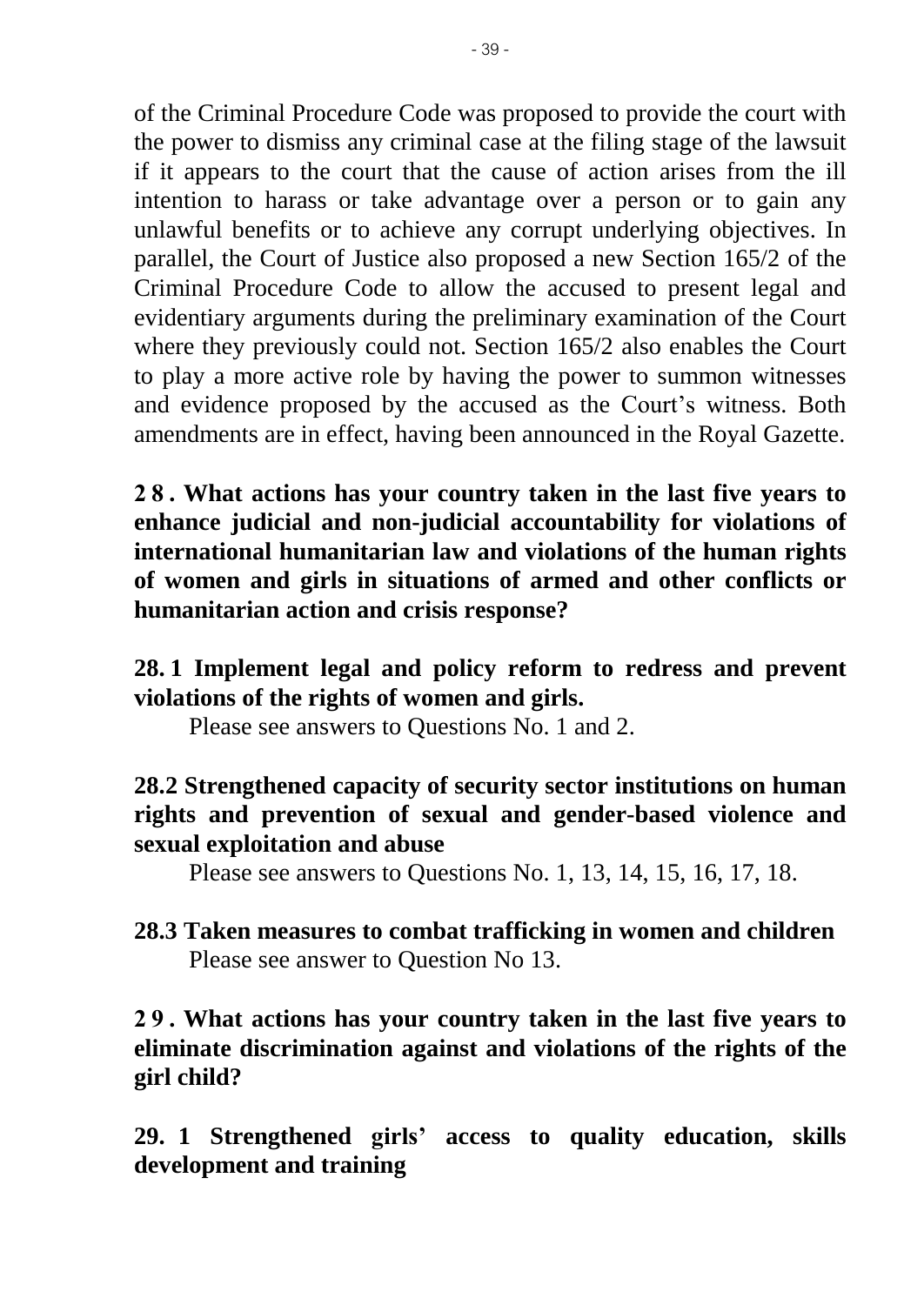of the Criminal Procedure Code was proposed to provide the court with the power to dismiss any criminal case at the filing stage of the lawsuit if it appears to the court that the cause of action arises from the ill intention to harass or take advantage over a person or to gain any unlawful benefits or to achieve any corrupt underlying objectives. In parallel, the Court of Justice also proposed a new Section 165/2 of the Criminal Procedure Code to allow the accused to present legal and evidentiary arguments during the preliminary examination of the Court where they previously could not. Section 165/2 also enables the Court to play a more active role by having the power to summon witnesses and evidence proposed by the accused as the Court's witness. Both amendments are in effect, having been announced in the Royal Gazette.

**2 8 . What actions has your country taken in the last five years to enhance judicial and non-judicial accountability for violations of international humanitarian law and violations of the human rights of women and girls in situations of armed and other conflicts or humanitarian action and crisis response?**

# **28. 1 Implement legal and policy reform to redress and prevent violations of the rights of women and girls.**

Please see answers to Questions No. 1 and 2.

# **28.2 Strengthened capacity of security sector institutions on human rights and prevention of sexual and gender-based violence and sexual exploitation and abuse**

Please see answers to Questions No. 1, 13, 14, 15, 16, 17, 18.

# **28.3 Taken measures to combat trafficking in women and children** Please see answer to Question No 13.

**2 9 . What actions has your country taken in the last five years to eliminate discrimination against and violations of the rights of the girl child?**

**29. 1 Strengthened girls' access to quality education, skills development and training**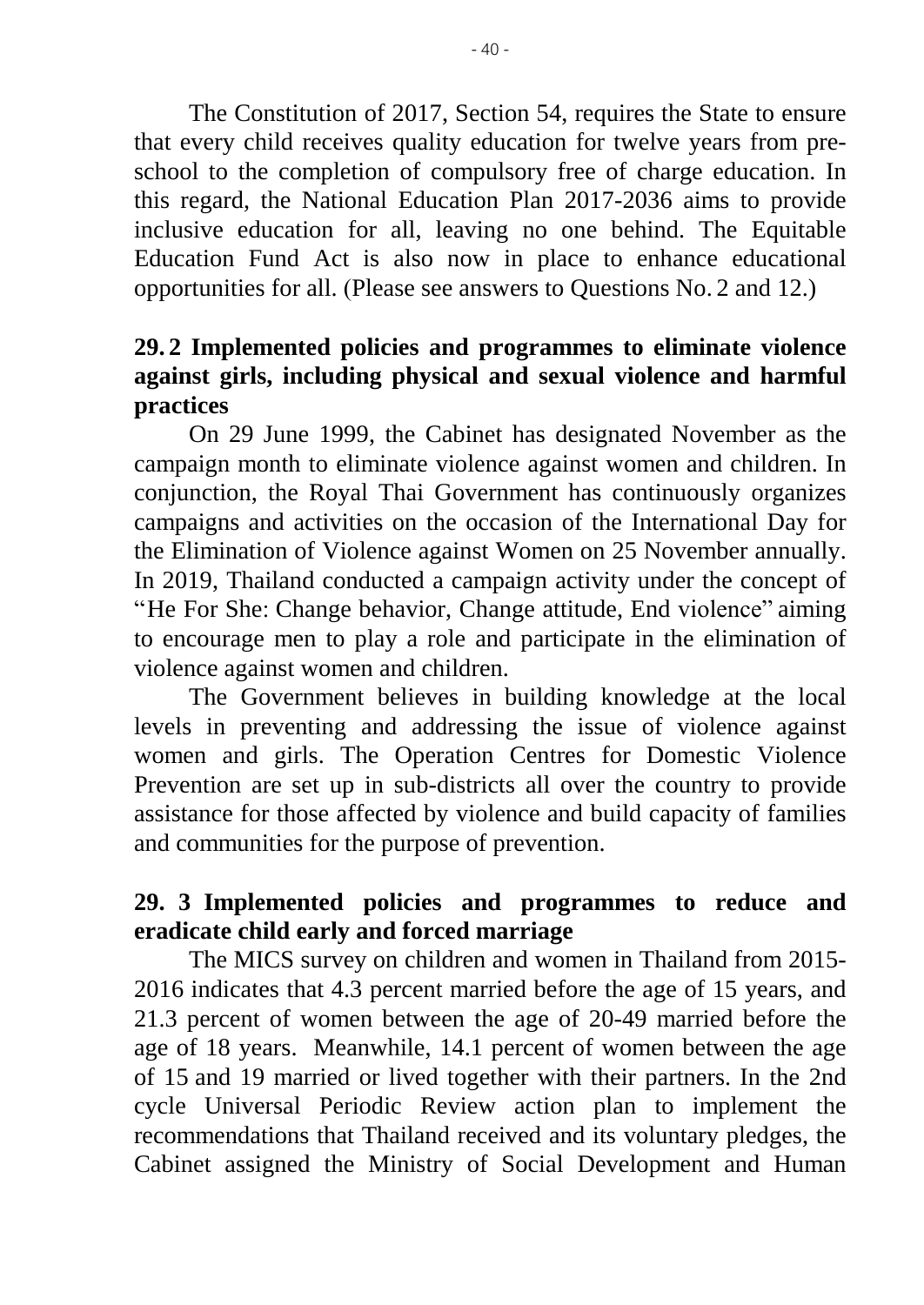The Constitution of 2017, Section 54, requires the State to ensure that every child receives quality education for twelve years from preschool to the completion of compulsory free of charge education. In this regard, the National Education Plan 2017-2036 aims to provide inclusive education for all, leaving no one behind. The Equitable Education Fund Act is also now in place to enhance educational opportunities for all. (Please see answers to Questions No. 2 and 12.)

## **29. 2 Implemented policies and programmes to eliminate violence against girls, including physical and sexual violence and harmful practices**

On 29 June 1999, the Cabinet has designated November as the campaign month to eliminate violence against women and children. In conjunction, the Royal Thai Government has continuously organizes campaigns and activities on the occasion of the International Day for the Elimination of Violence against Women on 25 November annually. In 2019, Thailand conducted a campaign activity under the concept of "He For She: Change behavior, Change attitude, End violence" aiming to encourage men to play a role and participate in the elimination of violence against women and children.

The Government believes in building knowledge at the local levels in preventing and addressing the issue of violence against women and girls. The Operation Centres for Domestic Violence Prevention are set up in sub-districts all over the country to provide assistance for those affected by violence and build capacity of families and communities for the purpose of prevention.

# **29. 3 Implemented policies and programmes to reduce and eradicate child early and forced marriage**

The MICS survey on children and women in Thailand from 2015- 2016 indicates that 4.3 percent married before the age of 15 years, and 21.3 percent of women between the age of 20-49 married before the age of 18 years. Meanwhile, 14.1 percent of women between the age of 15 and 19 married or lived together with their partners. In the 2nd cycle Universal Periodic Review action plan to implement the recommendations that Thailand received and its voluntary pledges, the Cabinet assigned the Ministry of Social Development and Human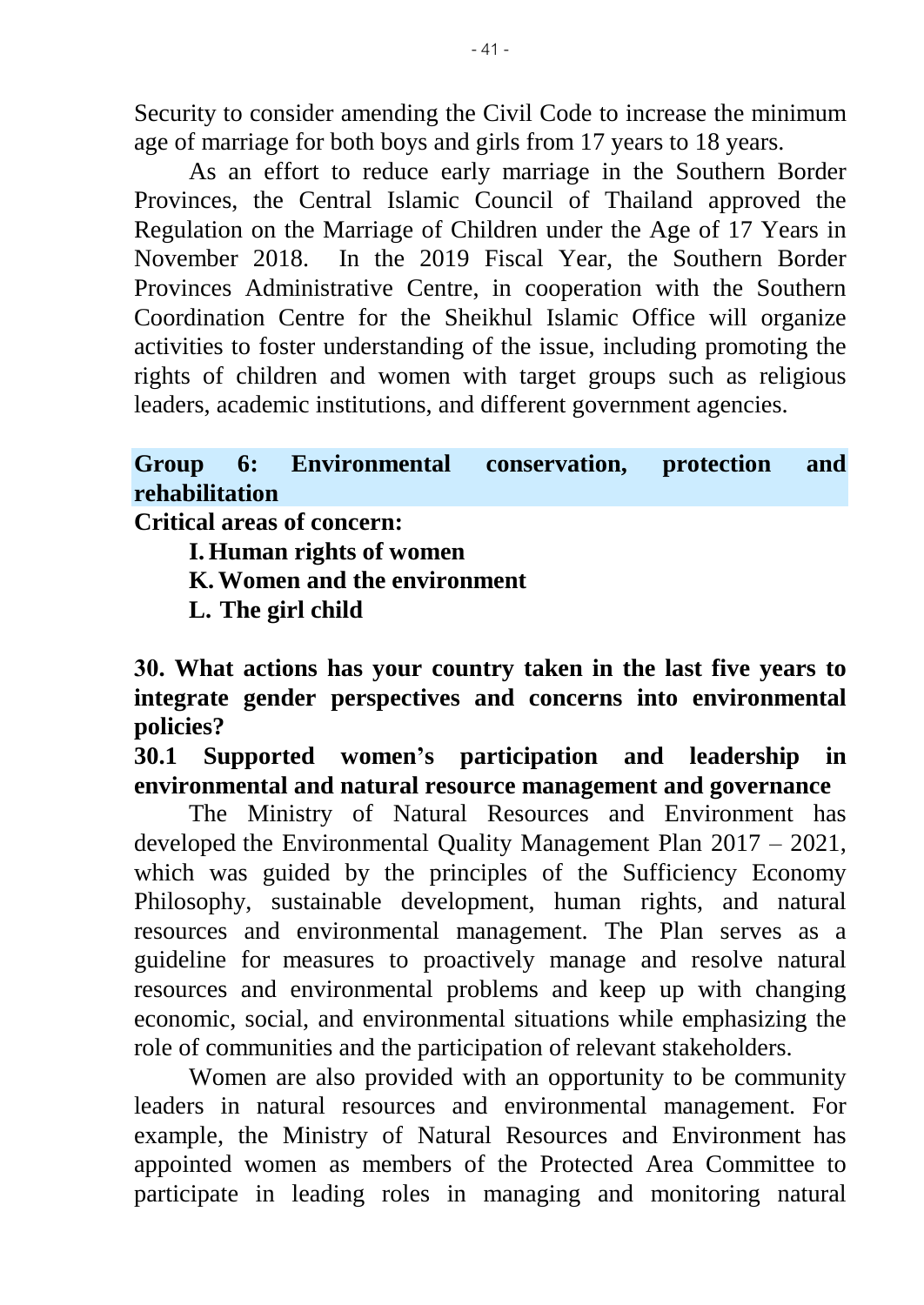Security to consider amending the Civil Code to increase the minimum age of marriage for both boys and girls from 17 years to 18 years.

As an effort to reduce early marriage in the Southern Border Provinces, the Central Islamic Council of Thailand approved the Regulation on the Marriage of Children under the Age of 17 Years in November 2018. In the 2019 Fiscal Year, the Southern Border Provinces Administrative Centre, in cooperation with the Southern Coordination Centre for the Sheikhul Islamic Office will organize activities to foster understanding of the issue, including promoting the rights of children and women with target groups such as religious leaders, academic institutions, and different government agencies.

### **Group 6: Environmental conservation, protection and rehabilitation**

**Critical areas of concern:**

**I. Human rights of women**

**K.Women and the environment**

**L. The girl child**

**30. What actions has your country taken in the last five years to integrate gender perspectives and concerns into environmental policies?** 

**30.1 Supported women's participation and leadership in environmental and natural resource management and governance**

The Ministry of Natural Resources and Environment has developed the Environmental Quality Management Plan 2017 – 2021, which was guided by the principles of the Sufficiency Economy Philosophy, sustainable development, human rights, and natural resources and environmental management. The Plan serves as a guideline for measures to proactively manage and resolve natural resources and environmental problems and keep up with changing economic, social, and environmental situations while emphasizing the role of communities and the participation of relevant stakeholders.

Women are also provided with an opportunity to be community leaders in natural resources and environmental management. For example, the Ministry of Natural Resources and Environment has appointed women as members of the Protected Area Committee to participate in leading roles in managing and monitoring natural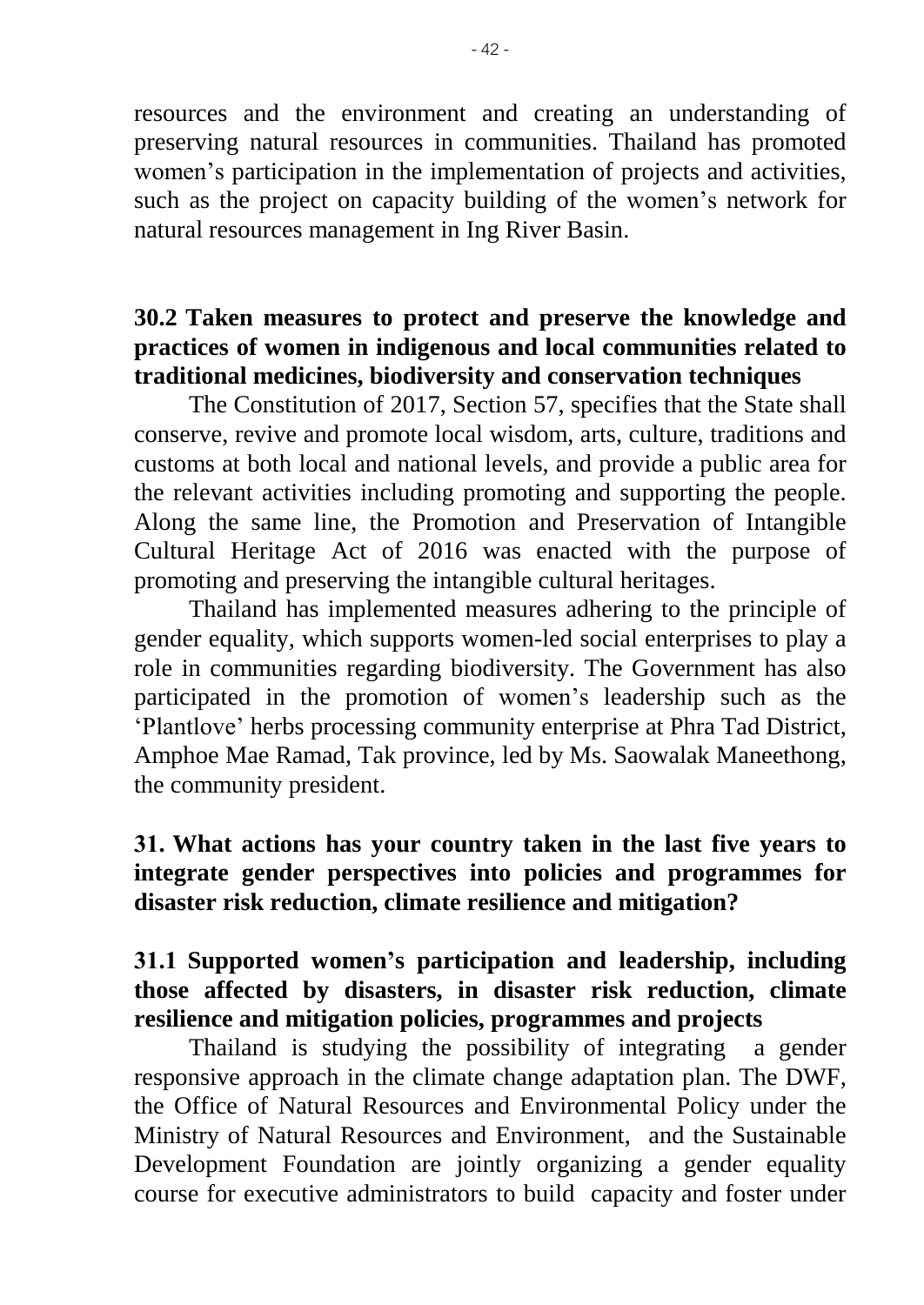resources and the environment and creating an understanding of preserving natural resources in communities. Thailand has promoted women's participation in the implementation of projects and activities, such as the project on capacity building of the women's network for natural resources management in Ing River Basin.

# **30.2 Taken measures to protect and preserve the knowledge and practices of women in indigenous and local communities related to traditional medicines, biodiversity and conservation techniques**

The Constitution of 2017, Section 57, specifies that the State shall conserve, revive and promote local wisdom, arts, culture, traditions and customs at both local and national levels, and provide a public area for the relevant activities including promoting and supporting the people. Along the same line, the Promotion and Preservation of Intangible Cultural Heritage Act of 2016 was enacted with the purpose of promoting and preserving the intangible cultural heritages.

Thailand has implemented measures adhering to the principle of gender equality, which supports women-led social enterprises to play a role in communities regarding biodiversity. The Government has also participated in the promotion of women's leadership such as the 'Plantlove' herbs processing community enterprise at Phra Tad District, Amphoe Mae Ramad, Tak province, led by Ms. Saowalak Maneethong, the community president.

# **31. What actions has your country taken in the last five years to integrate gender perspectives into policies and programmes for disaster risk reduction, climate resilience and mitigation?**

# **31.1 Supported women's participation and leadership, including those affected by disasters, in disaster risk reduction, climate resilience and mitigation policies, programmes and projects**

Thailand is studying the possibility of integrating a gender responsive approach in the climate change adaptation plan. The DWF, the Office of Natural Resources and Environmental Policy under the Ministry of Natural Resources and Environment, and the Sustainable Development Foundation are jointly organizing a gender equality course for executive administrators to build capacity and foster under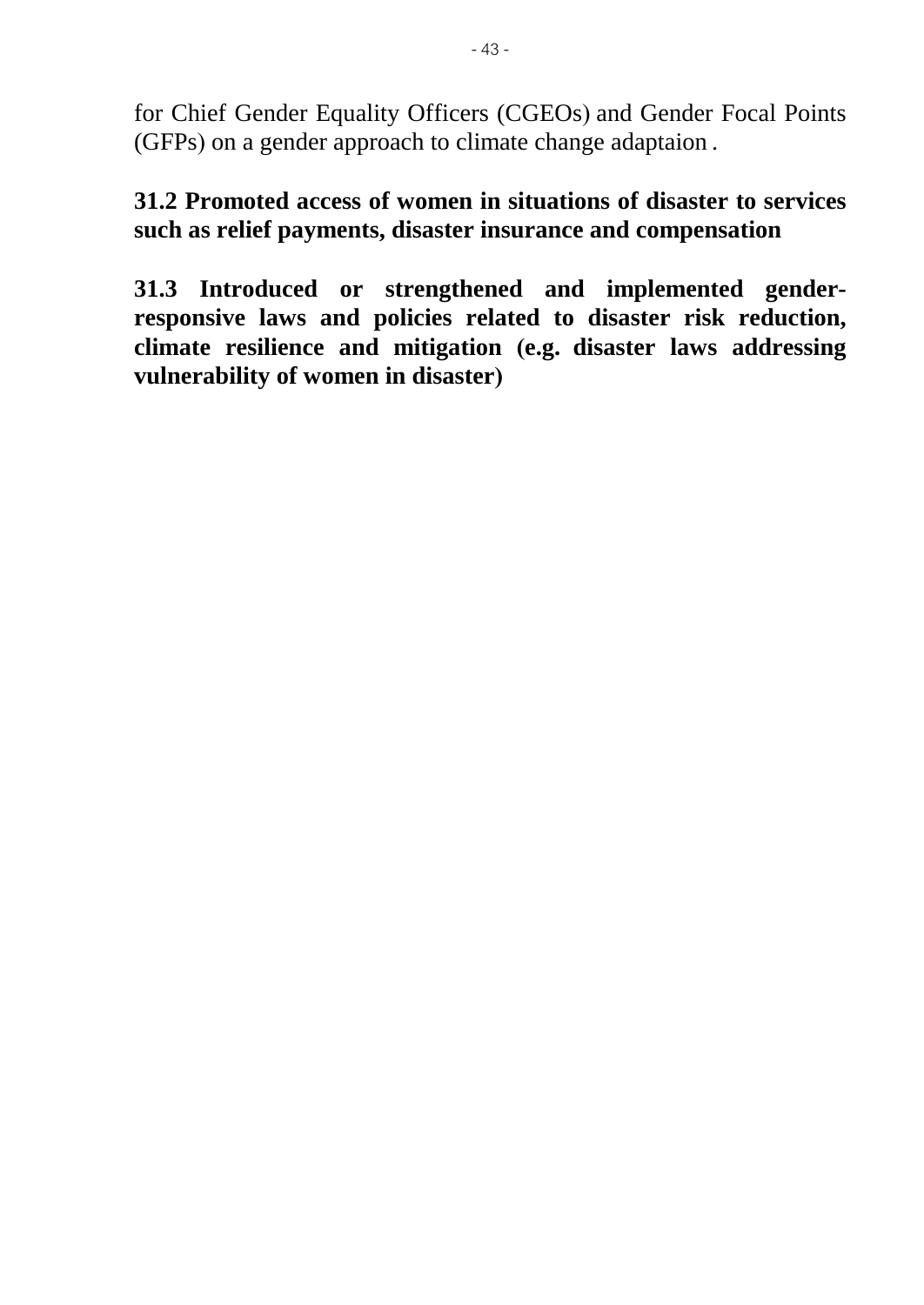for Chief Gender Equality Officers (CGEOs) and Gender Focal Points (GFPs) on a gender approach to climate change adaptaion .

**31.2 Promoted access of women in situations of disaster to services such as relief payments, disaster insurance and compensation**

**31.3 Introduced or strengthened and implemented genderresponsive laws and policies related to disaster risk reduction, climate resilience and mitigation (e.g. disaster laws addressing vulnerability of women in disaster)**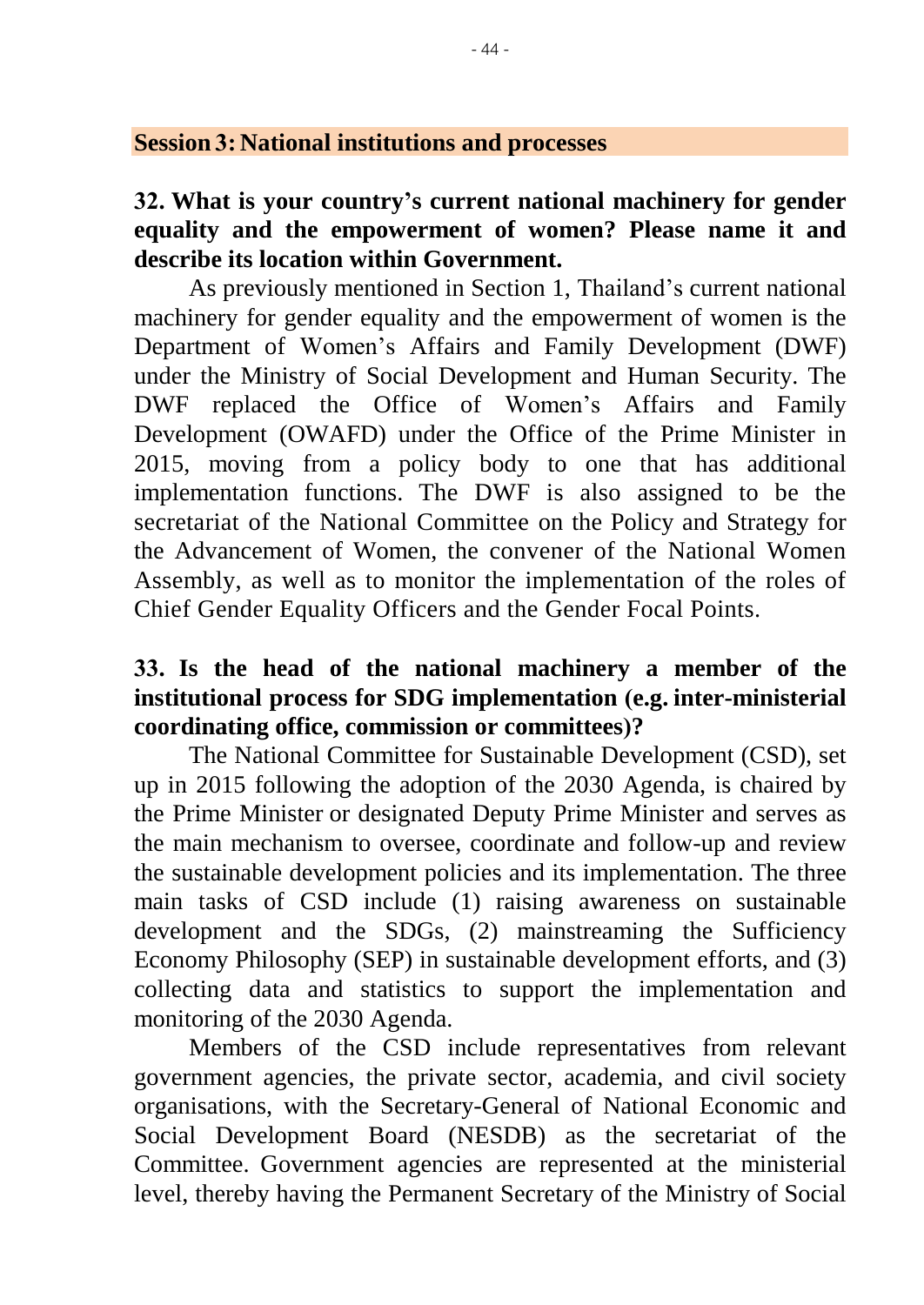#### **Session 3: National institutions and processes**

#### **32. What is your country's current national machinery for gender equality and the empowerment of women? Please name it and describe its location within Government.**

As previously mentioned in Section 1, Thailand's current national machinery for gender equality and the empowerment of women is the Department of Women's Affairs and Family Development (DWF) under the Ministry of Social Development and Human Security. The DWF replaced the Office of Women's Affairs and Family Development (OWAFD) under the Office of the Prime Minister in 2015, moving from a policy body to one that has additional implementation functions. The DWF is also assigned to be the secretariat of the National Committee on the Policy and Strategy for the Advancement of Women, the convener of the National Women Assembly, as well as to monitor the implementation of the roles of Chief Gender Equality Officers and the Gender Focal Points.

# **33. Is the head of the national machinery a member of the institutional process for SDG implementation (e.g. inter-ministerial coordinating office, commission or committees)?**

The National Committee for Sustainable Development (CSD), set up in 2015 following the adoption of the 2030 Agenda, is chaired by the Prime Minister or designated Deputy Prime Minister and serves as the main mechanism to oversee, coordinate and follow-up and review the sustainable development policies and its implementation. The three main tasks of CSD include (1) raising awareness on sustainable development and the SDGs, (2) mainstreaming the Sufficiency Economy Philosophy (SEP) in sustainable development efforts, and (3) collecting data and statistics to support the implementation and monitoring of the 2030 Agenda.

Members of the CSD include representatives from relevant government agencies, the private sector, academia, and civil society organisations, with the Secretary-General of National Economic and Social Development Board (NESDB) as the secretariat of the Committee. Government agencies are represented at the ministerial level, thereby having the Permanent Secretary of the Ministry of Social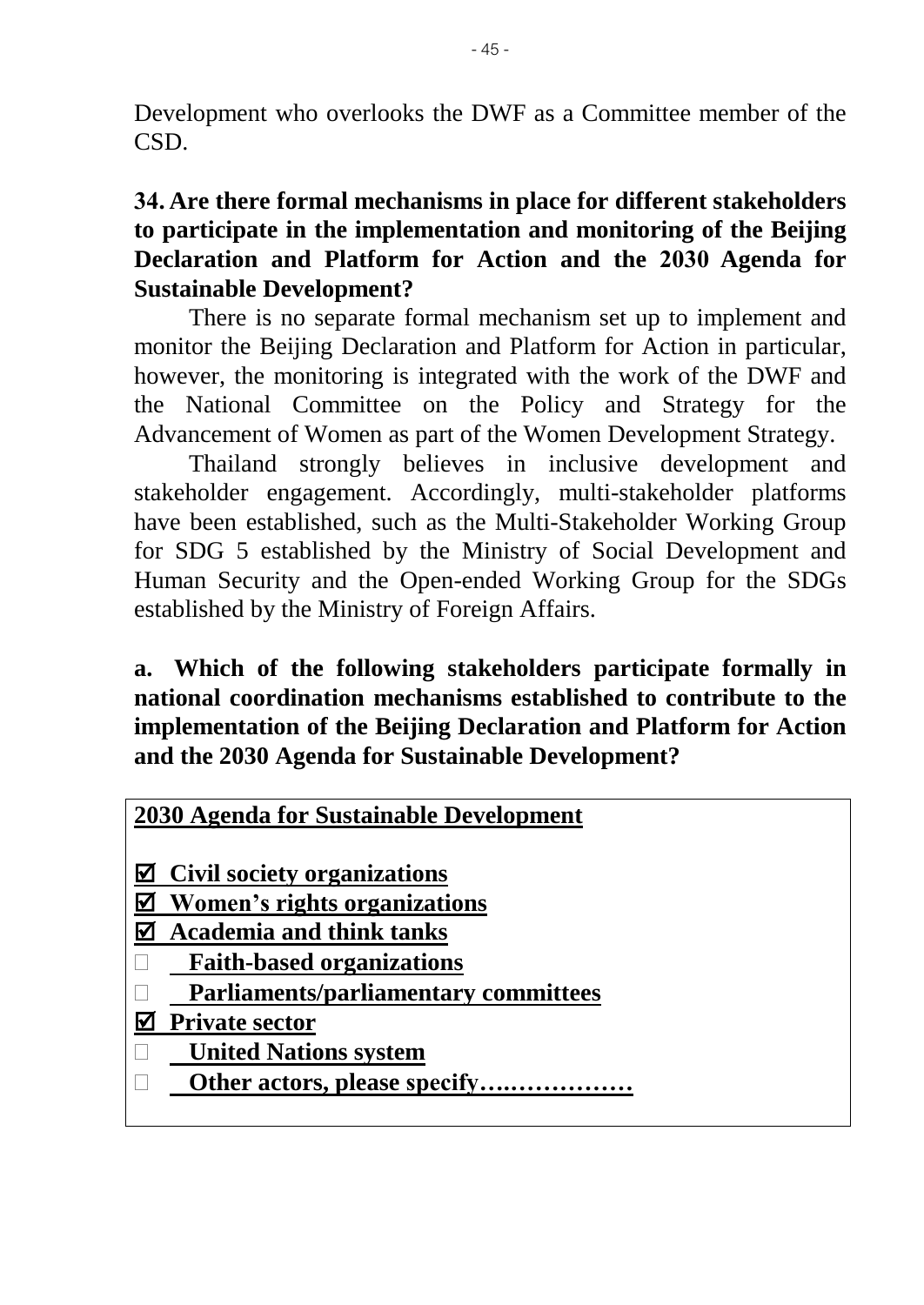Development who overlooks the DWF as a Committee member of the CSD.

## **34. Are there formal mechanisms in place for different stakeholders to participate in the implementation and monitoring of the Beijing Declaration and Platform for Action and the 2030 Agenda for Sustainable Development?**

There is no separate formal mechanism set up to implement and monitor the Beijing Declaration and Platform for Action in particular, however, the monitoring is integrated with the work of the DWF and the National Committee on the Policy and Strategy for the Advancement of Women as part of the Women Development Strategy.

Thailand strongly believes in inclusive development and stakeholder engagement. Accordingly, multi-stakeholder platforms have been established, such as the Multi-Stakeholder Working Group for SDG 5 established by the Ministry of Social Development and Human Security and the Open-ended Working Group for the SDGs established by the Ministry of Foreign Affairs.

**a. Which of the following stakeholders participate formally in national coordination mechanisms established to contribute to the implementation of the Beijing Declaration and Platform for Action and the 2030 Agenda for Sustainable Development?**

| 2030 Agenda for Sustainable Development |
|-----------------------------------------|
|-----------------------------------------|

- **Civil society organizations**
- **Women's rights organizations**
- **Academia and think tanks**
- **Faith-based organizations**
- **Parliaments/parliamentary committees**
- **Private sector**
- **United Nations system**
- **Other actors, please specify….……………**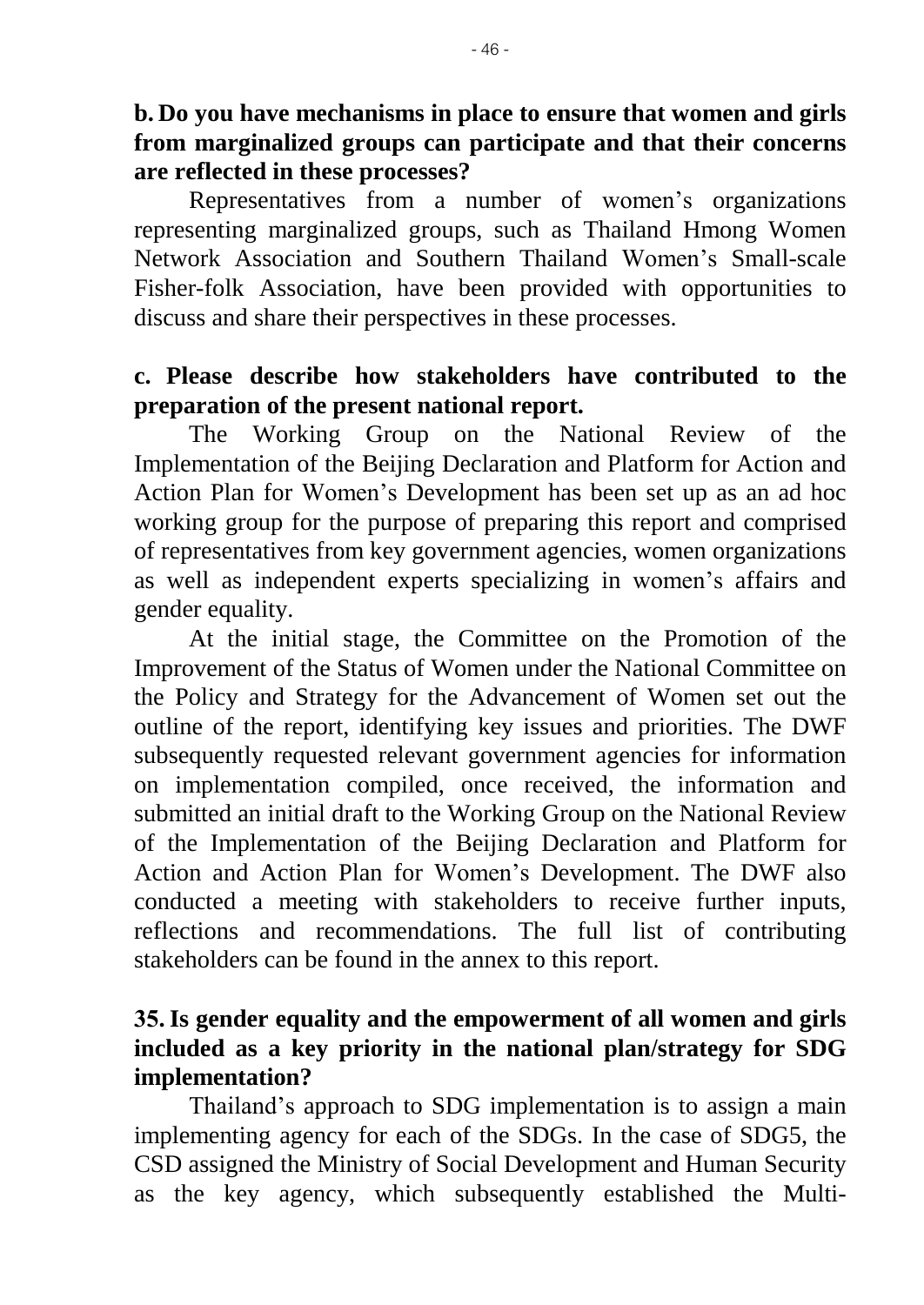## **b. Do you have mechanisms in place to ensure that women and girls from marginalized groups can participate and that their concerns are reflected in these processes?**

Representatives from a number of women's organizations representing marginalized groups, such as Thailand Hmong Women Network Association and Southern Thailand Women's Small-scale Fisher-folk Association, have been provided with opportunities to discuss and share their perspectives in these processes.

### **c. Please describe how stakeholders have contributed to the preparation of the present national report.**

The Working Group on the National Review of the Implementation of the Beijing Declaration and Platform for Action and Action Plan for Women's Development has been set up as an ad hoc working group for the purpose of preparing this report and comprised of representatives from key government agencies, women organizations as well as independent experts specializing in women's affairs and gender equality.

At the initial stage, the Committee on the Promotion of the Improvement of the Status of Women under the National Committee on the Policy and Strategy for the Advancement of Women set out the outline of the report, identifying key issues and priorities. The DWF subsequently requested relevant government agencies for information on implementation compiled, once received, the information and submitted an initial draft to the Working Group on the National Review of the Implementation of the Beijing Declaration and Platform for Action and Action Plan for Women's Development. The DWF also conducted a meeting with stakeholders to receive further inputs, reflections and recommendations. The full list of contributing stakeholders can be found in the annex to this report.

# **35.Is gender equality and the empowerment of all women and girls included as a key priority in the national plan/strategy for SDG implementation?**

Thailand's approach to SDG implementation is to assign a main implementing agency for each of the SDGs. In the case of SDG5, the CSD assigned the Ministry of Social Development and Human Security as the key agency, which subsequently established the Multi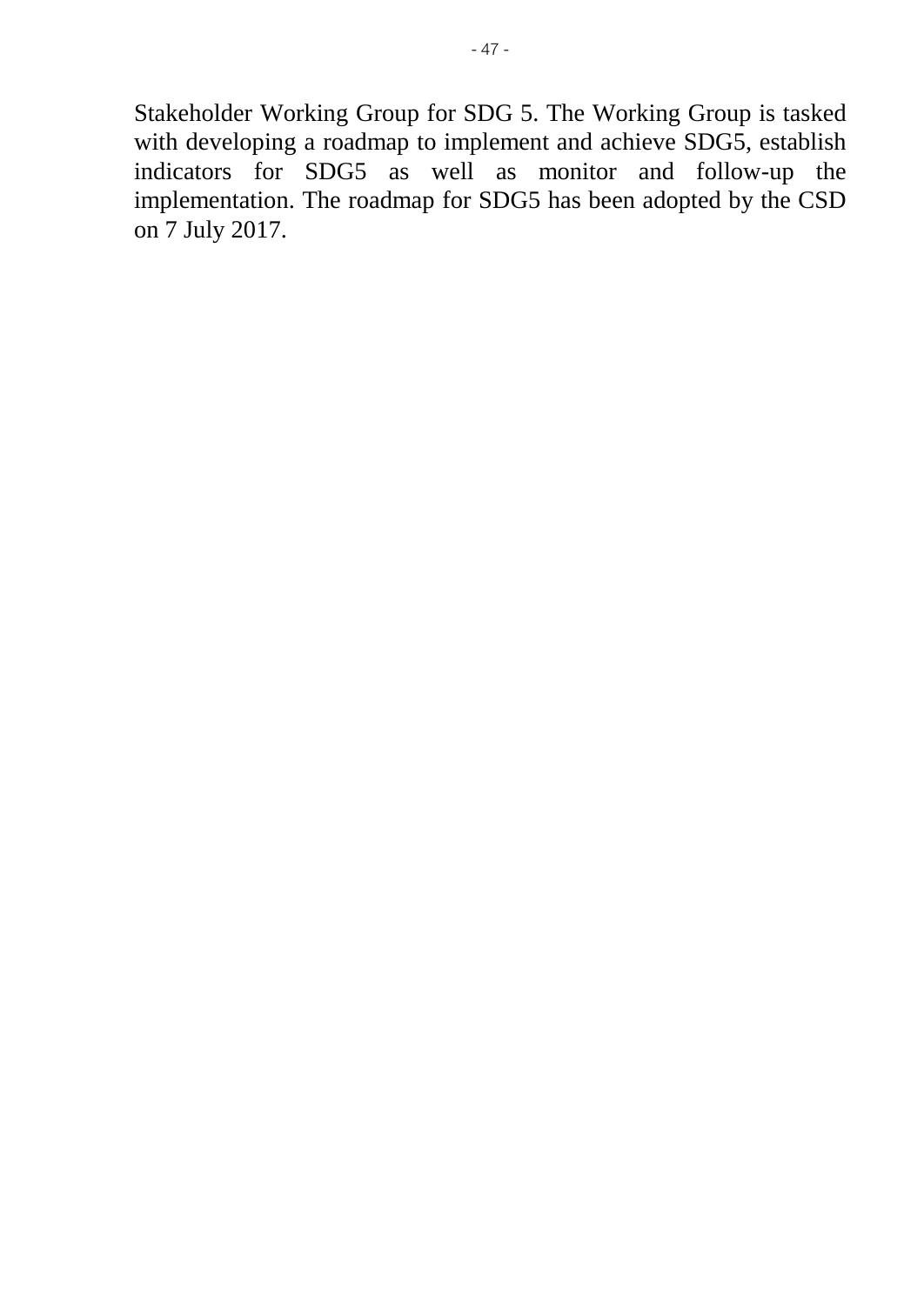Stakeholder Working Group for SDG 5. The Working Group is tasked with developing a roadmap to implement and achieve SDG5, establish indicators for SDG5 as well as monitor and follow-up the implementation. The roadmap for SDG5 has been adopted by the CSD on 7 July 2017.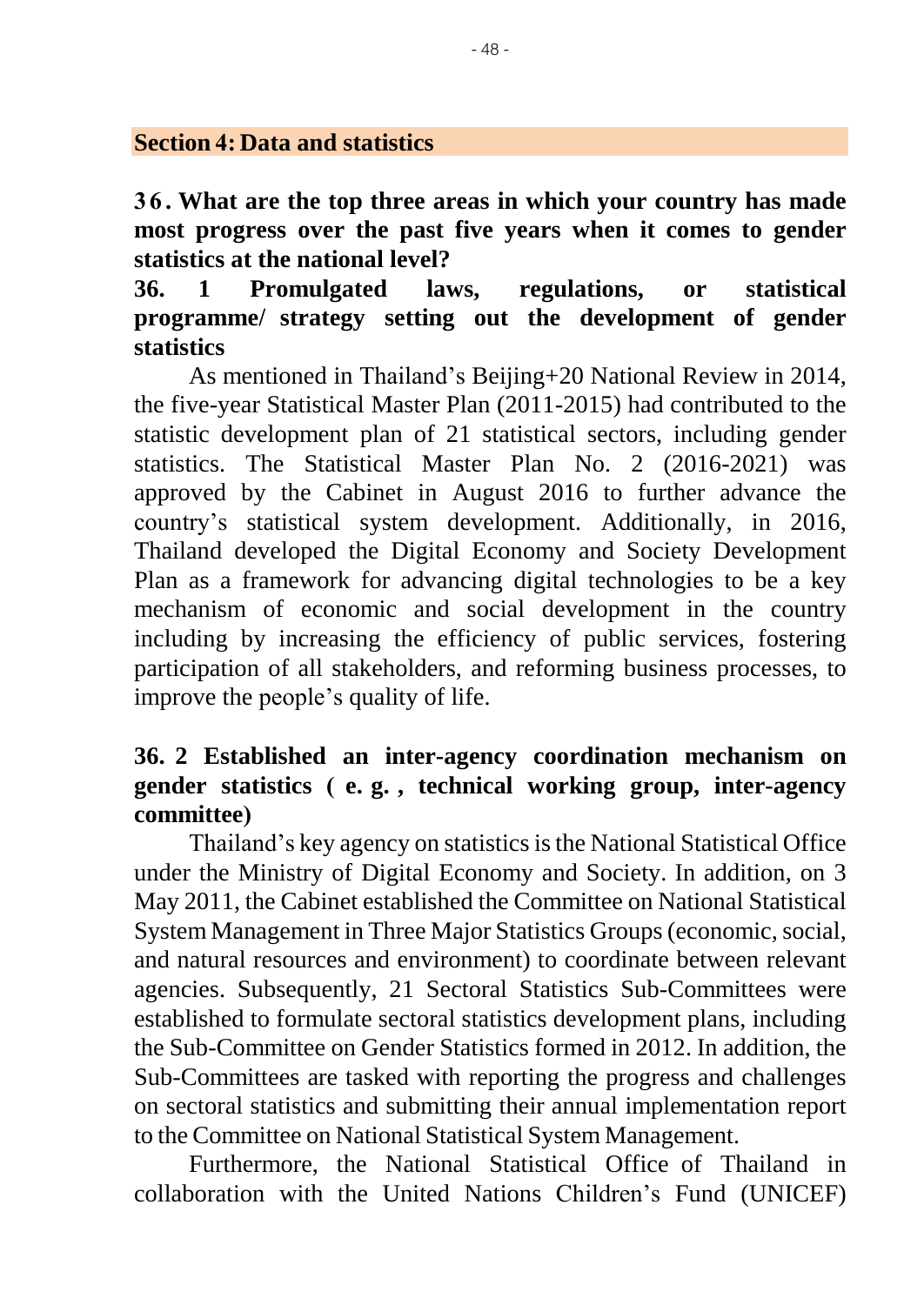#### **Section 4: Data and statistics**

**3 6 . What are the top three areas in which your country has made most progress over the past five years when it comes to gender statistics at the national level?**

**36. 1 Promulgated laws, regulations, or statistical programme/ strategy setting out the development of gender statistics**

 As mentioned in Thailand's Beijing+20 National Review in 2014, the five-year Statistical Master Plan (2011-2015) had contributed to the statistic development plan of 21 statistical sectors, including gender statistics. The Statistical Master Plan No. 2 (2016-2021) was approved by the Cabinet in August 2016 to further advance the country's statistical system development. Additionally, in 2016, Thailand developed the Digital Economy and Society Development Plan as a framework for advancing digital technologies to be a key mechanism of economic and social development in the country including by increasing the efficiency of public services, fostering participation of all stakeholders, and reforming business processes, to improve the people's quality of life.

### **36. 2 Established an inter-agency coordination mechanism on gender statistics ( e. g. , technical working group, inter-agency committee)**

Thailand's key agency on statistics is the National Statistical Office under the Ministry of Digital Economy and Society. In addition, on 3 May 2011, the Cabinet established the Committee on National Statistical System Management in Three Major Statistics Groups (economic, social, and natural resources and environment) to coordinate between relevant agencies. Subsequently, 21 Sectoral Statistics Sub-Committees were established to formulate sectoral statistics development plans, including the Sub-Committee on Gender Statistics formed in 2012. In addition, the Sub-Committees are tasked with reporting the progress and challenges on sectoral statistics and submitting their annual implementation report to the Committee on National Statistical System Management.

Furthermore, the National Statistical Office of Thailand in collaboration with the United Nations Children's Fund (UNICEF)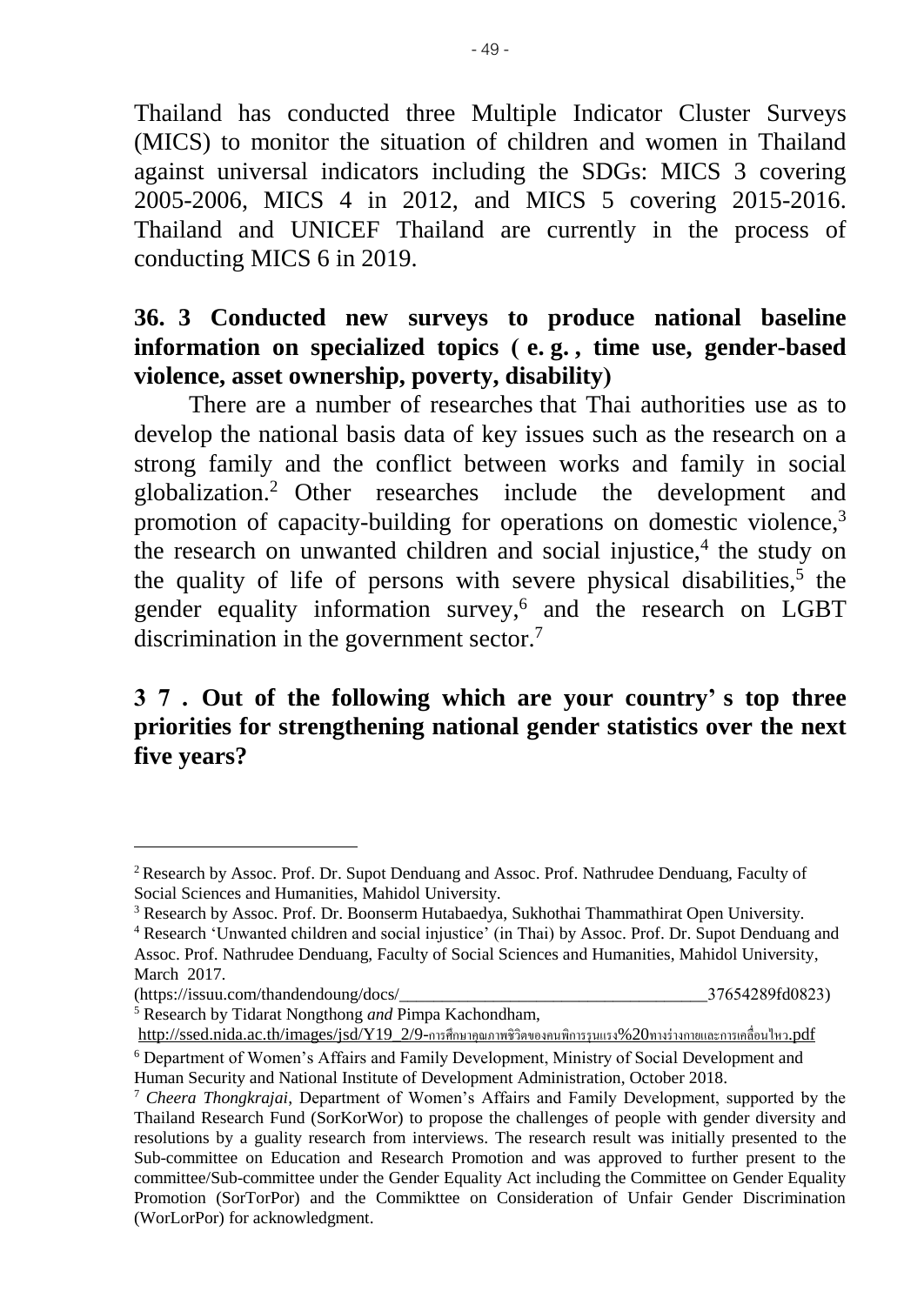Thailand has conducted three Multiple Indicator Cluster Surveys (MICS) to monitor the situation of children and women in Thailand against universal indicators including the SDGs: MICS 3 covering 2005-2006, MICS 4 in 2012, and MICS 5 covering 2015-2016. Thailand and UNICEF Thailand are currently in the process of conducting MICS 6 in 2019.

### **36. 3 Conducted new surveys to produce national baseline information on specialized topics ( e. g. , time use, gender-based violence, asset ownership, poverty, disability)**

There are a number of researches that Thai authorities use as to develop the national basis data of key issues such as the research on a strong family and the conflict between works and family in social globalization.<sup>2</sup> Other researches include the development and promotion of capacity-building for operations on domestic violence,<sup>3</sup> the research on unwanted children and social injustice,<sup>4</sup> the study on the quality of life of persons with severe physical disabilities, $5$  the gender equality information survey,<sup>6</sup> and the research on LGBT discrimination in the government sector.<sup>7</sup>

# **37. Out of the following which are your country' s top three priorities for strengthening national gender statistics over the next five years?**

<sup>5</sup> Research by Tidarat Nongthong *and* Pimpa Kachondham,

<sup>&</sup>lt;sup>2</sup> Research by Assoc. Prof. Dr. Supot Denduang and Assoc. Prof. Nathrudee Denduang, Faculty of Social Sciences and Humanities, Mahidol University.

<sup>&</sup>lt;sup>3</sup> Research by Assoc. Prof. Dr. Boonserm Hutabaedya, Sukhothai Thammathirat Open University.

<sup>4</sup> Research 'Unwanted children and social injustice' (in Thai) by Assoc. Prof. Dr. Supot Denduang and Assoc. Prof. Nathrudee Denduang, Faculty of Social Sciences and Humanities, Mahidol University, March 2017.

<sup>(</sup>https://issuu.com/thandendoung/docs/\_\_\_\_\_\_\_\_\_\_\_\_\_\_\_\_\_\_\_\_\_\_\_\_\_\_\_\_\_\_\_\_\_\_\_\_37654289fd0823)

[http://ssed.nida.ac.th/images/jsd/Y19\\_2/9-](http://ssed.nida.ac.th/images/jsd/Y19_2/9-การศึกษาคุณภาพชิวิตของคนพิการรุนแรง%20ทางร่างกายและการเคลื่อนไหว.pdf)การศึกษาคุณภาพชิวิตของคนพิการรุนแรง%20ทางร่างกายและการเคลื่อนไหว.pdf

<sup>6</sup> Department of Women's Affairs and Family Development, Ministry of Social Development and Human Security and National Institute of Development Administration, October 2018.

<sup>7</sup> *Cheera Thongkrajai*, Department of Women's Affairs and Family Development, supported by the Thailand Research Fund (SorKorWor) to propose the challenges of people with gender diversity and resolutions by a guality research from interviews. The research result was initially presented to the Sub-committee on Education and Research Promotion and was approved to further present to the committee/Sub-committee under the Gender Equality Act including the Committee on Gender Equality Promotion (SorTorPor) and the Commikttee on Consideration of Unfair Gender Discrimination (WorLorPor) for acknowledgment.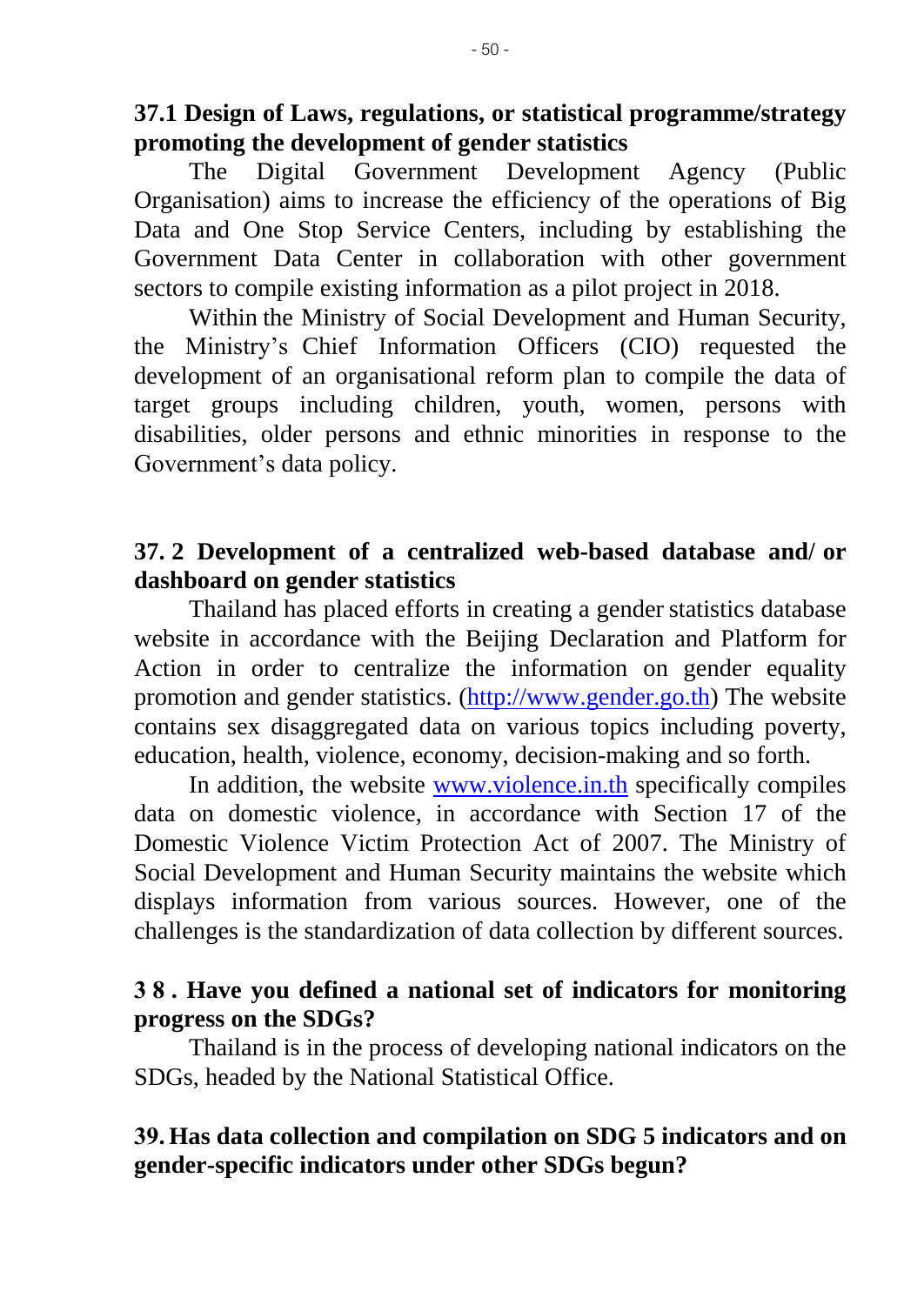**37.1 Design of Laws, regulations, or statistical programme/strategy promoting the development of gender statistics**

The Digital Government Development Agency (Public Organisation) aims to increase the efficiency of the operations of Big Data and One Stop Service Centers, including by establishing the Government Data Center in collaboration with other government sectors to compile existing information as a pilot project in 2018.

Within the Ministry of Social Development and Human Security, the Ministry's Chief Information Officers (CIO) requested the development of an organisational reform plan to compile the data of target groups including children, youth, women, persons with disabilities, older persons and ethnic minorities in response to the Government's data policy.

#### **37. 2 Development of a centralized web-based database and/ or dashboard on gender statistics**

Thailand has placed efforts in creating a gender statistics database website in accordance with the Beijing Declaration and Platform for Action in order to centralize the information on gender equality promotion and gender statistics. [\(http://www.gender.go.th\)](http://www.gender.go.th/) The website contains sex disaggregated data on various topics including poverty, education, health, violence, economy, decision-making and so forth.

In addition, the website [www.violence.in.th](http://www.violence.in.th/) specifically compiles data on domestic violence, in accordance with Section 17 of the Domestic Violence Victim Protection Act of 2007. The Ministry of Social Development and Human Security maintains the website which displays information from various sources. However, one of the challenges is the standardization of data collection by different sources.

#### **38. Have you defined a national set of indicators for monitoring progress on the SDGs?**

Thailand is in the process of developing national indicators on the SDGs, headed by the National Statistical Office.

# **39. Has data collection and compilation on SDG 5 indicators and on gender-specific indicators under other SDGs begun?**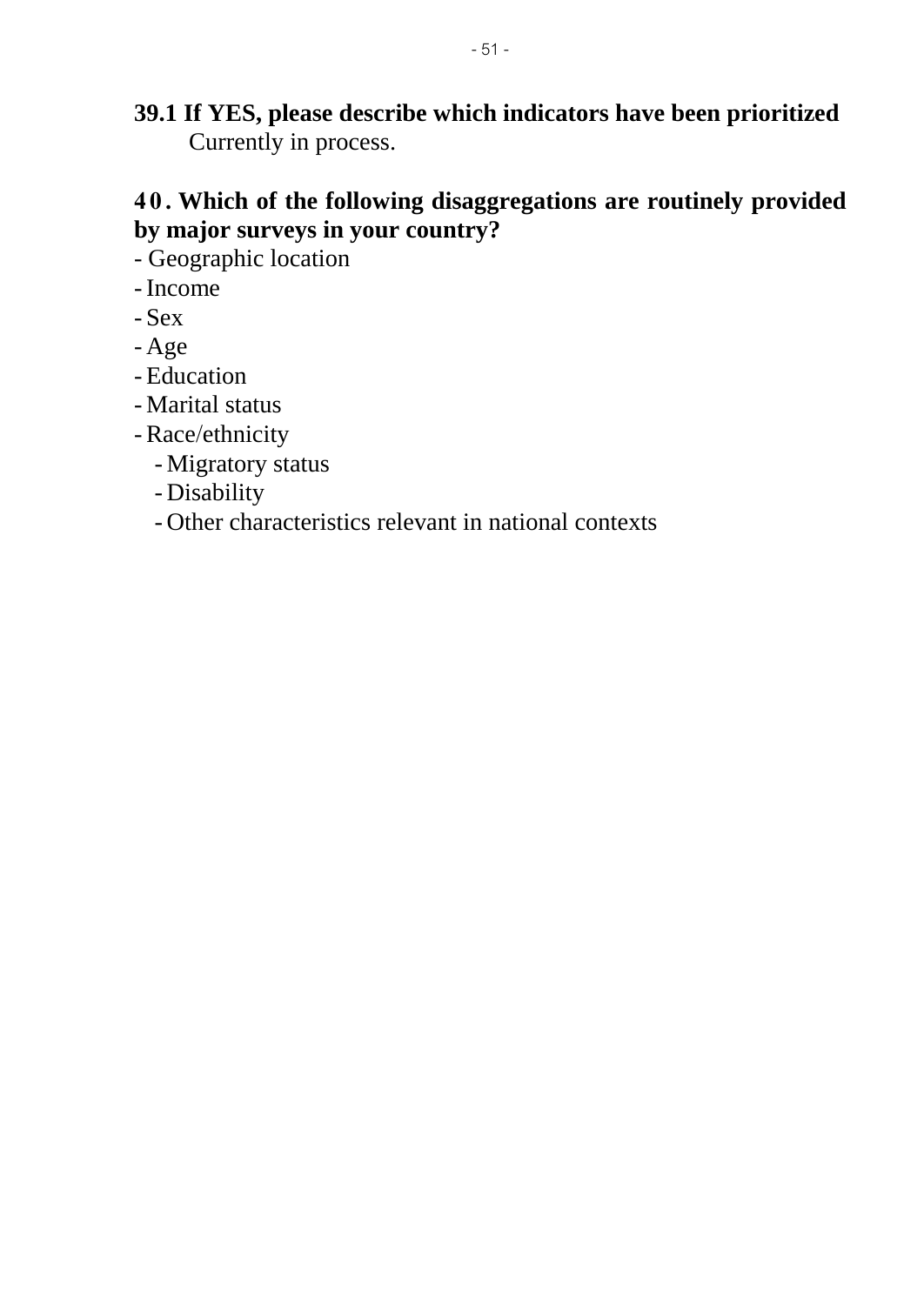**39.1 If YES, please describe which indicators have been prioritized** Currently in process.

# **4 0 . Which of the following disaggregations are routinely provided by major surveys in your country?**

- Geographic location
- -Income
- Sex
- Age
- Education
- Marital status
- -Race/ethnicity
	- Migratory status
	- Disability
	- Other characteristics relevant in national contexts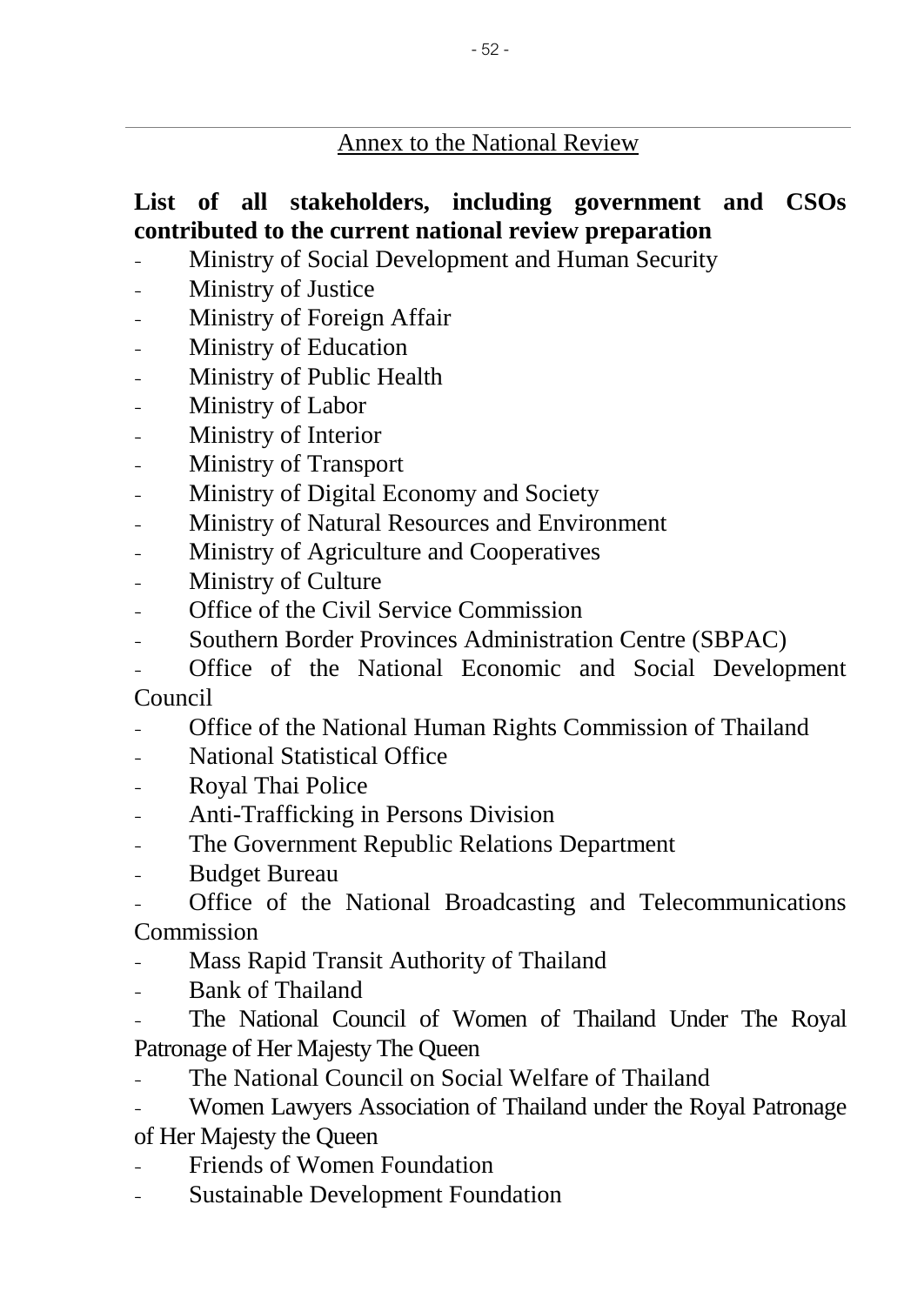#### Annex to the National Review

## **List of all stakeholders, including government and CSOs contributed to the current national review preparation**

- Ministry of Social Development and Human Security
- Ministry of Justice
- Ministry of Foreign Affair
- Ministry of Education
- Ministry of Public Health
- Ministry of Labor
- Ministry of Interior
- Ministry of Transport
- Ministry of Digital Economy and Society
- Ministry of Natural Resources and Environment
- Ministry of Agriculture and Cooperatives
- Ministry of Culture
- Office of the Civil Service Commission
- Southern Border Provinces Administration Centre (SBPAC)
- Office of the National Economic and Social Development Council
- Office of the National Human Rights Commission of Thailand
- National Statistical Office
- Royal Thai Police
- Anti-Trafficking in Persons Division
- The Government Republic Relations Department
- Budget Bureau

- Office of the National Broadcasting and Telecommunications Commission

- Mass Rapid Transit Authority of Thailand
- Bank of Thailand

The National Council of Women of Thailand Under The Royal Patronage of Her Majesty The Queen

- The National Council on Social Welfare of Thailand
- Women Lawyers Association of Thailand under the Royal Patronage of Her Majesty the Queen
- **Friends of Women Foundation**
- **Sustainable Development Foundation**